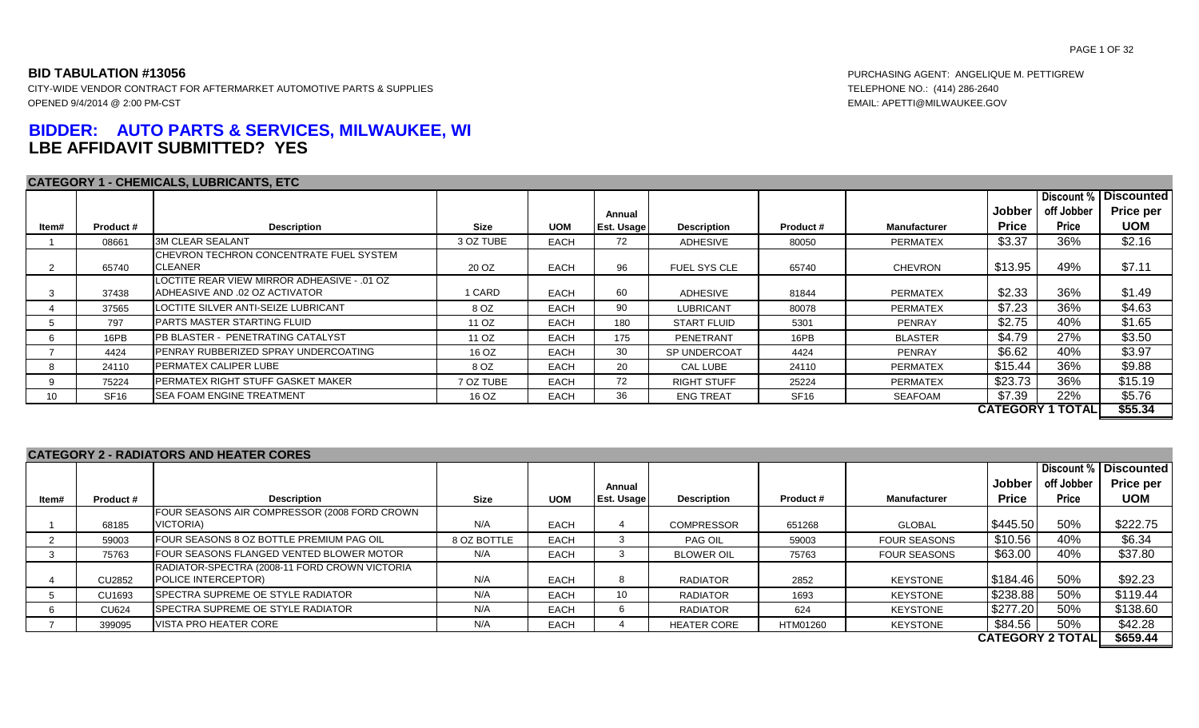# **BIDDER: AUTO PARTS & SERVICES, MILWAUKEE, WI LBE AFFIDAVIT SUBMITTED? YES**

### **CATEGORY 1 - CHEMICALS, LUBRICANTS, ETC**

**BID TABULATION #13056** PURCHASING AGENT: ANGELIQUE M. PETTIGREW

|       |                  | <b>CATEGORY 1 - CHEMICALS, LUBRICANTS, ETC</b>                                |             |             |            |                     |             |                     |              |                         |                   |
|-------|------------------|-------------------------------------------------------------------------------|-------------|-------------|------------|---------------------|-------------|---------------------|--------------|-------------------------|-------------------|
|       |                  |                                                                               |             |             |            |                     |             |                     |              | Discount %              | <b>Discounted</b> |
|       |                  |                                                                               |             |             | Annual     |                     |             |                     | Jobber       | off Jobber              | <b>Price per</b>  |
| ltem# | Product#         | <b>Description</b>                                                            | <b>Size</b> | <b>UOM</b>  | Est. Usage | <b>Description</b>  | Product#    | <b>Manufacturer</b> | <b>Price</b> | <b>Price</b>            | <b>UOM</b>        |
|       | 08661            | <b>3M CLEAR SEALANT</b>                                                       | 3 OZ TUBE   | <b>EACH</b> | 72         | ADHESIVE            | 80050       | <b>PERMATEX</b>     | \$3.37       | 36%                     | \$2.16            |
|       | 65740            | <b>I</b> CHEVRON TECHRON CONCENTRATE FUEL SYSTEM<br><b>CLEANER</b>            | 20 OZ       | <b>EACH</b> | 96         | <b>FUEL SYS CLE</b> | 65740       | <b>CHEVRON</b>      | \$13.95      | 49%                     | \$7.11            |
|       | 37438            | LOCTITE REAR VIEW MIRROR ADHEASIVE - .01 OZ<br>ADHEASIVE AND .02 OZ ACTIVATOR | 1 CARD      | EACH        | 60         | <b>ADHESIVE</b>     | 81844       | <b>PERMATEX</b>     | \$2.33       | 36%                     | \$1.49            |
|       | 37565            | LOCTITE SILVER ANTI-SEIZE LUBRICANT                                           | 8 OZ        | <b>EACH</b> | 90         | <b>LUBRICANT</b>    | 80078       | <b>PERMATEX</b>     | \$7.23       | 36%                     | \$4.63            |
|       | 797              | <b>PARTS MASTER STARTING FLUID</b>                                            | 11 OZ       | <b>EACH</b> | 180        | <b>START FLUID</b>  | 5301        | PENRAY              | \$2.75       | 40%                     | \$1.65            |
|       | 16PB             | <b>IPB BLASTER - PENETRATING CATALYST</b>                                     | 11 OZ       | <b>EACH</b> | 175        | PENETRANT           | 16PB        | <b>BLASTER</b>      | \$4.79       | 27%                     | \$3.50            |
|       | 4424             | <b>IPENRAY RUBBERIZED SPRAY UNDERCOATING</b>                                  | 16 OZ       | <b>EACH</b> | 30         | SP UNDERCOAT        | 4424        | PENRAY              | \$6.62       | 40%                     | \$3.97            |
|       | 24110            | <b>PERMATEX CALIPER LUBE</b>                                                  | 8 OZ        | <b>EACH</b> | 20         | CAL LUBE            | 24110       | <b>PERMATEX</b>     | \$15.44      | 36%                     | \$9.88            |
|       | 75224            | <b>IPERMATEX RIGHT STUFF GASKET MAKER</b>                                     | 7 OZ TUBE   | <b>EACH</b> | 72         | <b>RIGHT STUFF</b>  | 25224       | <b>PERMATEX</b>     | \$23.73      | 36%                     | \$15.19           |
| 10    | SF <sub>16</sub> | <b>SEA FOAM ENGINE TREATMENT</b>                                              | 16 OZ       | <b>EACH</b> | 36         | <b>ENG TREAT</b>    | <b>SF16</b> | SEAFOAM             | \$7.39       | 22%                     | \$5.76            |
|       |                  |                                                                               |             |             |            |                     |             |                     |              | <b>CATEGORY 1 TOTAL</b> | \$55.34           |

### **CATEGORY 2 - RADIATORS AND HEATER CORES**

|       |              |                                                 |             |             |                   |                    |          |                     |              |                         | Discount %   Discounted |
|-------|--------------|-------------------------------------------------|-------------|-------------|-------------------|--------------------|----------|---------------------|--------------|-------------------------|-------------------------|
|       |              |                                                 |             |             | Annual            |                    |          |                     | Jobber       | off Jobber              | <b>Price per</b>        |
| Item# | Product #    | <b>Description</b>                              | Size        | <b>UOM</b>  | <b>Est. Usage</b> | <b>Description</b> | Product# | Manufacturer        | <b>Price</b> | <b>Price</b>            | <b>UOM</b>              |
|       |              | FOUR SEASONS AIR COMPRESSOR (2008 FORD CROWN    |             |             |                   |                    |          |                     |              |                         |                         |
|       | 68185        | VICTORIA)                                       | N/A         | <b>EACH</b> |                   | <b>COMPRESSOR</b>  | 651268   | <b>GLOBAL</b>       | \$445.50     | 50%                     | \$222.75                |
|       | 59003        | <b>FOUR SEASONS 8 OZ BOTTLE PREMIUM PAG OIL</b> | 8 OZ BOTTLE | <b>EACH</b> |                   | PAG OIL            | 59003    | <b>FOUR SEASONS</b> | \$10.56      | 40%                     | \$6.34                  |
|       | 75763        | FOUR SEASONS FLANGED VENTED BLOWER MOTOR        | N/A         | <b>EACH</b> |                   | <b>BLOWER OIL</b>  | 75763    | <b>FOUR SEASONS</b> | \$63.00      | 40%                     | \$37.80                 |
|       |              | RADIATOR-SPECTRA (2008-11 FORD CROWN VICTORIA   |             |             |                   |                    |          |                     |              |                         |                         |
|       | CU2852       | <b>POLICE INTERCEPTOR)</b>                      | N/A         | <b>EACH</b> |                   | <b>RADIATOR</b>    | 2852     | <b>KEYSTONE</b>     | \$184.46     | 50%                     | \$92.23                 |
|       | CU1693       | <b>ISPECTRA SUPREME OE STYLE RADIATOR</b>       | N/A         | <b>EACH</b> | 10                | <b>RADIATOR</b>    | 1693     | <b>KEYSTONE</b>     | \$238.88     | 50%                     | \$119.44                |
|       | <b>CU624</b> | <b>ISPECTRA SUPREME OF STYLE RADIATOR</b>       | N/A         | <b>EACH</b> |                   | <b>RADIATOR</b>    | 624      | <b>KEYSTONE</b>     | \$277.20     | 50%                     | \$138.60                |
|       | 399095       | <b>IVISTA PRO HEATER CORE</b>                   | N/A         | <b>EACH</b> |                   | <b>HEATER CORE</b> | HTM01260 | <b>KEYSTONE</b>     | \$84.56      | 50%                     | \$42.28                 |
|       |              |                                                 |             |             |                   |                    |          |                     |              | <b>CATEGORY 2 TOTAL</b> | \$659.44                |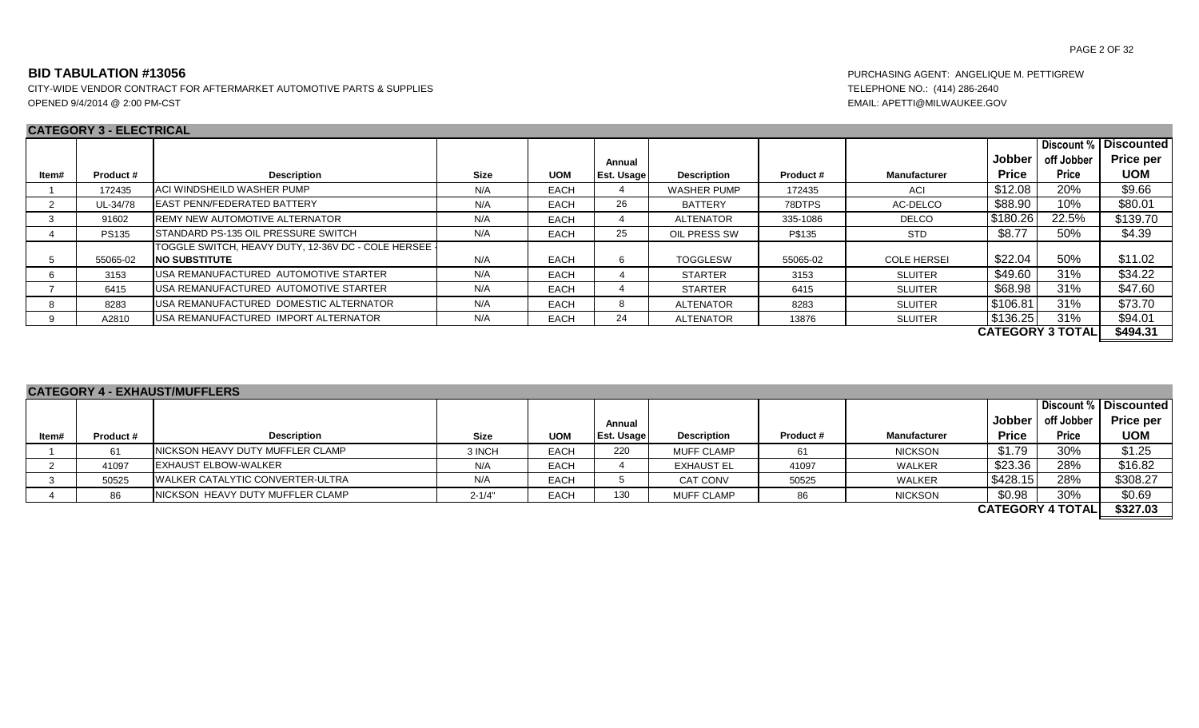CITY-WIDE VENDOR CONTRACT FOR AFTERMARKET AUTOMOTIVE PARTS & SUPPLIES TELEPHONE NO.: (414) 286-2640 OPENED 9/4/2014 @ 2:00 PM-CST EMAIL: APETTI@MILWAUKEE.GOV

### **CATEGORY 3 - ELECTRICAL**

|       | <b>UAILUUINI JELLUIINUAL</b> |                                                       |             |             |                   |                    |          |                    |              |                         |                   |
|-------|------------------------------|-------------------------------------------------------|-------------|-------------|-------------------|--------------------|----------|--------------------|--------------|-------------------------|-------------------|
|       |                              |                                                       |             |             |                   |                    |          |                    |              | Discount %              | <b>Discounted</b> |
|       |                              |                                                       |             |             | Annual            |                    |          |                    | Jobber       | off Jobber              | <b>Price per</b>  |
| Item# | Product#                     | <b>Description</b>                                    | <b>Size</b> | <b>UOM</b>  | <b>Est. Usage</b> | <b>Description</b> | Product# | Manufacturer       | <b>Price</b> | <b>Price</b>            | <b>UOM</b>        |
|       | 172435                       | <b>ACI WINDSHEILD WASHER PUMP</b>                     | N/A         | <b>EACH</b> |                   | <b>WASHER PUMP</b> | 172435   | ACI                | \$12.08      | 20%                     | \$9.66            |
|       | UL-34/78                     | <b>LEAST PENN/FEDERATED BATTERY</b>                   | N/A         | <b>EACH</b> | 26                | BATTERY            | 78DTPS   | AC-DELCO           | \$88.90      | 10%                     | \$80.01           |
|       | 91602                        | <b>IREMY NEW AUTOMOTIVE ALTERNATOR</b>                | N/A         | <b>EACH</b> |                   | ALTENATOR          | 335-1086 | DELCO              | \$180.26     | 22.5%                   | \$139.70          |
|       | <b>PS135</b>                 | <b>ISTANDARD PS-135 OIL PRESSURE SWITCH</b>           | N/A         | <b>EACH</b> | 25                | OIL PRESS SW       | P\$135   | <b>STD</b>         | \$8.77       | 50%                     | \$4.39            |
|       |                              | ITOGGLE SWITCH. HEAVY DUTY. 12-36V DC - COLE HERSEE I |             |             |                   |                    |          |                    |              |                         |                   |
|       | 55065-02                     | <b>INO SUBSTITUTE</b>                                 | N/A         | <b>EACH</b> |                   | <b>TOGGLESW</b>    | 55065-02 | <b>COLE HERSEI</b> | \$22.04      | 50%                     | \$11.02           |
|       | 3153                         | USA REMANUFACTURED AUTOMOTIVE STARTER                 | N/A         | <b>EACH</b> |                   | <b>STARTER</b>     | 3153     | <b>SLUITER</b>     | \$49.60      | 31%                     | \$34.22           |
|       | 6415                         | <b>IUSA REMANUFACTURED AUTOMOTIVE STARTER</b>         | N/A         | <b>EACH</b> |                   | <b>STARTER</b>     | 6415     | <b>SLUITER</b>     | \$68.98      | 31%                     | \$47.60           |
|       | 8283                         | USA REMANUFACTURED DOMESTIC ALTERNATOR                | N/A         | <b>EACH</b> |                   | <b>ALTENATOR</b>   | 8283     | <b>SLUITER</b>     | \$106.81     | 31%                     | \$73.70           |
|       | A2810                        | <b>IUSA REMANUFACTURED IMPORT ALTERNATOR</b>          | N/A         | <b>EACH</b> | 24                | ALTENATOR          | 13876    | <b>SLUITER</b>     | \$136.25     | 31%                     | \$94.01           |
|       |                              |                                                       |             |             |                   |                    |          |                    |              | <b>CATEGORY 3 TOTAL</b> | \$494.31          |

|       |          | <b>CATEGORY 4 - EXHAUST/MUFFLERS</b>     |             |             |            |                    |          |                |              |                         |                       |
|-------|----------|------------------------------------------|-------------|-------------|------------|--------------------|----------|----------------|--------------|-------------------------|-----------------------|
|       |          |                                          |             |             |            |                    |          |                |              |                         | Discount % Discounted |
|       |          |                                          |             |             | Annual     |                    |          |                | Jobber l     | off Jobber              | <b>Price per</b>      |
| ltem# | Product# | <b>Description</b>                       | <b>Size</b> | <b>UOM</b>  | Est. Usage | <b>Description</b> | Product# | Manufacturer   | <b>Price</b> | <b>Price</b>            | <b>UOM</b>            |
|       | 61       | <b>INICKSON HEAVY DUTY MUFFLER CLAMP</b> | 3 INCH      | <b>EACH</b> | 220        | <b>MUFF CLAMP</b>  | -61      | <b>NICKSON</b> | \$1.79       | 30%                     | \$1.25                |
|       | 41097    | <b>IEXHAUST ELBOW-WALKER</b>             | N/A         | <b>EACH</b> |            | <b>EXHAUST EL</b>  | 41097    | WALKER         | \$23.36      | 28%                     | \$16.82               |
|       | 50525    | <b>IWALKER CATALYTIC CONVERTER-ULTRA</b> | N/A         | <b>EACH</b> |            | CAT CONV           | 50525    | <b>WALKER</b>  | \$428.15     | 28%                     | \$308.27              |
|       | 86       | NICKSON HEAVY DUTY MUFFLER CLAMP         | $2 - 1/4"$  | <b>EACH</b> | 130        | <b>MUFF CLAMP</b>  | 86       | <b>NICKSON</b> | \$0.98       | 30%                     | \$0.69                |
|       |          |                                          |             |             |            |                    |          |                |              | <b>CATEGORY 4 TOTAL</b> | \$327.03              |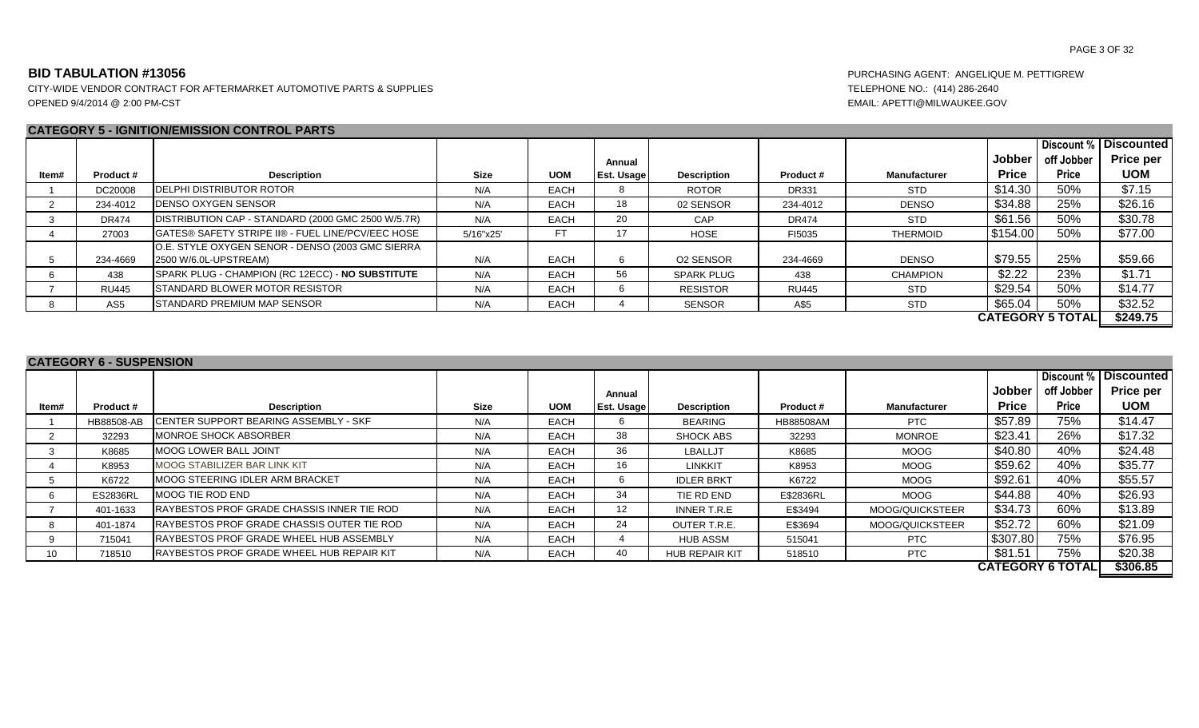### **CATEGORY 5 - IGNITION/EMISSION CONTROL PARTS**

|       |                 |                                                                           |             |             |                   |                    |              |                     |              |                         | Discount % Discounted |
|-------|-----------------|---------------------------------------------------------------------------|-------------|-------------|-------------------|--------------------|--------------|---------------------|--------------|-------------------------|-----------------------|
|       |                 |                                                                           |             |             | Annual            |                    |              |                     | Jobber       | off Jobber              | <b>Price per</b>      |
| ltem# | Product #       | <b>Description</b>                                                        | <b>Size</b> | <b>UOM</b>  | <b>Est. Usage</b> | <b>Description</b> | Product#     | <b>Manufacturer</b> | <b>Price</b> | <b>Price</b>            | <b>UOM</b>            |
|       | DC20008         | <b>DELPHI DISTRIBUTOR ROTOR</b>                                           | N/A         | <b>EACH</b> |                   | ROTOR              | <b>DR331</b> | <b>STD</b>          | \$14.30      | 50%                     | \$7.15                |
|       | 234-4012        | <b>DENSO OXYGEN SENSOR</b>                                                | N/A         | <b>EACH</b> | 18                | 02 SENSOR          | 234-4012     | <b>DENSO</b>        | \$34.88      | 25%                     | \$26.16               |
|       | <b>DR474</b>    | DISTRIBUTION CAP - STANDARD (2000 GMC 2500 W/5.7R)                        | N/A         | <b>EACH</b> | 20                | CAP                | <b>DR474</b> | <b>STD</b>          | \$61.56      | 50%                     | \$30.78               |
|       | 27003           | GATES® SAFETY STRIPE II® - FUEL LINE/PCV/EEC HOSE                         | 5/16"x25"   | FT          |                   | <b>HOSE</b>        | FI5035       | <b>THERMOID</b>     | \$154.00     | 50%                     | \$77.00               |
|       | 234-4669        | O.E. STYLE OXYGEN SENOR - DENSO (2003 GMC SIERRA<br>2500 W/6.0L-UPSTREAM) | N/A         | <b>EACH</b> |                   | O2 SENSOR          | 234-4669     | <b>DENSO</b>        | \$79.55      | 25%                     | \$59.66               |
|       | 438             | SPARK PLUG - CHAMPION (RC 12ECC) - NO SUBSTITUTE                          | N/A         | <b>EACH</b> | 56                | <b>SPARK PLUG</b>  | 438          | <b>CHAMPION</b>     | \$2.22       | 23%                     | \$1.71                |
|       | <b>RU445</b>    | STANDARD BLOWER MOTOR RESISTOR                                            | N/A         | <b>EACH</b> |                   | <b>RESISTOR</b>    | <b>RU445</b> | <b>STD</b>          | \$29.54      | 50%                     | \$14.77               |
|       | AS <sub>5</sub> | STANDARD PREMIUM MAP SENSOR                                               | N/A         | <b>EACH</b> |                   | <b>SENSOR</b>      | A\$5         | <b>STD</b>          | \$65.04      | 50%                     | \$32.52               |
|       |                 |                                                                           |             |             |                   |                    |              |                     |              | <b>CATEGORY 5 TOTAL</b> | \$249.75              |

### **CATEGORY 6 - SUSPENSION**

|       |                 |                                                    |             |             |                   |                       |           |                 |               | Discount %              | l Discounted     |
|-------|-----------------|----------------------------------------------------|-------------|-------------|-------------------|-----------------------|-----------|-----------------|---------------|-------------------------|------------------|
|       |                 |                                                    |             |             | Annual            |                       |           |                 | <b>Jobber</b> | off Jobber              | <b>Price per</b> |
| Item# | Product#        | <b>Description</b>                                 | <b>Size</b> | <b>UOM</b>  | <b>Est. Usage</b> | <b>Description</b>    | Product#  | Manufacturer    | <b>Price</b>  | <b>Price</b>            | <b>UOM</b>       |
|       | HB88508-AB      | <b>ICENTER SUPPORT BEARING ASSEMBLY - SKF</b>      | N/A         | <b>EACH</b> |                   | BEARING               | HB88508AM | <b>PTC</b>      | \$57.89       | 75%                     | \$14.47          |
|       | 32293           | <b>IMONROE SHOCK ABSORBER</b>                      | N/A         | <b>EACH</b> | 38                | <b>SHOCK ABS</b>      | 32293     | <b>MONROE</b>   | \$23.41       | 26%                     | \$17.32          |
|       | K8685           | <b>MOOG LOWER BALL JOINT</b>                       | N/A         | <b>EACH</b> | 36                | LBALLJT               | K8685     | MOOG            | \$40.80       | 40%                     | \$24.48          |
|       | K8953           | <b>MOOG STABILIZER BAR LINK KIT</b>                | N/A         | <b>EACH</b> | 16                | LINKKIT               | K8953     | MOOG            | \$59.62       | 40%                     | \$35.77          |
|       | K6722           | <b>IMOOG STEERING IDLER ARM BRACKET</b>            | N/A         | <b>EACH</b> |                   | <b>IDLER BRKT</b>     | K6722     | MOOG            | \$92.61       | 40%                     | \$55.57          |
|       | <b>ES2836RL</b> | <b>IMOOG TIE ROD END</b>                           | N/A         | <b>EACH</b> | 34                | TIE RD END            | E\$2836RL | MOOG            | \$44.88       | 40%                     | \$26.93          |
|       | 401-1633        | RAYBESTOS PROF GRADE CHASSIS INNER TIE ROD         | N/A         | <b>EACH</b> | 12 <sup>12</sup>  | INNER T.R.E           | E\$3494   | MOOG/QUICKSTEER | \$34.73       | 60%                     | \$13.89          |
|       | 401-1874        | <b>IRAYBESTOS PROF GRADE CHASSIS OUTER TIE ROD</b> | N/A         | <b>EACH</b> | 24                | OUTER T.R.E.          | E\$3694   | MOOG/QUICKSTEER | \$52.72       | 60%                     | \$21.09          |
|       | 715041          | <b>IRAYBESTOS PROF GRADE WHEEL HUB ASSEMBLY</b>    | N/A         | <b>EACH</b> |                   | <b>HUB ASSM</b>       | 515041    | PTC             | \$307.80      | 75%                     | \$76.95          |
| 10    | 718510          | <b>IRAYBESTOS PROF GRADE WHEEL HUB REPAIR KIT</b>  | N/A         | <b>EACH</b> | 40                | <b>HUB REPAIR KIT</b> | 518510    | <b>PTC</b>      | \$81.51       | 75%                     | \$20.38          |
|       |                 |                                                    |             |             |                   |                       |           |                 |               | <b>CATEGORY 6 TOTAL</b> | \$306.85         |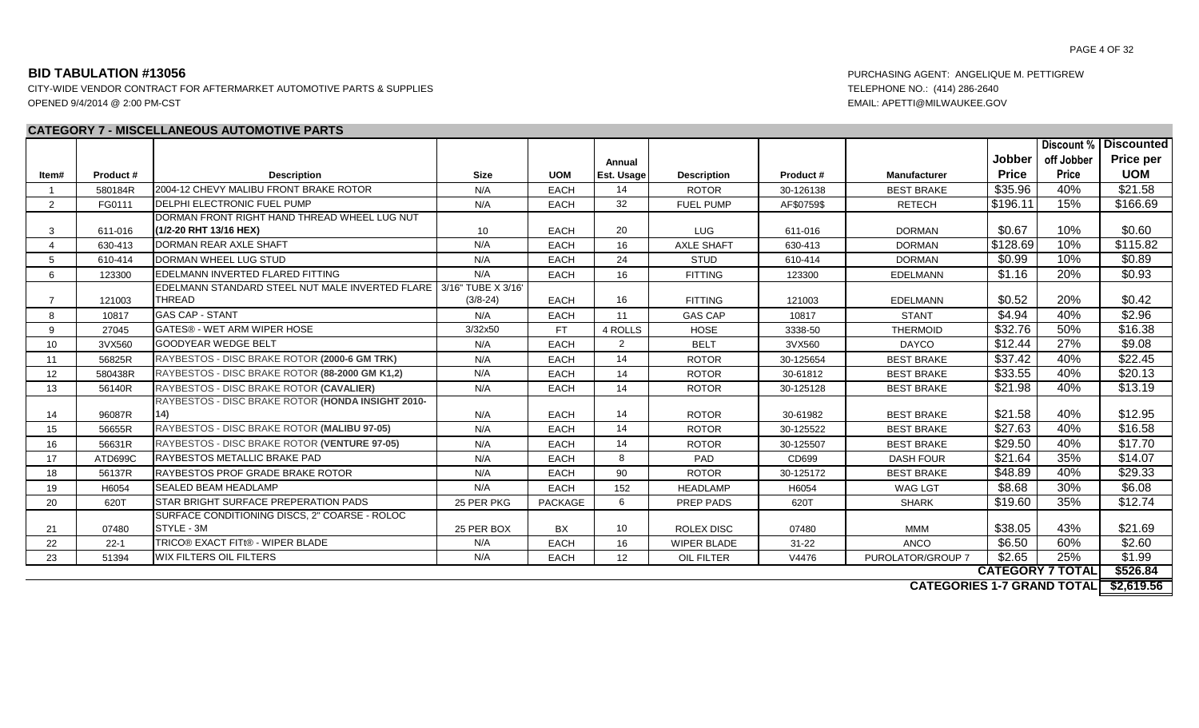CITY-WIDE VENDOR CONTRACT FOR AFTERMARKET AUTOMOTIVE PARTS & SUPPLIES TELEPHONE NO.: (414) 286-2640 OPENED 9/4/2014 @ 2:00 PM-CST EMAIL: APETTI@MILWAUKEE.GOV

### **CATEGORY 7 - MISCELLANEOUS AUTOMOTIVE PARTS**

|                |          |                                                                     |              |             |                 |                    |            |                   |              |                         | Discount %   Discounted |
|----------------|----------|---------------------------------------------------------------------|--------------|-------------|-----------------|--------------------|------------|-------------------|--------------|-------------------------|-------------------------|
|                |          |                                                                     |              |             | Annual          |                    |            |                   | Jobber       | off Jobber              | <b>Price per</b>        |
| ltem#          | Product# | <b>Description</b>                                                  | <b>Size</b>  | <b>UOM</b>  | Est. Usage      | <b>Description</b> | Product#   | Manufacturer      | <b>Price</b> | Price                   | <b>UOM</b>              |
|                | 580184R  | 2004-12 CHEVY MALIBU FRONT BRAKE ROTOR                              | N/A          | <b>EACH</b> | 14              | <b>ROTOR</b>       | 30-126138  | <b>BEST BRAKE</b> | \$35.96      | 40%                     | \$21.58                 |
| $\overline{2}$ | FG0111   | DELPHI ELECTRONIC FUEL PUMP                                         | N/A          | <b>EACH</b> | 32              | <b>FUEL PUMP</b>   | AF\$0759\$ | <b>RETECH</b>     | \$196.11     | 15%                     | \$166.69                |
|                |          | DORMAN FRONT RIGHT HAND THREAD WHEEL LUG NUT                        |              |             |                 |                    |            |                   |              |                         |                         |
| -3             | 611-016  | (1/2-20 RHT 13/16 HEX)                                              | 10           | <b>EACH</b> | 20              | <b>LUG</b>         | 611-016    | <b>DORMAN</b>     | \$0.67       | 10%                     | \$0.60                  |
|                | 630-413  | <b>IDORMAN REAR AXLE SHAFT</b>                                      | N/A          | <b>EACH</b> | 16              | <b>AXLE SHAFT</b>  | 630-413    | <b>DORMAN</b>     | \$128.69     | 10%                     | \$115.82                |
| 5              | 610-414  | DORMAN WHEEL LUG STUD                                               | N/A          | <b>EACH</b> | 24              | <b>STUD</b>        | 610-414    | <b>DORMAN</b>     | \$0.99       | 10%                     | \$0.89                  |
| 6              | 123300   | <b>IEDELMANN INVERTED FLARED FITTING</b>                            | N/A          | <b>EACH</b> | 16              | <b>FITTING</b>     | 123300     | <b>EDELMANN</b>   | \$1.16       | 20%                     | \$0.93                  |
|                |          | EDELMANN STANDARD STEEL NUT MALE INVERTED FLARE 13/16" TUBE X 3/16' |              |             |                 |                    |            |                   |              |                         |                         |
|                | 121003   | <b>THREAD</b>                                                       | $(3/8 - 24)$ | <b>EACH</b> | 16              | <b>FITTING</b>     | 121003     | <b>EDELMANN</b>   | \$0.52       | 20%                     | \$0.42                  |
| 8              | 10817    | <b>GAS CAP - STANT</b>                                              | N/A          | EACH        | 11              | <b>GAS CAP</b>     | 10817      | <b>STANT</b>      | \$4.94       | 40%                     | \$2.96                  |
| 9              | 27045    | <b>GATES® - WET ARM WIPER HOSE</b>                                  | 3/32x50      | FT.         | 4 ROLLS         | <b>HOSE</b>        | 3338-50    | <b>THERMOID</b>   | \$32.76      | 50%                     | \$16.38                 |
| 10             | 3VX560   | <b>GOODYEAR WEDGE BELT</b>                                          | N/A          | EACH        | 2               | <b>BELT</b>        | 3VX560     | <b>DAYCO</b>      | \$12.44      | 27%                     | \$9.08                  |
| 11             | 56825R   | RAYBESTOS - DISC BRAKE ROTOR (2000-6 GM TRK)                        | N/A          | EACH        | 14              | <b>ROTOR</b>       | 30-125654  | <b>BEST BRAKE</b> | \$37.42      | 40%                     | \$22.45                 |
| 12             | 580438R  | RAYBESTOS - DISC BRAKE ROTOR (88-2000 GM K1,2)                      | N/A          | <b>EACH</b> | 14              | <b>ROTOR</b>       | 30-61812   | <b>BEST BRAKE</b> | \$33.55      | 40%                     | \$20.13                 |
| 13             | 56140R   | RAYBESTOS - DISC BRAKE ROTOR (CAVALIER)                             | N/A          | <b>EACH</b> | 14              | <b>ROTOR</b>       | 30-125128  | <b>BEST BRAKE</b> | \$21.98      | 40%                     | \$13.19                 |
|                |          | RAYBESTOS - DISC BRAKE ROTOR (HONDA INSIGHT 2010-                   |              |             |                 |                    |            |                   |              |                         |                         |
| 14             | 96087R   | (14)                                                                | N/A          | EACH        | 14              | <b>ROTOR</b>       | 30-61982   | <b>BEST BRAKE</b> | \$21.58      | 40%                     | \$12.95                 |
| 15             | 56655R   | RAYBESTOS - DISC BRAKE ROTOR (MALIBU 97-05)                         | N/A          | <b>EACH</b> | 14              | <b>ROTOR</b>       | 30-125522  | <b>BEST BRAKE</b> | \$27.63      | 40%                     | \$16.58                 |
| 16             | 56631R   | RAYBESTOS - DISC BRAKE ROTOR (VENTURE 97-05)                        | N/A          | <b>EACH</b> | 14              | <b>ROTOR</b>       | 30-125507  | <b>BEST BRAKE</b> | \$29.50      | 40%                     | \$17.70                 |
| 17             | ATD699C  | <b>RAYBESTOS METALLIC BRAKE PAD</b>                                 | N/A          | <b>EACH</b> | 8               | PAD                | CD699      | <b>DASH FOUR</b>  | \$21.64      | 35%                     | \$14.07                 |
| 18             | 56137R   | RAYBESTOS PROF GRADE BRAKE ROTOR                                    | N/A          | <b>EACH</b> | 90              | <b>ROTOR</b>       | 30-125172  | <b>BEST BRAKE</b> | \$48.89      | 40%                     | \$29.33                 |
| 19             | H6054    | <b>SEALED BEAM HEADLAMP</b>                                         | N/A          | <b>EACH</b> | 152             | <b>HEADLAMP</b>    | H6054      | <b>WAG LGT</b>    | \$8.68       | 30%                     | \$6.08                  |
| 20             | 620T     | <b>ISTAR BRIGHT SURFACE PREPERATION PADS</b>                        | 25 PER PKG   | PACKAGE     | 6               | PREP PADS          | 620T       | <b>SHARK</b>      | \$19.60      | 35%                     | \$12.74                 |
|                |          | SURFACE CONDITIONING DISCS, 2" COARSE - ROLOC                       |              |             |                 |                    |            |                   |              |                         |                         |
| 21             | 07480    | STYLE - 3M                                                          | 25 PER BOX   | <b>BX</b>   | 10              | <b>ROLEX DISC</b>  | 07480      | <b>MMM</b>        | \$38.05      | 43%                     | \$21.69                 |
| 22             | $22 - 1$ | TRICO® EXACT FITt® - WIPER BLADE                                    | N/A          | <b>EACH</b> | 16              | <b>WIPER BLADE</b> | $31 - 22$  | <b>ANCO</b>       | \$6.50       | 60%                     | \$2.60                  |
| 23             | 51394    | <b>WIX FILTERS OIL FILTERS</b>                                      | N/A          | <b>EACH</b> | 12 <sup>°</sup> | OIL FILTER         | V4476      | PUROLATOR/GROUP 7 | \$2.65       | 25%                     | \$1.99                  |
|                |          |                                                                     |              |             |                 |                    |            |                   |              | <b>CATEGORY 7 TOTAL</b> | \$526.84                |

**\$2,619.56 CATEGORIES 1-7 GRAND TOTAL**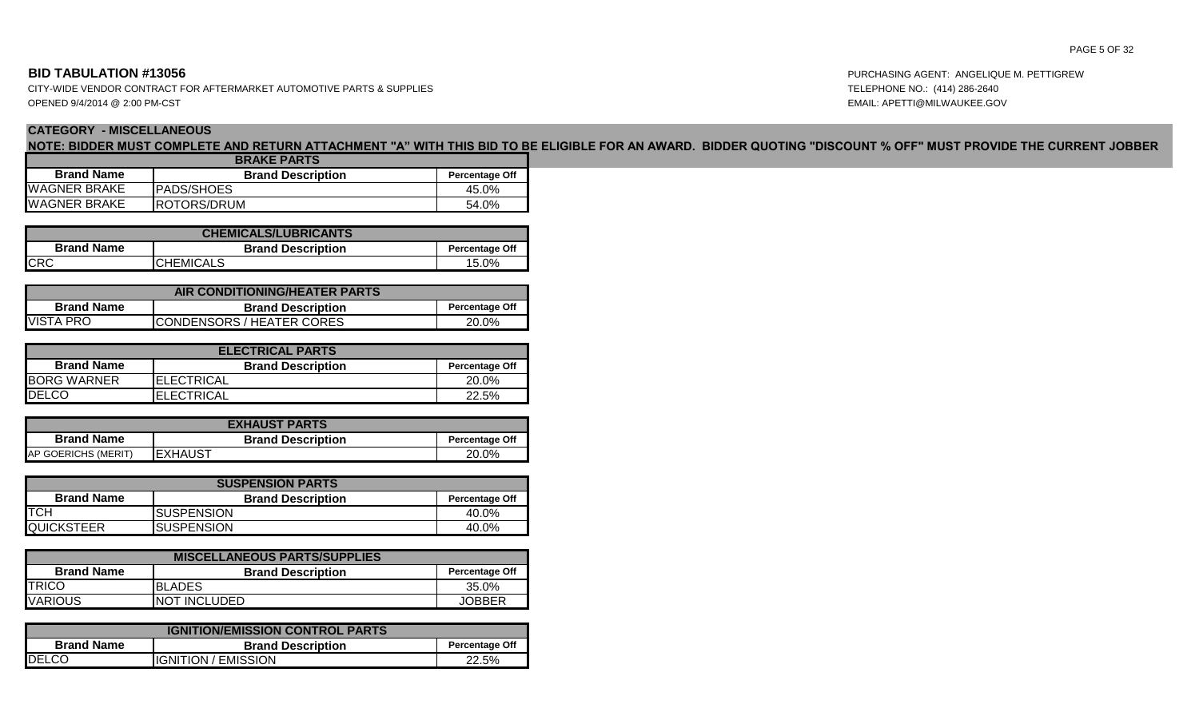CITY-WIDE VENDOR CONTRACT FOR AFTERMARKET AUTOMOTIVE PARTS & SUPPLIES TELEPHONE NO.: (414) 286-2640 OPENED 9/4/2014 @ 2:00 PM-CST EMAIL: APETTI@MILWAUKEE.GOV

# **CATEGORY - MISCELLANEOUS**

**NOTE: BIDDER MUST COMPLETE AND RETURN ATTACHMENT "A" WITH THIS BID TO BE ELIGIBLE FOR AN AWARD. BIDDER QUOTING "DISCOUNT % OFF" MUST PROVIDE THE CURRENT JOBBER** 

| <b>BRAKE PARTS</b>  |                       |       |  |  |  |  |  |
|---------------------|-----------------------|-------|--|--|--|--|--|
| <b>Brand Name</b>   | <b>Percentage Off</b> |       |  |  |  |  |  |
| <b>WAGNER BRAKE</b> | <b>PADS/SHOES</b>     | 45.0% |  |  |  |  |  |
| <b>WAGNER BRAKE</b> | <b>IROTORS/DRUM</b>   | 54.0% |  |  |  |  |  |

| <b>CHEMICALS/LUBRICANTS</b> |                          |                       |  |  |  |  |  |  |
|-----------------------------|--------------------------|-----------------------|--|--|--|--|--|--|
| <b>Brand Name</b>           | <b>Brand Description</b> | <b>Percentage Off</b> |  |  |  |  |  |  |
| <b>CRC</b>                  | <b>CHEMICALS</b>         | 15.0%                 |  |  |  |  |  |  |

| AIR CONDITIONING/HEATER PARTS                         |                                                   |  |  |  |  |  |  |  |
|-------------------------------------------------------|---------------------------------------------------|--|--|--|--|--|--|--|
| <b>Brand Name</b>                                     | <b>Brand Description</b><br><b>Percentage Off</b> |  |  |  |  |  |  |  |
| <b>VISTA PRO</b><br><b>ICONDENSORS / HEATER CORES</b> | 20.0%                                             |  |  |  |  |  |  |  |

| <b>ELECTRICAL PARTS</b> |                          |                       |  |  |  |  |  |  |
|-------------------------|--------------------------|-----------------------|--|--|--|--|--|--|
| <b>Brand Name</b>       | <b>Brand Description</b> | <b>Percentage Off</b> |  |  |  |  |  |  |
| <b>BORG WARNER</b>      | IELECTRICAL              | 20.0%                 |  |  |  |  |  |  |
| <b>DELCO</b>            | <b>IELECTRICAL</b>       | 22.5%                 |  |  |  |  |  |  |

| <b>EXHAUST PARTS</b>       |                          |                       |  |  |  |  |  |
|----------------------------|--------------------------|-----------------------|--|--|--|--|--|
| <b>Brand Name</b>          | <b>Brand Description</b> | <b>Percentage Off</b> |  |  |  |  |  |
| <b>AP GOERICHS (MERIT)</b> | IEXHAUST                 | 20.0%                 |  |  |  |  |  |

| <b>SUSPENSION PARTS</b> |                          |                       |  |  |  |  |  |  |  |
|-------------------------|--------------------------|-----------------------|--|--|--|--|--|--|--|
| <b>Brand Name</b>       | <b>Brand Description</b> | <b>Percentage Off</b> |  |  |  |  |  |  |  |
| <b>ITCH</b>             | <b>ISUSPENSION</b>       | 40.0%                 |  |  |  |  |  |  |  |
| <b>QUICKSTEER</b>       | ISUSPENSION              | 40.0%                 |  |  |  |  |  |  |  |

| <b>MISCELLANEOUS PARTS/SUPPLIES</b>                                    |               |        |  |  |  |  |  |  |  |  |
|------------------------------------------------------------------------|---------------|--------|--|--|--|--|--|--|--|--|
| <b>Brand Name</b><br><b>Brand Description</b><br><b>Percentage Off</b> |               |        |  |  |  |  |  |  |  |  |
| <b>TRICO</b>                                                           | IBLADES       | 35.0%  |  |  |  |  |  |  |  |  |
| <b>VARIOUS</b>                                                         | INOT INCLUDED | JOBBER |  |  |  |  |  |  |  |  |

| <b>IGNITION/EMISSION CONTROL PARTS</b> |                          |                       |  |  |  |  |  |  |  |
|----------------------------------------|--------------------------|-----------------------|--|--|--|--|--|--|--|
| <b>Brand Name</b>                      | <b>Brand Description</b> | <b>Percentage Off</b> |  |  |  |  |  |  |  |
| <b>IDELCO</b>                          | IIGNITION / EMISSION     | 22.5%                 |  |  |  |  |  |  |  |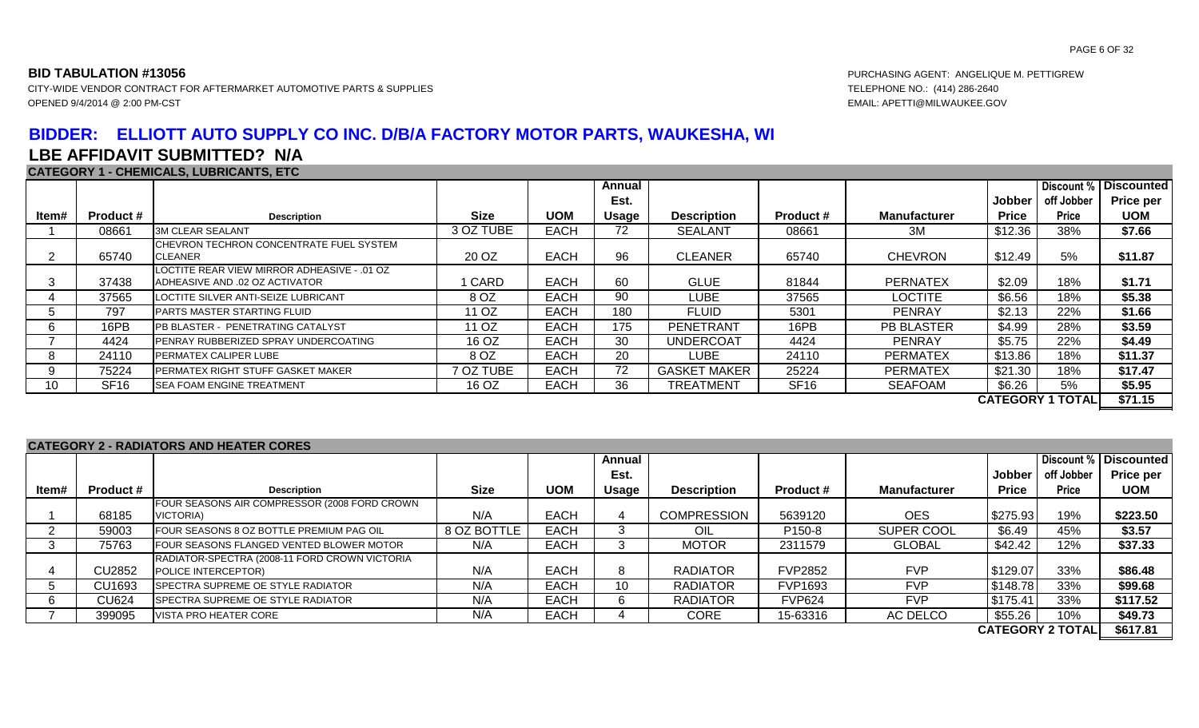CITY-WIDE VENDOR CONTRACT FOR AFTERMARKET AUTOMOTIVE PARTS & SUPPLIES TELEPHONE NO.: (414) 286-2640 OPENED 9/4/2014 @ 2:00 PM-CST EMAIL: APETTI@MILWAUKEE.GOV

# **BIDDER: ELLIOTT AUTO SUPPLY CO INC. D/B/A FACTORY MOTOR PARTS, WAUKESHA, WI LBE AFFIDAVIT SUBMITTED? N/A**

### **CATEGORY 1 - CHEMICALS, LUBRICANTS, ETC**

|       |                  |                                                                               |             |             | Annual |                     |                  |                     |              |                         | Discount %   Discounted |
|-------|------------------|-------------------------------------------------------------------------------|-------------|-------------|--------|---------------------|------------------|---------------------|--------------|-------------------------|-------------------------|
|       |                  |                                                                               |             |             | Est.   |                     |                  |                     | Jobber       | off Jobber              | Price per               |
| ltem# | Product #        | <b>Description</b>                                                            | <b>Size</b> | <b>UOM</b>  | Usage  | <b>Description</b>  | <b>Product #</b> | <b>Manufacturer</b> | <b>Price</b> | <b>Price</b>            | <b>UOM</b>              |
|       | 08661            | <b>3M CLEAR SEALANT</b>                                                       | 3 OZ TUBE   | <b>EACH</b> | 72     | <b>SEALANT</b>      | 08661            | 3M                  | \$12.36      | 38%                     | \$7.66                  |
|       | 65740            | CHEVRON TECHRON CONCENTRATE FUEL SYSTEM<br>CLEANER                            | 20 OZ       | <b>EACH</b> | 96     | <b>CLEANER</b>      | 65740            | <b>CHEVRON</b>      | \$12.49      | 5%                      | \$11.87                 |
| 3     | 37438            | LOCTITE REAR VIEW MIRROR ADHEASIVE - .01 OZ<br>ADHEASIVE AND .02 OZ ACTIVATOR | 1 CARD      | <b>EACH</b> | 60     | <b>GLUE</b>         | 81844            | <b>PERNATEX</b>     | \$2.09       | 18%                     | \$1.71                  |
|       | 37565            | LOCTITE SILVER ANTI-SEIZE LUBRICANT                                           | 8 OZ        | <b>EACH</b> | 90     | LUBE                | 37565            | <b>LOCTITE</b>      | \$6.56       | 18%                     | \$5.38                  |
| 5     | 797              | PARTS MASTER STARTING FLUID                                                   | 11 OZ       | <b>EACH</b> | 180    | <b>FLUID</b>        | 5301             | <b>PENRAY</b>       | \$2.13       | 22%                     | \$1.66                  |
| 6     | 16PB             | PB BLASTER - PENETRATING CATALYST                                             | 11 OZ       | <b>EACH</b> | 175    | PENETRANT           | 16PB             | <b>PB BLASTER</b>   | \$4.99       | 28%                     | \$3.59                  |
|       | 4424             | PENRAY RUBBERIZED SPRAY UNDERCOATING                                          | 16 OZ       | <b>EACH</b> | 30     | <b>UNDERCOAT</b>    | 4424             | <b>PENRAY</b>       | \$5.75       | 22%                     | \$4.49                  |
| 8     | 24110            | PERMATEX CALIPER LUBE                                                         | 8 OZ        | <b>EACH</b> | 20     | <b>LUBE</b>         | 24110            | <b>PERMATEX</b>     | \$13.86      | 18%                     | \$11.37                 |
| 9     | 75224            | PERMATEX RIGHT STUFF GASKET MAKER                                             | 7 OZ TUBE   | <b>EACH</b> | 72     | <b>GASKET MAKER</b> | 25224            | <b>PERMATEX</b>     | \$21.30      | 18%                     | \$17.47                 |
| 10    | SF <sub>16</sub> | <b>SEA FOAM ENGINE TREATMENT</b>                                              | 16 OZ       | <b>EACH</b> | 36     | <b>TREATMENT</b>    | SF <sub>16</sub> | <b>SEAFOAM</b>      | \$6.26       | 5%                      | \$5.95                  |
|       |                  |                                                                               |             |             |        |                     |                  |                     |              | <b>CATEGORY 1 TOTAL</b> | \$71.15                 |

**CATEGORY 2 - RADIATORS AND HEATER CORES**

|       |               | 97 \ I E O O I \ I _ E _ I \/ \P  / \ I \O I \\O 7 \I \P_I I IE/ \ I EI \_ O O I \EV |             |             |        |                    |                    |                     |              |                         |                   |
|-------|---------------|--------------------------------------------------------------------------------------|-------------|-------------|--------|--------------------|--------------------|---------------------|--------------|-------------------------|-------------------|
|       |               |                                                                                      |             |             | Annual |                    |                    |                     |              | Discount %              | <b>Discounted</b> |
|       |               |                                                                                      |             |             | Est.   |                    |                    |                     | Jobber       | off Jobber              | <b>Price per</b>  |
| ltem# | Product #     | <b>Description</b>                                                                   | Size        | <b>UOM</b>  | Usage  | <b>Description</b> | <b>Product #</b>   | <b>Manufacturer</b> | <b>Price</b> | <b>Price</b>            | <b>UOM</b>        |
|       |               | FOUR SEASONS AIR COMPRESSOR (2008 FORD CROWN                                         |             |             |        |                    |                    |                     |              |                         |                   |
|       | 68185         | VICTORIA)                                                                            | N/A         | <b>EACH</b> |        | <b>COMPRESSION</b> | 5639120            | <b>OES</b>          | \$275.93     | 19%                     | \$223.50          |
|       | 59003         | FOUR SEASONS 8 OZ BOTTLE PREMIUM PAG OIL                                             | 8 OZ BOTTLE | <b>EACH</b> |        | OIL                | P <sub>150-8</sub> | SUPER COOL          | \$6.49       | 45%                     | \$3.57            |
| -3    | 75763         | FOUR SEASONS FLANGED VENTED BLOWER MOTOR                                             | N/A         | <b>EACH</b> |        | <b>MOTOR</b>       | 2311579            | <b>GLOBAL</b>       | \$42.42      | 12%                     | \$37.33           |
|       |               | RADIATOR-SPECTRA (2008-11 FORD CROWN VICTORIA                                        |             |             |        |                    |                    |                     |              |                         |                   |
|       | <b>CU2852</b> | POLICE INTERCEPTOR)                                                                  | N/A         | <b>EACH</b> |        | <b>RADIATOR</b>    | <b>FVP2852</b>     | <b>FVP</b>          | \$129.07     | 33%                     | \$86.48           |
|       | CU1693        | <b>SPECTRA SUPREME OE STYLE RADIATOR</b>                                             | N/A         | <b>EACH</b> | 10     | <b>RADIATOR</b>    | <b>FVP1693</b>     | <b>FVP</b>          | \$148.78     | 33%                     | \$99.68           |
|       | CU624         | <b>SPECTRA SUPREME OE STYLE RADIATOR</b>                                             | N/A         | <b>EACH</b> |        | <b>RADIATOR</b>    | <b>FVP624</b>      | <b>FVP</b>          | \$175.41     | 33%                     | \$117.52          |
|       | 399095        | VISTA PRO HEATER CORE                                                                | N/A         | <b>EACH</b> |        | CORE               | 15-63316           | AC DELCO            | \$55.26      | 10%                     | \$49.73           |
|       |               |                                                                                      |             |             |        |                    |                    |                     |              | <b>CATEGORY 2 TOTAL</b> | \$617.81          |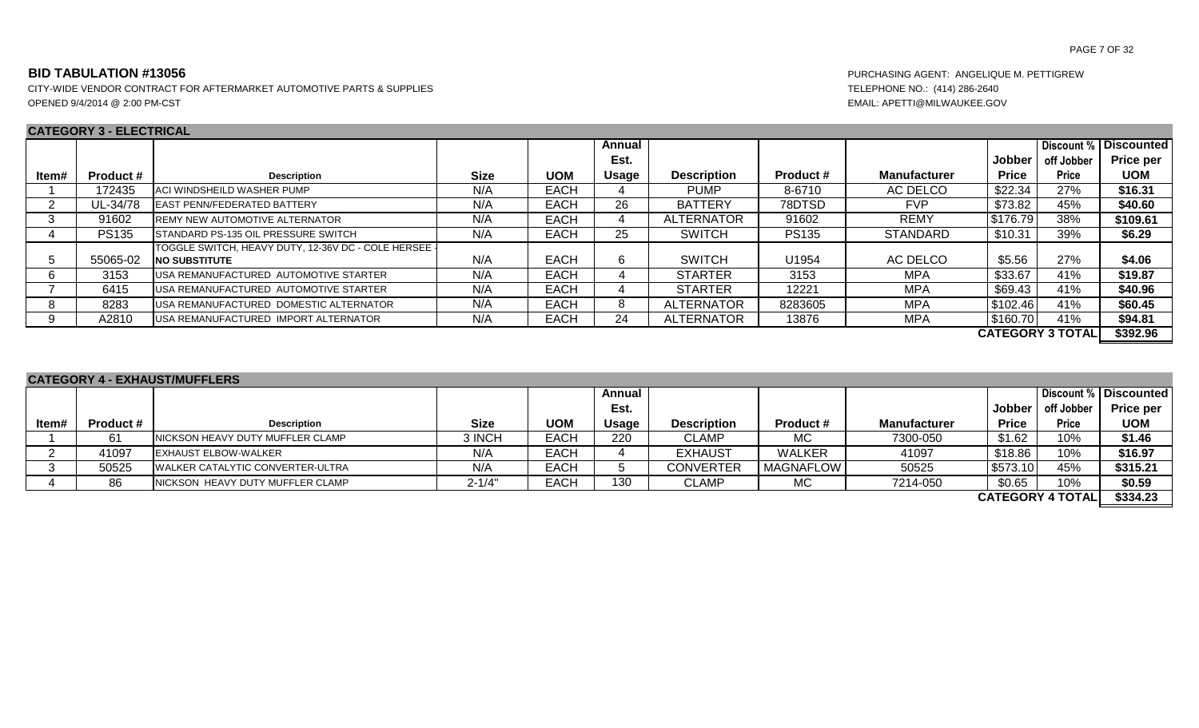CITY-WIDE VENDOR CONTRACT FOR AFTERMARKET AUTOMOTIVE PARTS & SUPPLIES TELEPHONE NO.: (414) 286-2640 OPENED 9/4/2014 @ 2:00 PM-CST EMAIL: APETTI@MILWAUKEE.GOV

### **CATEGORY 3 - ELECTRICAL**

PAGE 7 OF 32

|       | VAILVULI V LLLVIINVAL |                                                                               |             |             |        |                    |                  |                     |              |                         |                   |
|-------|-----------------------|-------------------------------------------------------------------------------|-------------|-------------|--------|--------------------|------------------|---------------------|--------------|-------------------------|-------------------|
|       |                       |                                                                               |             |             | Annual |                    |                  |                     |              | Discount %              | <b>Discounted</b> |
|       |                       |                                                                               |             |             | Est.   |                    |                  |                     | Jobber       | off Jobber              | <b>Price per</b>  |
| ltem# | <b>Product #</b>      | <b>Description</b>                                                            | <b>Size</b> | <b>UOM</b>  | Usage  | <b>Description</b> | <b>Product #</b> | <b>Manufacturer</b> | <b>Price</b> | <b>Price</b>            | <b>UOM</b>        |
|       | 172435                | ACI WINDSHEILD WASHER PUMP                                                    | N/A         | <b>EACH</b> |        | <b>PUMP</b>        | 8-6710           | AC DELCO            | \$22.34      | 27%                     | \$16.31           |
|       | UL-34/78              | <b>LEAST PENN/FEDERATED BATTERY</b>                                           | N/A         | <b>EACH</b> | 26     | <b>BATTERY</b>     | 78DTSD           | <b>FVP</b>          | \$73.82      | 45%                     | \$40.60           |
| 3     | 91602                 | <b>REMY NEW AUTOMOTIVE ALTERNATOR</b>                                         | N/A         | <b>EACH</b> |        | ALTERNATOR         | 91602            | <b>REMY</b>         | \$176.79     | 38%                     | \$109.61          |
|       | <b>PS135</b>          | <b>ISTANDARD PS-135 OIL PRESSURE SWITCH</b>                                   | N/A         | <b>EACH</b> | 25     | <b>SWITCH</b>      | <b>PS135</b>     | <b>STANDARD</b>     | \$10.31      | 39%                     | \$6.29            |
| 5     | 55065-02              | TOGGLE SWITCH, HEAVY DUTY, 12-36V DC - COLE HERSEE -<br><b>INO SUBSTITUTE</b> | N/A         | <b>EACH</b> | 6.     | <b>SWITCH</b>      | U1954            | AC DELCO            | \$5.56       | 27%                     | \$4.06            |
| -6    | 3153                  | USA REMANUFACTURED AUTOMOTIVE STARTER                                         | N/A         | <b>EACH</b> |        | <b>STARTER</b>     | 3153             | <b>MPA</b>          | \$33.67      | 41%                     | \$19.87           |
|       | 6415                  | USA REMANUFACTURED AUTOMOTIVE STARTER                                         | N/A         | <b>EACH</b> |        | <b>STARTER</b>     | 12221            | <b>MPA</b>          | \$69.43      | 41%                     | \$40.96           |
| 8     | 8283                  | USA REMANUFACTURED DOMESTIC ALTERNATOR                                        | N/A         | <b>EACH</b> |        | <b>ALTERNATOR</b>  | 8283605          | <b>MPA</b>          | \$102.46     | 41%                     | \$60.45           |
| 9     | A2810                 | USA REMANUFACTURED IMPORT ALTERNATOR                                          | N/A         | <b>EACH</b> | 24     | ALTERNATOR         | 13876            | MPA                 | \$160.70     | 41%                     | \$94.81           |
|       |                       |                                                                               |             |             |        |                    |                  |                     |              | <b>CATEGORY 3 TOTAL</b> | \$392.96          |

### **Item# Product # I Description Description Description Description Size UOM Annual Est. Usage Description Product # Manufacturer Jobber Price Discount % off Jobber Price Discounted Price per UOM** 1 61 NICKSON HEAVY DUTY MUFFLER CLAMP 3 INCH EACH 220 CLAMP MC 7300-050 \$1.62 10% **\$1.46** 2 | 41097 |EXHAUST ELBOW-WALKER | N/A | EACH | 4 | EXHAUST | WALKER | 41097 | \$18.86 | 10% | **\$16.97** 3 50525 WALKER CATALYTIC CONVERTER-ULTRA N/A EACH 5 CONVERTER MAGNAFLOW 50525 \$573.10 45% \$315.21 4 86 NICKSON HEAVY DUTY MUFFLER CLAMP **2-1/4"** EACH 130 CLAMP MC MC 7214-050 \$0.65 10% \$0.59 **\$334.23 CATEGORY 4 - EXHAUST/MUFFLERS CATEGORY 4 TOTAL**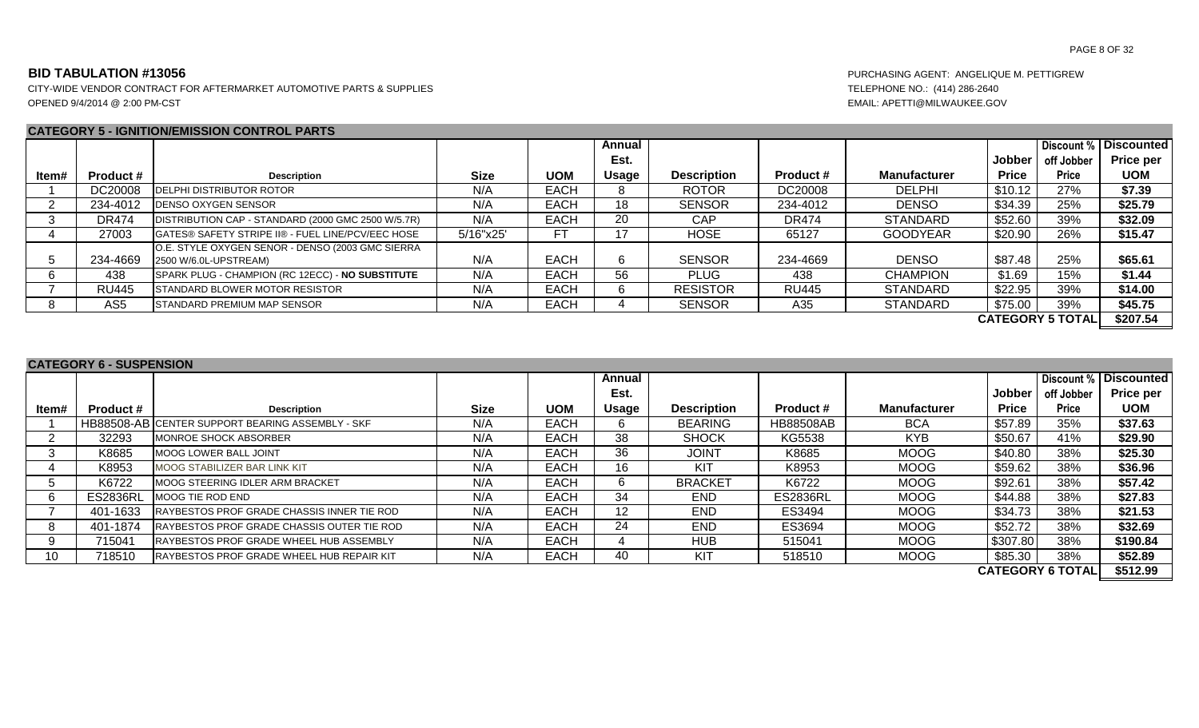CITY-WIDE VENDOR CONTRACT FOR AFTERMARKET AUTOMOTIVE PARTS & SUPPLIES TELEPHONE NO.: (414) 286-2640 OPENED 9/4/2014 @ 2:00 PM-CST EMAIL: APETTI@MILWAUKEE.GOV

### **CATEGORY 5 - IGNITION/EMISSION CONTROL PARTS**

|       |                  |                                                                           |             |             | Annual |                    |                  |                     |              | Discount %              | <b>Discounted</b> |
|-------|------------------|---------------------------------------------------------------------------|-------------|-------------|--------|--------------------|------------------|---------------------|--------------|-------------------------|-------------------|
|       |                  |                                                                           |             |             | Est.   |                    |                  |                     | Jobber       | off Jobber              | Price per         |
| Item# | <b>Product #</b> | <b>Description</b>                                                        | <b>Size</b> | <b>UOM</b>  | Usage  | <b>Description</b> | <b>Product #</b> | <b>Manufacturer</b> | <b>Price</b> | <b>Price</b>            | <b>UOM</b>        |
|       | DC20008          | <b>IDELPHI DISTRIBUTOR ROTOR</b>                                          | N/A         | <b>EACH</b> | o.     | <b>ROTOR</b>       | DC20008          | <b>DELPHI</b>       | \$10.12      | 27%                     | \$7.39            |
|       | 234-4012         | <b>IDENSO OXYGEN SENSOR</b>                                               | N/A         | <b>EACH</b> | 18     | <b>SENSOR</b>      | 234-4012         | <b>DENSO</b>        | \$34.39      | 25%                     | \$25.79           |
|       | <b>DR474</b>     | DISTRIBUTION CAP - STANDARD (2000 GMC 2500 W/5.7R)                        | N/A         | <b>EACH</b> | 20     | CAP                | <b>DR474</b>     | <b>STANDARD</b>     | \$52.60      | 39%                     | \$32.09           |
|       | 27003            | <b>IGATES® SAFETY STRIPE II® - FUEL LINE/PCV/EEC HOSE</b>                 | 5/16"x25'   | FТ          | 17     | <b>HOSE</b>        | 65127            | <b>GOODYEAR</b>     | \$20.90      | 26%                     | \$15.47           |
|       | 234-4669         | O.E. STYLE OXYGEN SENOR - DENSO (2003 GMC SIERRA<br>2500 W/6.0L-UPSTREAM) | N/A         | <b>EACH</b> | 6      | <b>SENSOR</b>      | 234-4669         | <b>DENSO</b>        | \$87.48      | 25%                     | \$65.61           |
|       | 438              | SPARK PLUG - CHAMPION (RC 12ECC) - NO SUBSTITUTE                          | N/A         | <b>EACH</b> | 56     | <b>PLUG</b>        | 438              | <b>CHAMPION</b>     | \$1.69       | 15%                     | \$1.44            |
|       | <b>RU445</b>     | <b>ISTANDARD BLOWER MOTOR RESISTOR</b>                                    | N/A         | <b>EACH</b> | h.     | <b>RESISTOR</b>    | <b>RU445</b>     | <b>STANDARD</b>     | \$22.95      | 39%                     | \$14.00           |
|       | AS <sub>5</sub>  | <b>ISTANDARD PREMIUM MAP SENSOR</b>                                       | N/A         | <b>EACH</b> |        | <b>SENSOR</b>      | A35              | <b>STANDARD</b>     | \$75.00      | 39%                     | \$45.75           |
|       |                  |                                                                           |             |             |        |                    |                  |                     |              | <b>CATEGORY 5 TOTAL</b> | \$207.54          |

### **CATEGORY 6 - SUSPENSION**

|       |                  |                                                  |             |             | Annual           |                    |                  |                     |              | Discount %              | <b>Discounted</b> |
|-------|------------------|--------------------------------------------------|-------------|-------------|------------------|--------------------|------------------|---------------------|--------------|-------------------------|-------------------|
|       |                  |                                                  |             |             | Est.             |                    |                  |                     | Jobber       | off Jobber              | <b>Price per</b>  |
| ltem# | <b>Product #</b> | <b>Description</b>                               | <b>Size</b> | <b>UOM</b>  | <b>Usage</b>     | <b>Description</b> | <b>Product #</b> | <b>Manufacturer</b> | <b>Price</b> | <b>Price</b>            | <b>UOM</b>        |
|       |                  | HB88508-AB CENTER SUPPORT BEARING ASSEMBLY - SKF | N/A         | <b>EACH</b> |                  | <b>BEARING</b>     | <b>HB88508AB</b> | <b>BCA</b>          | \$57.89      | 35%                     | \$37.63           |
|       | 32293            | MONROE SHOCK ABSORBER                            | N/A         | EACH        | 38               | <b>SHOCK</b>       | KG5538           | <b>KYB</b>          | \$50.67      | 41%                     | \$29.90           |
| 3     | K8685            | MOOG LOWER BALL JOINT                            | N/A         | <b>EACH</b> | 36               | <b>JOINT</b>       | K8685            | MOOG                | \$40.80      | 38%                     | \$25.30           |
|       | K8953            | MOOG STABILIZER BAR LINK KIT                     | N/A         | <b>EACH</b> | 16               | KIT                | K8953            | <b>MOOG</b>         | \$59.62      | 38%                     | \$36.96           |
|       | K6722            | MOOG STEERING IDLER ARM BRACKET                  | N/A         | <b>EACH</b> |                  | <b>BRACKET</b>     | K6722            | <b>MOOG</b>         | \$92.61      | 38%                     | \$57.42           |
| 6     | <b>ES2836RL</b>  | MOOG TIE ROD END                                 | N/A         | <b>EACH</b> | 34               | <b>END</b>         | <b>ES2836RL</b>  | MOOG                | \$44.88      | 38%                     | \$27.83           |
|       | 401-1633         | RAYBESTOS PROF GRADE CHASSIS INNER TIE ROD       | N/A         | EACH        | 12 <sup>12</sup> | <b>END</b>         | ES3494           | MOOG                | \$34.73      | 38%                     | \$21.53           |
| 8     | 401-1874         | RAYBESTOS PROF GRADE CHASSIS OUTER TIE ROD       | N/A         | <b>EACH</b> | 24               | <b>END</b>         | ES3694           | <b>MOOG</b>         | \$52.72      | 38%                     | \$32.69           |
| 9     | 715041           | RAYBESTOS PROF GRADE WHEEL HUB ASSEMBLY          | N/A         | EACH        |                  | <b>HUB</b>         | 515041           | <b>MOOG</b>         | \$307.80     | 38%                     | \$190.84          |
| 10    | 718510           | RAYBESTOS PROF GRADE WHEEL HUB REPAIR KIT        | N/A         | EACH        | 40               | KIT                | 518510           | MOOG                | \$85.30      | 38%                     | \$52.89           |
|       |                  |                                                  |             |             |                  |                    |                  |                     |              | <b>CATEGORY 6 TOTAL</b> | \$512.99          |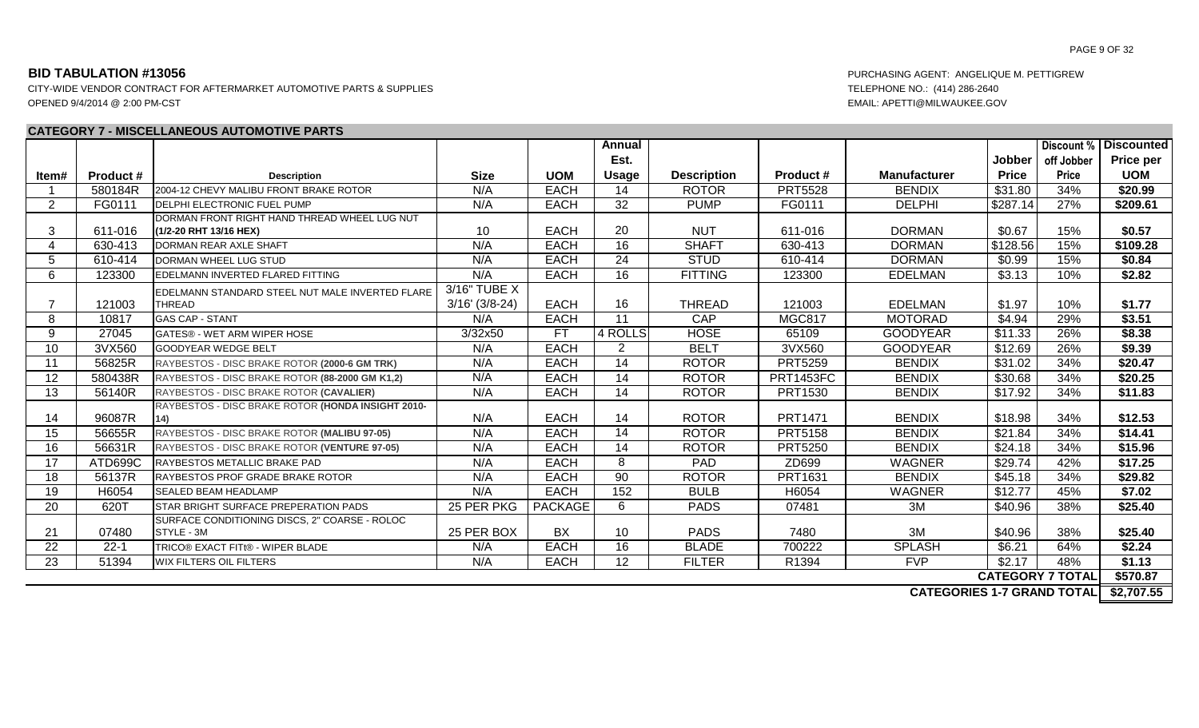### **CATEGORY 7 - MISCELLANEOUS AUTOMOTIVE PARTS**

PAGE 9 OF 32

|                |                  |                                                   |                      |                | <b>Annual</b>   |                    |                  |                     |              |                         | <b>Discount %   Discounted  </b> |
|----------------|------------------|---------------------------------------------------|----------------------|----------------|-----------------|--------------------|------------------|---------------------|--------------|-------------------------|----------------------------------|
|                |                  |                                                   |                      |                | Est.            |                    |                  |                     | Jobber       | off Jobber              | <b>Price per</b>                 |
| ltem#          | <b>Product #</b> | <b>Description</b>                                | <b>Size</b>          | <b>UOM</b>     | <b>Usage</b>    | <b>Description</b> | <b>Product #</b> | <b>Manufacturer</b> | <b>Price</b> | Price                   | <b>UOM</b>                       |
| $\overline{1}$ | 580184R          | 2004-12 CHEVY MALIBU FRONT BRAKE ROTOR            | N/A                  | <b>EACH</b>    | 14              | <b>ROTOR</b>       | <b>PRT5528</b>   | <b>BENDIX</b>       | \$31.80      | 34%                     | \$20.99                          |
| 2              | FG0111           | <b>IDELPHI ELECTRONIC FUEL PUMP</b>               | N/A                  | <b>EACH</b>    | 32              | <b>PUMP</b>        | FG0111           | <b>DELPHI</b>       | \$287.14     | 27%                     | \$209.61                         |
|                |                  | DORMAN FRONT RIGHT HAND THREAD WHEEL LUG NUT      |                      |                |                 |                    |                  |                     |              |                         |                                  |
| 3              | 611-016          | (1/2-20 RHT 13/16 HEX)                            | 10                   | <b>EACH</b>    | 20              | <b>NUT</b>         | 611-016          | <b>DORMAN</b>       | \$0.67       | 15%                     | \$0.57                           |
| 4              | 630-413          | DORMAN REAR AXLE SHAFT                            | N/A                  | <b>EACH</b>    | 16              | <b>SHAFT</b>       | 630-413          | <b>DORMAN</b>       | \$128.56     | 15%                     | \$109.28                         |
| 5              | 610-414          | <b>DORMAN WHEEL LUG STUD</b>                      | N/A                  | <b>EACH</b>    | 24              | <b>STUD</b>        | 610-414          | <b>DORMAN</b>       | \$0.99       | 15%                     | \$0.84                           |
| 6              | 123300           | EDELMANN INVERTED FLARED FITTING                  | N/A                  | <b>EACH</b>    | 16              | <b>FITTING</b>     | 123300           | <b>EDELMAN</b>      | \$3.13       | 10%                     | \$2.82                           |
|                |                  | EDELMANN STANDARD STEEL NUT MALE INVERTED FLARE   | 3/16" TUBE X         |                |                 |                    |                  |                     |              |                         |                                  |
| 7              | 121003           | <b>THREAD</b>                                     | $3/16'$ ( $3/8-24$ ) | <b>EACH</b>    | 16              | <b>THREAD</b>      | 121003           | <b>EDELMAN</b>      | \$1.97       | 10%                     | \$1.77                           |
| 8              | 10817            | <b>GAS CAP - STANT</b>                            | N/A                  | <b>EACH</b>    | 11              | CAP                | <b>MGC817</b>    | <b>MOTORAD</b>      | \$4.94       | 29%                     | \$3.51                           |
| 9              | 27045            | GATES® - WET ARM WIPER HOSE                       | 3/32x50              | <b>FT</b>      | 4 ROLLS         | <b>HOSE</b>        | 65109            | <b>GOODYEAR</b>     | \$11.33      | 26%                     | \$8.38                           |
| 10             | 3VX560           | <b>GOODYEAR WEDGE BELT</b>                        | N/A                  | <b>EACH</b>    | $\overline{2}$  | <b>BELT</b>        | 3VX560           | <b>GOODYEAR</b>     | \$12.69      | 26%                     | \$9.39                           |
| 11             | 56825R           | RAYBESTOS - DISC BRAKE ROTOR (2000-6 GM TRK)      | N/A                  | <b>EACH</b>    | 14              | <b>ROTOR</b>       | <b>PRT5259</b>   | <b>BENDIX</b>       | \$31.02      | 34%                     | \$20.47                          |
| 12             | 580438R          | RAYBESTOS - DISC BRAKE ROTOR (88-2000 GM K1,2)    | N/A                  | <b>EACH</b>    | 14              | <b>ROTOR</b>       | <b>PRT1453FC</b> | <b>BENDIX</b>       | \$30.68      | 34%                     | \$20.25                          |
| 13             | 56140R           | RAYBESTOS - DISC BRAKE ROTOR (CAVALIER)           | N/A                  | <b>EACH</b>    | 14              | <b>ROTOR</b>       | <b>PRT1530</b>   | <b>BENDIX</b>       | \$17.92      | 34%                     | \$11.83                          |
|                |                  | RAYBESTOS - DISC BRAKE ROTOR (HONDA INSIGHT 2010- |                      |                |                 |                    |                  |                     |              |                         |                                  |
| 14             | 96087R           | 14)                                               | N/A                  | <b>EACH</b>    | 14              | <b>ROTOR</b>       | PRT1471          | <b>BENDIX</b>       | \$18.98      | 34%                     | \$12.53                          |
| 15             | 56655R           | RAYBESTOS - DISC BRAKE ROTOR (MALIBU 97-05)       | N/A                  | <b>EACH</b>    | 14              | <b>ROTOR</b>       | <b>PRT5158</b>   | <b>BENDIX</b>       | \$21.84      | 34%                     | \$14.41                          |
| 16             | 56631R           | RAYBESTOS - DISC BRAKE ROTOR (VENTURE 97-05)      | N/A                  | <b>EACH</b>    | 14              | <b>ROTOR</b>       | <b>PRT5250</b>   | <b>BENDIX</b>       | \$24.18      | 34%                     | \$15.96                          |
| 17             | ATD699C          | RAYBESTOS METALLIC BRAKE PAD                      | N/A                  | <b>EACH</b>    | 8               | PAD                | ZD699            | <b>WAGNER</b>       | \$29.74      | 42%                     | \$17.25                          |
| 18             | 56137R           | <b>RAYBESTOS PROF GRADE BRAKE ROTOR</b>           | N/A                  | <b>EACH</b>    | $\overline{90}$ | <b>ROTOR</b>       | PRT1631          | <b>BENDIX</b>       | \$45.18      | 34%                     | \$29.82                          |
| 19             | H6054            | <b>SEALED BEAM HEADLAMP</b>                       | N/A                  | <b>EACH</b>    | 152             | <b>BULB</b>        | H6054            | <b>WAGNER</b>       | \$12.77      | 45%                     | \$7.02                           |
| 20             | 620T             | STAR BRIGHT SURFACE PREPERATION PADS              | 25 PER PKG           | <b>PACKAGE</b> | 6               | <b>PADS</b>        | 07481            | 3M                  | \$40.96      | 38%                     | \$25.40                          |
|                |                  | SURFACE CONDITIONING DISCS, 2" COARSE - ROLOC     |                      |                |                 |                    |                  |                     |              |                         |                                  |
| 21             | 07480            | STYLE - 3M                                        | 25 PER BOX           | BX             | 10              | <b>PADS</b>        | 7480             | 3M                  | \$40.96      | 38%                     | \$25.40                          |
| 22             | $22 - 1$         | TRICO® EXACT FITt® - WIPER BLADE                  | N/A                  | <b>EACH</b>    | 16              | <b>BLADE</b>       | 700222           | <b>SPLASH</b>       | \$6.21       | 64%                     | \$2.24                           |
| 23             | 51394            | <b>WIX FILTERS OIL FILTERS</b>                    | N/A                  | <b>EACH</b>    | $\overline{12}$ | <b>FILTER</b>      | R1394            | <b>FVP</b>          | \$2.17       | 48%                     | \$1.13                           |
|                |                  |                                                   |                      |                |                 |                    |                  |                     |              | <b>CATEGORY 7 TOTAL</b> | \$570.87                         |

**CATEGORIES 1-7 GRAND TOTAL \$2,707.55**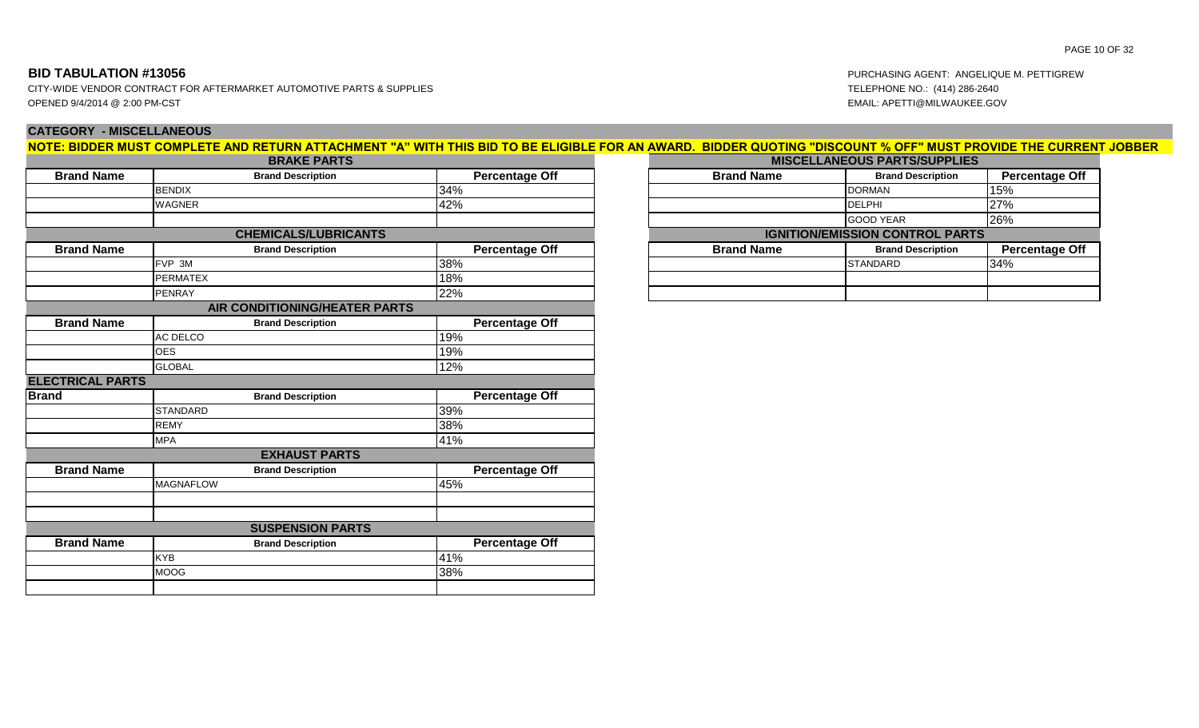# **BID TABULATION #13056** PURCHASING AGENT: AN

CITY-WIDE VENDOR CONTRACT FOR AFTERMARKET AUTOMOTIVE PARTS & SUPPLIES TELEPHONE NO.: (414) 286-2640 OPENED 9/4/2014 @ 2:00 PM-CST EMAIL: APETTI@MILWAUKEE.GOV

# **CATEGORY - MISCELLANEOUS**

|                         | <b>BRAKE PARTS</b>            |                       | NOTE: BIDDER MUST COMPLETE AND RETURN ATTACHMENT "A" WITH THIS BID TO BE ELIGIBLE FOR AN AWARD. BIDDER QUOTING "DISCOUNT % OFF" MUST PROVIDE THE CURRENT JOBBER | <b>MISCELLANEOUS PARTS/SUPPLIES</b>    |                       |
|-------------------------|-------------------------------|-----------------------|-----------------------------------------------------------------------------------------------------------------------------------------------------------------|----------------------------------------|-----------------------|
| <b>Brand Name</b>       | <b>Brand Description</b>      | <b>Percentage Off</b> | <b>Brand Name</b>                                                                                                                                               | <b>Brand Description</b>               | <b>Percentage Off</b> |
|                         | <b>BENDIX</b>                 | 34%                   |                                                                                                                                                                 | <b>DORMAN</b>                          | 15%                   |
|                         | <b>WAGNER</b>                 | 42%                   |                                                                                                                                                                 | <b>DELPHI</b>                          | 27%                   |
|                         |                               |                       |                                                                                                                                                                 | <b>GOOD YEAR</b>                       | 26%                   |
|                         | <b>CHEMICALS/LUBRICANTS</b>   |                       |                                                                                                                                                                 | <b>IGNITION/EMISSION CONTROL PARTS</b> |                       |
| <b>Brand Name</b>       | <b>Brand Description</b>      | <b>Percentage Off</b> | <b>Brand Name</b>                                                                                                                                               | <b>Brand Description</b>               | <b>Percentage Off</b> |
|                         | FVP 3M                        | 38%                   |                                                                                                                                                                 | <b>STANDARD</b>                        | 34%                   |
|                         | <b>PERMATEX</b>               | 18%                   |                                                                                                                                                                 |                                        |                       |
|                         | PENRAY                        | 22%                   |                                                                                                                                                                 |                                        |                       |
|                         | AIR CONDITIONING/HEATER PARTS |                       |                                                                                                                                                                 |                                        |                       |
| <b>Brand Name</b>       | <b>Brand Description</b>      | <b>Percentage Off</b> |                                                                                                                                                                 |                                        |                       |
|                         | AC DELCO                      | 19%                   |                                                                                                                                                                 |                                        |                       |
|                         | <b>OES</b>                    | 19%                   |                                                                                                                                                                 |                                        |                       |
|                         | <b>GLOBAL</b>                 | 12%                   |                                                                                                                                                                 |                                        |                       |
| <b>ELECTRICAL PARTS</b> |                               |                       |                                                                                                                                                                 |                                        |                       |
| <b>Brand</b>            | <b>Brand Description</b>      | <b>Percentage Off</b> |                                                                                                                                                                 |                                        |                       |
|                         | <b>STANDARD</b>               | 39%                   |                                                                                                                                                                 |                                        |                       |
|                         | <b>REMY</b>                   | 38%                   |                                                                                                                                                                 |                                        |                       |
|                         | <b>MPA</b>                    | 41%                   |                                                                                                                                                                 |                                        |                       |
|                         | <b>EXHAUST PARTS</b>          |                       |                                                                                                                                                                 |                                        |                       |
| <b>Brand Name</b>       | <b>Brand Description</b>      | <b>Percentage Off</b> |                                                                                                                                                                 |                                        |                       |
|                         | <b>MAGNAFLOW</b>              | 45%                   |                                                                                                                                                                 |                                        |                       |
|                         |                               |                       |                                                                                                                                                                 |                                        |                       |
|                         |                               |                       |                                                                                                                                                                 |                                        |                       |
|                         | <b>SUSPENSION PARTS</b>       |                       |                                                                                                                                                                 |                                        |                       |
| <b>Brand Name</b>       | <b>Brand Description</b>      | <b>Percentage Off</b> |                                                                                                                                                                 |                                        |                       |
|                         | KYB                           | 41%                   |                                                                                                                                                                 |                                        |                       |
|                         | <b>MOOG</b>                   | 38%                   |                                                                                                                                                                 |                                        |                       |

PAGE 10 OF 32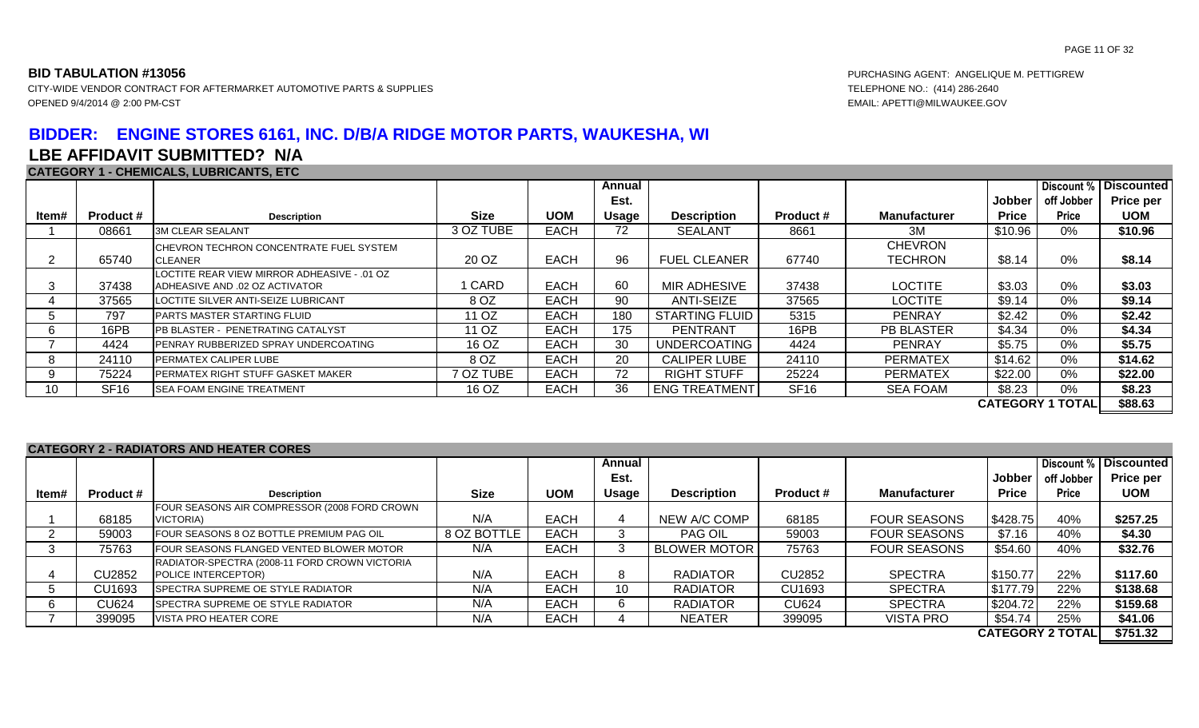# **BIDDER: ENGINE STORES 6161, INC. D/B/A RIDGE MOTOR PARTS, WAUKESHA, WI LBE AFFIDAVIT SUBMITTED? N/A**

### **CATEGORY 1 - CHEMICALS, LUBRICANTS, ETC**

|       |                  |                                                                               |             |             | Annual |                       |                  |                     |              |                         | Discount %   Discounted |
|-------|------------------|-------------------------------------------------------------------------------|-------------|-------------|--------|-----------------------|------------------|---------------------|--------------|-------------------------|-------------------------|
|       |                  |                                                                               |             |             | Est.   |                       |                  |                     | Jobber       | off Jobber              | <b>Price per</b>        |
| Item# | <b>Product #</b> | <b>Description</b>                                                            | <b>Size</b> | <b>UOM</b>  | Usage  | <b>Description</b>    | <b>Product #</b> | <b>Manufacturer</b> | <b>Price</b> | <b>Price</b>            | <b>UOM</b>              |
|       | 08661            | <b>3M CLEAR SEALANT</b>                                                       | 3 OZ TUBE   | <b>EACH</b> | 72     | <b>SEALANT</b>        | 8661             | 3M                  | \$10.96      | 0%                      | \$10.96                 |
|       |                  | CHEVRON TECHRON CONCENTRATE FUEL SYSTEM                                       |             |             |        |                       |                  | <b>CHEVRON</b>      |              |                         |                         |
|       | 65740            | <b>CLEANER</b>                                                                | 20 OZ       | <b>EACH</b> | 96     | <b>FUEL CLEANER</b>   | 67740            | <b>TECHRON</b>      | \$8.14       | 0%                      | \$8.14                  |
|       | 37438            | LOCTITE REAR VIEW MIRROR ADHEASIVE - .01 OZ<br>ADHEASIVE AND .02 OZ ACTIVATOR | <b>CARD</b> | <b>EACH</b> | 60     | MIR ADHESIVE          | 37438            | <b>LOCTITE</b>      | \$3.03       | 0%                      | \$3.03                  |
|       | 37565            | LOCTITE SILVER ANTI-SEIZE LUBRICANT                                           | 8 OZ        | EACH        | 90     | ANTI-SEIZE            | 37565            | <b>LOCTITE</b>      | \$9.14       | 0%                      | \$9.14                  |
|       | 797              | PARTS MASTER STARTING FLUID                                                   | 11 OZ       | <b>EACH</b> | 180    | <b>STARTING FLUID</b> | 5315             | <b>PENRAY</b>       | \$2.42       | 0%                      | \$2.42                  |
|       | 16PB             | PB BLASTER - PENETRATING CATALYST                                             | 11 OZ       | EACH        | 175    | <b>PENTRANT</b>       | 16PB             | <b>PB BLASTER</b>   | \$4.34       | 0%                      | \$4.34                  |
|       | 4424             | PENRAY RUBBERIZED SPRAY UNDERCOATING                                          | 16 OZ       | <b>EACH</b> | 30     | UNDERCOATING          | 4424             | <b>PENRAY</b>       | \$5.75       | 0%                      | \$5.75                  |
|       | 24110            | PERMATEX CALIPER LUBE                                                         | 8 OZ        | <b>EACH</b> | 20     | <b>CALIPER LUBE</b>   | 24110            | <b>PERMATEX</b>     | \$14.62      | 0%                      | \$14.62                 |
|       | 75224            | PERMATEX RIGHT STUFF GASKET MAKER                                             | 7 OZ TUBE   | <b>EACH</b> | 72     | <b>RIGHT STUFF</b>    | 25224            | <b>PERMATEX</b>     | \$22.00      | 0%                      | \$22.00                 |
| 10    | SF <sub>16</sub> | <b>SEA FOAM ENGINE TREATMENT</b>                                              | 16 OZ       | EACH        | 36     | <b>ENG TREATMENT</b>  | SF <sub>16</sub> | <b>SEA FOAM</b>     | \$8.23       | 0%                      | \$8.23                  |
|       |                  |                                                                               |             |             |        |                       |                  |                     |              | <b>CATEGORY 1 TOTAL</b> | \$88.63                 |

### **CATEGORY 2 - RADIATORS AND HEATER CORES**

|       |                  |                                                 |             |             | Annual       |                     |                  |                     |              |                         | <b>Discount % Discounted</b> |
|-------|------------------|-------------------------------------------------|-------------|-------------|--------------|---------------------|------------------|---------------------|--------------|-------------------------|------------------------------|
|       |                  |                                                 |             |             | Est.         |                     |                  |                     | Jobber       | off Jobber              | <b>Price per</b>             |
| ltem# | <b>Product #</b> | <b>Description</b>                              | <b>Size</b> | <b>UOM</b>  | <b>Usage</b> | <b>Description</b>  | <b>Product #</b> | <b>Manufacturer</b> | <b>Price</b> | <b>Price</b>            | <b>UOM</b>                   |
|       |                  | FOUR SEASONS AIR COMPRESSOR (2008 FORD CROWN    |             |             |              |                     |                  |                     |              |                         |                              |
|       | 68185            | VICTORIA)                                       | N/A         | <b>EACH</b> |              | NEW A/C COMP        | 68185            | <b>FOUR SEASONS</b> | \$428.75     | 40%                     | \$257.25                     |
|       | 59003            | FOUR SEASONS 8 OZ BOTTLE PREMIUM PAG OIL        | 8 OZ BOTTLE | <b>EACH</b> |              | <b>PAG OIL</b>      | 59003            | <b>FOUR SEASONS</b> | \$7.16       | 40%                     | \$4.30                       |
|       | 75763            | <b>FOUR SEASONS FLANGED VENTED BLOWER MOTOR</b> | N/A         | <b>EACH</b> |              | <b>BLOWER MOTOR</b> | 75763            | <b>FOUR SEASONS</b> | \$54.60      | 40%                     | \$32.76                      |
|       |                  | RADIATOR-SPECTRA (2008-11 FORD CROWN VICTORIA   |             |             |              |                     |                  |                     |              |                         |                              |
|       | CU2852           | POLICE INTERCEPTOR)                             | N/A         | <b>EACH</b> |              | <b>RADIATOR</b>     | <b>CU2852</b>    | <b>SPECTRA</b>      | \$150.77     | 22%                     | \$117.60                     |
|       | CU1693           | <b>SPECTRA SUPREME OE STYLE RADIATOR</b>        | N/A         | <b>EACH</b> | 10           | <b>RADIATOR</b>     | CU1693           | <b>SPECTRA</b>      | \$177.79     | 22%                     | \$138.68                     |
|       | <b>CU624</b>     | SPECTRA SUPREME OE STYLE RADIATOR               | N/A         | <b>EACH</b> |              | <b>RADIATOR</b>     | <b>CU624</b>     | <b>SPECTRA</b>      | \$204.72     | 22%                     | \$159.68                     |
|       | 399095           | VISTA PRO HEATER CORE                           | N/A         | <b>EACH</b> |              | <b>NEATER</b>       | 399095           | <b>VISTA PRO</b>    | \$54.74      | 25%                     | \$41.06                      |
|       |                  |                                                 |             |             |              |                     |                  |                     |              | <b>CATEGORY 2 TOTAL</b> | \$751.32                     |

**BID TABULATION #13056** PURCHASING AGENT: ANGELIQUE M. PETTIGREW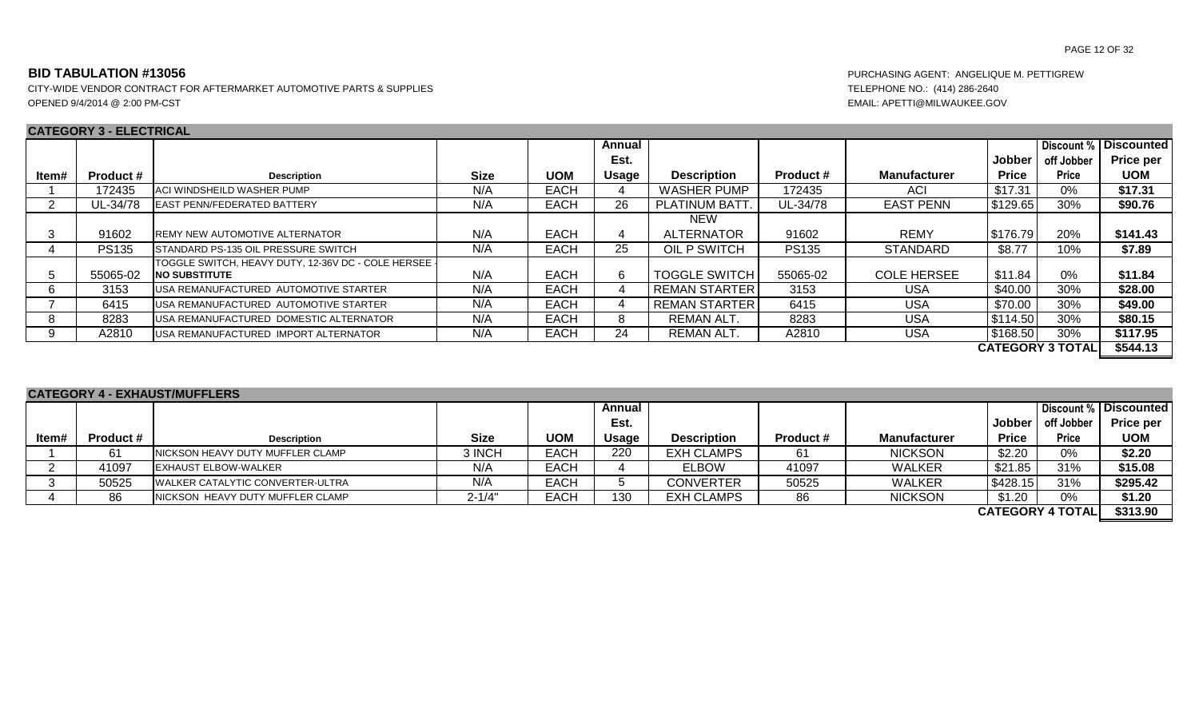CITY-WIDE VENDOR CONTRACT FOR AFTERMARKET AUTOMOTIVE PARTS & SUPPLIES TELEPHONE NO.: (414) 286-2640 OPENED 9/4/2014 @ 2:00 PM-CST EMAIL: APETTI@MILWAUKEE.GOV

# **CATEGORY 3 - ELECTRICAL**

|       | 9/11 E 9 9 I 1 I 9 - E E B 9 I 1 1 1 9/1 E |                                                    |             |             |        |                      |                  |                     |              |                         |                         |
|-------|--------------------------------------------|----------------------------------------------------|-------------|-------------|--------|----------------------|------------------|---------------------|--------------|-------------------------|-------------------------|
|       |                                            |                                                    |             |             | Annual |                      |                  |                     |              |                         | Discount %   Discounted |
|       |                                            |                                                    |             |             | Est.   |                      |                  |                     | Jobber       | off Jobber              | Price per               |
| ltem# | <b>Product #</b>                           | <b>Description</b>                                 | <b>Size</b> | <b>UOM</b>  | Usage  | <b>Description</b>   | <b>Product #</b> | <b>Manufacturer</b> | <b>Price</b> | <b>Price</b>            | <b>UOM</b>              |
|       | 172435                                     | ACI WINDSHEILD WASHER PUMP                         | N/A         | <b>EACH</b> |        | <b>WASHER PUMP</b>   | 172435           | ACI                 | \$17.31      | 0%                      | \$17.31                 |
| 2     | UL-34/78                                   | <b>EAST PENN/FEDERATED BATTERY</b>                 | N/A         | <b>EACH</b> | 26     | <b>PLATINUM BATT</b> | UL-34/78         | <b>EAST PENN</b>    | \$129.65     | 30%                     | \$90.76                 |
|       |                                            |                                                    |             |             |        | <b>NEW</b>           |                  |                     |              |                         |                         |
| 3     | 91602                                      | <b>REMY NEW AUTOMOTIVE ALTERNATOR</b>              | N/A         | <b>EACH</b> | 4      | <b>ALTERNATOR</b>    | 91602            | <b>REMY</b>         | \$176.79     | 20%                     | \$141.43                |
|       | <b>PS135</b>                               | <b>I</b> STANDARD PS-135 OIL PRESSURE SWITCH       | N/A         | <b>EACH</b> | 25     | OIL P SWITCH         | <b>PS135</b>     | <b>STANDARD</b>     | \$8.77       | 10%                     | \$7.89                  |
|       |                                            | TOGGLE SWITCH, HEAVY DUTY, 12-36V DC - COLE HERSEE |             |             |        |                      |                  |                     |              |                         |                         |
| 5     | 55065-02                                   | <b>INO SUBSTITUTE</b>                              | N/A         | <b>EACH</b> | 6      | <b>TOGGLE SWITCH</b> | 55065-02         | <b>COLE HERSEE</b>  | \$11.84      | $0\%$                   | \$11.84                 |
|       | 3153                                       | USA REMANUFACTURED AUTOMOTIVE STARTER              | N/A         | <b>EACH</b> |        | REMAN STARTER        | 3153             | USA                 | \$40.00      | 30%                     | \$28.00                 |
|       | 6415                                       | IUSA REMANUFACTURED AUTOMOTIVE STARTER             | N/A         | <b>EACH</b> |        | l REMAN STARTER I    | 6415             | <b>USA</b>          | \$70.00      | 30%                     | \$49.00                 |
|       | 8283                                       | USA REMANUFACTURED DOMESTIC ALTERNATOR             | N/A         | <b>EACH</b> | 8      | REMAN ALT.           | 8283             | USA                 | \$114.50     | 30%                     | \$80.15                 |
|       | A2810                                      | USA REMANUFACTURED IMPORT ALTERNATOR               | N/A         | <b>EACH</b> | 24     | REMAN ALT.           | A2810            | USA                 | \$168.50     | 30%                     | \$117.95                |
|       |                                            |                                                    |             |             |        |                      |                  |                     |              | <b>CATEGORY 3 TOTAL</b> | \$544.13                |

| <b>CATEGORY 4 - EXHAUST/MUFFLERS</b> |                  |                                           |             |             |              |                    |                  |                     |              |                         |                       |  |  |
|--------------------------------------|------------------|-------------------------------------------|-------------|-------------|--------------|--------------------|------------------|---------------------|--------------|-------------------------|-----------------------|--|--|
|                                      |                  |                                           |             |             | Annual       |                    |                  |                     |              |                         | Discount % Discounted |  |  |
|                                      |                  |                                           |             |             | Est.         |                    |                  |                     | Jobber       | off Jobber              | <b>Price per</b>      |  |  |
| ltem#                                | <b>Product #</b> | <b>Description</b>                        | <b>Size</b> | <b>UOM</b>  | <b>Usage</b> | <b>Description</b> | <b>Product #</b> | <b>Manufacturer</b> | <b>Price</b> | <b>Price</b>            | <b>UOM</b>            |  |  |
|                                      | 61               | NICKSON HEAVY DUTY MUFFLER CLAMP          | 3 INCH      | <b>EACH</b> | 220          | <b>EXH CLAMPS</b>  | -61              | <b>NICKSON</b>      | \$2.20       | 0%                      | \$2.20                |  |  |
|                                      | 41097            | <b>EXHAUST ELBOW-WALKER</b>               | N/A         | <b>EACH</b> |              | <b>ELBOW</b>       | 41097            | <b>WALKER</b>       | \$21.85      | 31%                     | \$15.08               |  |  |
|                                      | 50525            | <b>I</b> WALKER CATALYTIC CONVERTER-ULTRA | N/A         | <b>EACH</b> |              | <b>CONVERTER</b>   | 50525            | <b>WALKER</b>       | \$428.15     | 31%                     | \$295.42              |  |  |
|                                      | 86               | NICKSON HEAVY DUTY MUFFLER CLAMP          | $2 - 1/4"$  | <b>EACH</b> | 130          | <b>EXH CLAMPS</b>  | 86               | <b>NICKSON</b>      | \$1.20       | 0%                      | \$1.20                |  |  |
|                                      |                  |                                           |             |             |              |                    |                  |                     |              | <b>CATEGORY 4 TOTAL</b> | \$313.90              |  |  |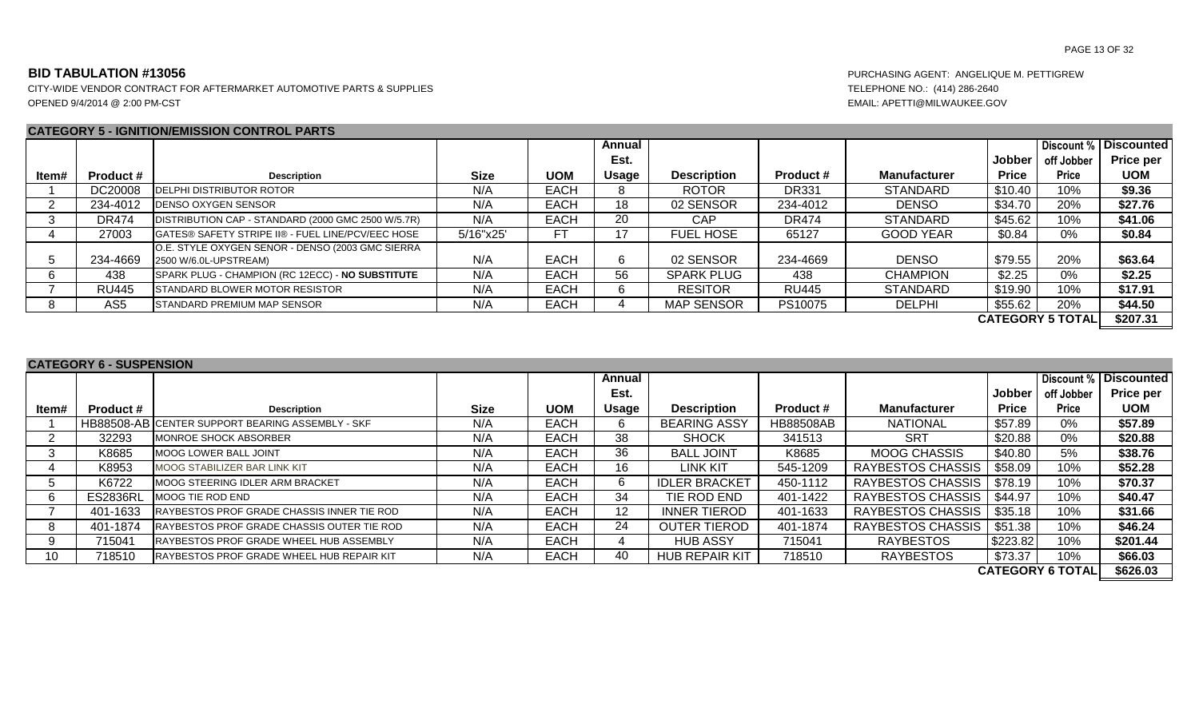CITY-WIDE VENDOR CONTRACT FOR AFTERMARKET AUTOMOTIVE PARTS & SUPPLIES TELEPHONE NO.: (414) 286-2640 OPENED 9/4/2014 @ 2:00 PM-CST EMAIL: APETTI@MILWAUKEE.GOV

### **CATEGORY 5 - IGNITION/EMISSION CONTROL PARTS**

|       |                  |                                                                           |             |             | Annual |                    |                  |                     |              | Discount %              | <b>Discounted</b> |
|-------|------------------|---------------------------------------------------------------------------|-------------|-------------|--------|--------------------|------------------|---------------------|--------------|-------------------------|-------------------|
|       |                  |                                                                           |             |             | Est.   |                    |                  |                     | Jobber       | off Jobber              | Price per         |
| ltem# | <b>Product #</b> | <b>Description</b>                                                        | <b>Size</b> | <b>UOM</b>  | Usage  | <b>Description</b> | <b>Product #</b> | <b>Manufacturer</b> | <b>Price</b> | <b>Price</b>            | <b>UOM</b>        |
|       | DC20008          | <b>IDELPHI DISTRIBUTOR ROTOR</b>                                          | N/A         | <b>EACH</b> | 8      | <b>ROTOR</b>       | <b>DR331</b>     | <b>STANDARD</b>     | \$10.40      | 10%                     | \$9.36            |
|       | 234-4012         | <b>DENSO OXYGEN SENSOR</b>                                                | N/A         | <b>EACH</b> | 18     | 02 SENSOR          | 234-4012         | <b>DENSO</b>        | \$34.70      | 20%                     | \$27.76           |
|       | <b>DR474</b>     | DISTRIBUTION CAP - STANDARD (2000 GMC 2500 W/5.7R)                        | N/A         | <b>EACH</b> | 20     | CAP                | <b>DR474</b>     | <b>STANDARD</b>     | \$45.62      | 10%                     | \$41.06           |
|       | 27003            | GATES® SAFETY STRIPE II® - FUEL LINE/PCV/EEC HOSE                         | 5/16"x25'   |             |        | <b>FUEL HOSE</b>   | 65127            | <b>GOOD YEAR</b>    | \$0.84       | 0%                      | \$0.84            |
|       | 234-4669         | O.E. STYLE OXYGEN SENOR - DENSO (2003 GMC SIERRA<br>2500 W/6.0L-UPSTREAM) | N/A         | <b>EACH</b> | 6.     | 02 SENSOR          | 234-4669         | <b>DENSO</b>        | \$79.55      | 20%                     | \$63.64           |
| 6     | 438              | SPARK PLUG - CHAMPION (RC 12ECC) - NO SUBSTITUTE                          | N/A         | <b>EACH</b> | 56     | <b>SPARK PLUG</b>  | 438              | <b>CHAMPION</b>     | \$2.25       | 0%                      | \$2.25            |
|       | <b>RU445</b>     | <b>STANDARD BLOWER MOTOR RESISTOR</b>                                     | N/A         | EACH        | h.     | <b>RESITOR</b>     | <b>RU445</b>     | <b>STANDARD</b>     | \$19.90      | 10%                     | \$17.91           |
|       | AS <sub>5</sub>  | <b>ISTANDARD PREMIUM MAP SENSOR</b>                                       | N/A         | <b>EACH</b> |        | <b>MAP SENSOR</b>  | PS10075          | <b>DELPHI</b>       | \$55.62      | 20%                     | \$44.50           |
|       |                  |                                                                           |             |             |        |                    |                  |                     |              | <b>CATEGORY 5 TOTAL</b> | \$207.31          |

### **CATEGORY 6 - SUSPENSION**

|       |                  |                                                  |             |             | Annual           |                       |                  |                          |              | Discount %              | <b>Discounted</b> |
|-------|------------------|--------------------------------------------------|-------------|-------------|------------------|-----------------------|------------------|--------------------------|--------------|-------------------------|-------------------|
|       |                  |                                                  |             |             | Est.             |                       |                  |                          | Jobber       | off Jobber              | Price per         |
| ltem# | <b>Product #</b> | <b>Description</b>                               | <b>Size</b> | <b>UOM</b>  | Usage            | <b>Description</b>    | <b>Product #</b> | <b>Manufacturer</b>      | <b>Price</b> | <b>Price</b>            | <b>UOM</b>        |
|       |                  | HB88508-AB CENTER SUPPORT BEARING ASSEMBLY - SKF | N/A         | <b>EACH</b> |                  | <b>BEARING ASSY</b>   | <b>HB88508AB</b> | <b>NATIONAL</b>          | \$57.89      | 0%                      | \$57.89           |
|       | 32293            | MONROE SHOCK ABSORBER                            | N/A         | <b>EACH</b> | 38               | <b>SHOCK</b>          | 341513           | <b>SRT</b>               | \$20.88      | 0%                      | \$20.88           |
|       | K8685            | <b>MOOG LOWER BALL JOINT</b>                     | N/A         | <b>EACH</b> | 36               | <b>BALL JOINT</b>     | K8685            | <b>MOOG CHASSIS</b>      | \$40.80      | 5%                      | \$38.76           |
|       | K8953            | MOOG STABILIZER BAR LINK KIT                     | N/A         | <b>EACH</b> | 16               | LINK KIT              | 545-1209         | RAYBESTOS CHASSIS        | \$58.09      | 10%                     | \$52.28           |
|       | K6722            | MOOG STEERING IDLER ARM BRACKET                  | N/A         | <b>EACH</b> | h.               | <b>IDLER BRACKET</b>  | 450-1112         | RAYBESTOS CHASSIS        | \$78.19      | 10%                     | \$70.37           |
|       | <b>ES2836RL</b>  | MOOG TIE ROD END                                 | N/A         | EACH        | 34               | TIE ROD END           | 401-1422         | <b>RAYBESTOS CHASSIS</b> | \$44.97      | 10%                     | \$40.47           |
|       | 401-1633         | RAYBESTOS PROF GRADE CHASSIS INNER TIE ROD       | N/A         | <b>EACH</b> | 12 <sup>12</sup> | <b>INNER TIEROD</b>   | 401-1633         | RAYBESTOS CHASSIS        | \$35.18      | 10%                     | \$31.66           |
|       | 401-1874         | RAYBESTOS PROF GRADE CHASSIS OUTER TIE ROD       | N/A         | <b>EACH</b> | 24               | <b>OUTER TIEROD</b>   | 401-1874         | RAYBESTOS CHASSIS        | \$51.38      | 10%                     | \$46.24           |
|       | 715041           | RAYBESTOS PROF GRADE WHEEL HUB ASSEMBLY          | N/A         | EACH        |                  | <b>HUB ASSY</b>       | 715041           | <b>RAYBESTOS</b>         | \$223.82     | 10%                     | \$201.44          |
| 10    | 718510           | RAYBESTOS PROF GRADE WHEEL HUB REPAIR KIT        | N/A         | <b>EACH</b> | 40               | <b>HUB REPAIR KIT</b> | 718510           | <b>RAYBESTOS</b>         | \$73.37      | 10%                     | \$66.03           |
|       |                  |                                                  |             |             |                  |                       |                  |                          |              | <b>CATEGORY 6 TOTAL</b> | \$626.03          |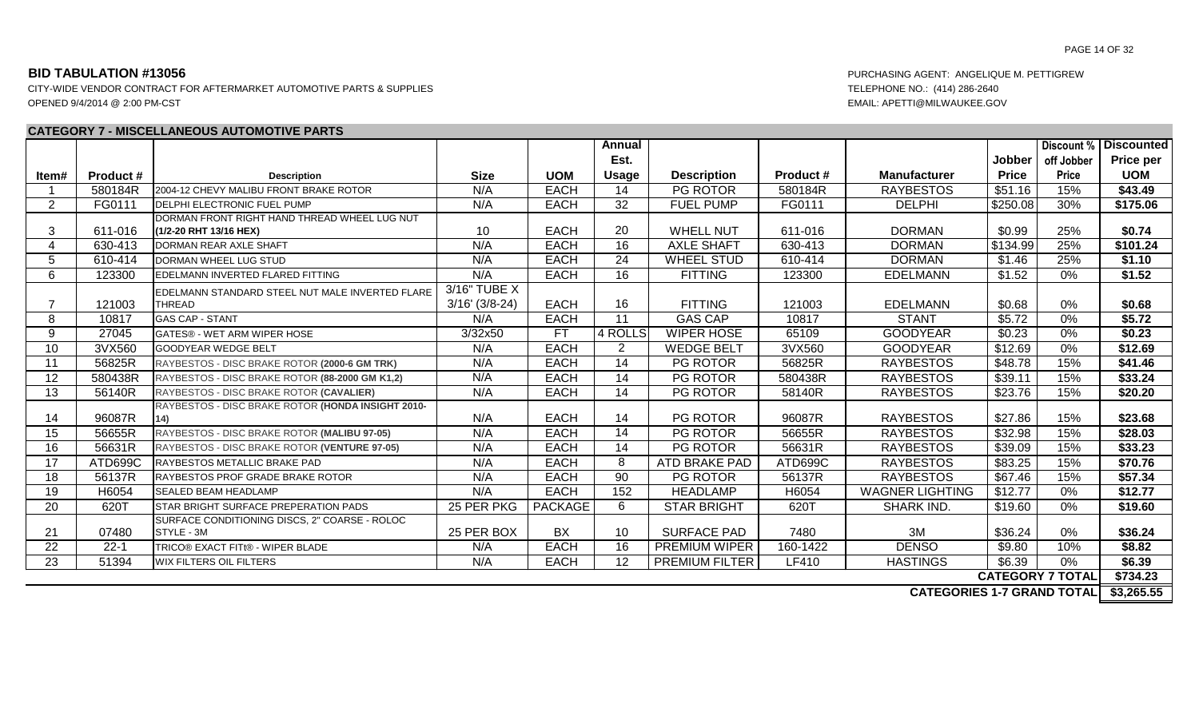CITY-WIDE VENDOR CONTRACT FOR AFTERMARKET AUTOMOTIVE PARTS & SUPPLIES TELEPHONE NO.: (414) 286-2640 OPENED 9/4/2014 @ 2:00 PM-CST EMAIL: APETTI@MILWAUKEE.GOV

### **CATEGORY 7 - MISCELLANEOUS AUTOMOTIVE PARTS**

|                         |                  |                                                   |                  |             | Annual          |                       |          |                        |               | Discount %   | <b>Discounted</b> |
|-------------------------|------------------|---------------------------------------------------|------------------|-------------|-----------------|-----------------------|----------|------------------------|---------------|--------------|-------------------|
|                         |                  |                                                   |                  |             | Est.            |                       |          |                        | <b>Jobber</b> | off Jobber   | Price per         |
| ltem#                   | <b>Product #</b> | <b>Description</b>                                | <b>Size</b>      | <b>UOM</b>  | Usage           | <b>Description</b>    | Product# | Manufacturer           | <b>Price</b>  | <b>Price</b> | <b>UOM</b>        |
|                         | 580184R          | 2004-12 CHEVY MALIBU FRONT BRAKE ROTOR            | N/A              | <b>EACH</b> | 14              | PG ROTOR              | 580184R  | <b>RAYBESTOS</b>       | \$51.16       | 15%          | \$43.49           |
| 2                       | FG0111           | <b>IDELPHI ELECTRONIC FUEL PUMP</b>               | N/A              | <b>EACH</b> | 32              | <b>FUEL PUMP</b>      | FG0111   | <b>DELPHI</b>          | \$250.08      | 30%          | \$175.06          |
|                         |                  | DORMAN FRONT RIGHT HAND THREAD WHEEL LUG NUT      |                  |             |                 |                       |          |                        |               |              |                   |
| 3                       | 611-016          | (1/2-20 RHT 13/16 HEX)                            | 10               | <b>EACH</b> | 20              | <b>WHELL NUT</b>      | 611-016  | <b>DORMAN</b>          | \$0.99        | 25%          | \$0.74            |
| 4                       | 630-413          | <b>DORMAN REAR AXLE SHAFT</b>                     | N/A              | <b>EACH</b> | 16              | <b>AXLE SHAFT</b>     | 630-413  | <b>DORMAN</b>          | \$134.99      | 25%          | \$101.24          |
| 5                       | 610-414          | DORMAN WHEEL LUG STUD                             | N/A              | <b>EACH</b> | 24              | <b>WHEEL STUD</b>     | 610-414  | <b>DORMAN</b>          | \$1.46        | 25%          | \$1.10            |
| 6                       | 123300           | EDELMANN INVERTED FLARED FITTING                  | N/A              | <b>EACH</b> | 16              | <b>FITTING</b>        | 123300   | <b>EDELMANN</b>        | \$1.52        | 0%           | \$1.52            |
|                         |                  | EDELMANN STANDARD STEEL NUT MALE INVERTED FLARE   | 3/16" TUBE X     |             |                 |                       |          |                        |               |              |                   |
| 7                       | 121003           | <b>THREAD</b>                                     | $3/16'$ (3/8-24) | <b>EACH</b> | 16              | <b>FITTING</b>        | 121003   | <b>EDELMANN</b>        | \$0.68        | 0%           | \$0.68            |
| 8                       | 10817            | <b>GAS CAP - STANT</b>                            | N/A              | <b>EACH</b> | 11              | <b>GAS CAP</b>        | 10817    | <b>STANT</b>           | \$5.72        | 0%           | \$5.72            |
| 9                       | 27045            | GATES® - WET ARM WIPER HOSE                       | 3/32x50          | <b>FT</b>   | 4 ROLLS         | <b>WIPER HOSE</b>     | 65109    | <b>GOODYEAR</b>        | \$0.23        | 0%           | \$0.23            |
| 10                      | 3VX560           | <b>GOODYEAR WEDGE BELT</b>                        | N/A              | <b>EACH</b> | 2               | <b>WEDGE BELT</b>     | 3VX560   | <b>GOODYEAR</b>        | \$12.69       | 0%           | \$12.69           |
| 11                      | 56825R           | RAYBESTOS - DISC BRAKE ROTOR (2000-6 GM TRK)      | N/A              | <b>EACH</b> | 14              | <b>PG ROTOR</b>       | 56825R   | <b>RAYBESTOS</b>       | \$48.78       | 15%          | \$41.46           |
| 12                      | 580438R          | RAYBESTOS - DISC BRAKE ROTOR (88-2000 GM K1,2)    | N/A              | <b>EACH</b> | 14              | <b>PG ROTOR</b>       | 580438R  | <b>RAYBESTOS</b>       | \$39.11       | 15%          | \$33.24           |
| 13                      | 56140R           | RAYBESTOS - DISC BRAKE ROTOR (CAVALIER)           | N/A              | <b>EACH</b> | $\overline{14}$ | PG ROTOR              | 58140R   | <b>RAYBESTOS</b>       | \$23.76       | 15%          | \$20.20           |
|                         |                  | RAYBESTOS - DISC BRAKE ROTOR (HONDA INSIGHT 2010- |                  |             |                 |                       |          |                        |               |              |                   |
| 14                      | 96087R           | 14)                                               | N/A              | <b>EACH</b> | 14              | <b>PG ROTOR</b>       | 96087R   | <b>RAYBESTOS</b>       | \$27.86       | 15%          | \$23.68           |
| 15                      | 56655R           | RAYBESTOS - DISC BRAKE ROTOR (MALIBU 97-05)       | N/A              | <b>EACH</b> | 14              | PG ROTOR              | 56655R   | <b>RAYBESTOS</b>       | \$32.98       | 15%          | \$28.03           |
| 16                      | 56631R           | RAYBESTOS - DISC BRAKE ROTOR (VENTURE 97-05)      | N/A              | <b>EACH</b> | $\overline{14}$ | PG ROTOR              | 56631R   | <b>RAYBESTOS</b>       | \$39.09       | 15%          | \$33.23           |
| 17                      | ATD699C          | RAYBESTOS METALLIC BRAKE PAD                      | N/A              | <b>EACH</b> | 8               | ATD BRAKE PAD         | ATD699C  | <b>RAYBESTOS</b>       | \$83.25       | 15%          | \$70.76           |
| 18                      | 56137R           | <b>RAYBESTOS PROF GRADE BRAKE ROTOR</b>           | N/A              | <b>EACH</b> | $\overline{90}$ | PG ROTOR              | 56137R   | <b>RAYBESTOS</b>       | \$67.46       | 15%          | \$57.34           |
| 19                      | H6054            | <b>SEALED BEAM HEADLAMP</b>                       | N/A              | <b>EACH</b> | 152             | <b>HEADLAMP</b>       | H6054    | <b>WAGNER LIGHTING</b> | \$12.77       | 0%           | \$12.77           |
| 20                      | 620T             | STAR BRIGHT SURFACE PREPERATION PADS              | 25 PER PKG       | PACKAGE     | 6               | <b>STAR BRIGHT</b>    | 620T     | <b>SHARK IND</b>       | \$19.60       | 0%           | \$19.60           |
|                         |                  | SURFACE CONDITIONING DISCS, 2" COARSE - ROLOC     |                  |             |                 |                       |          |                        |               |              |                   |
| 21                      | 07480            | STYLE - 3M                                        | 25 PER BOX       | <b>BX</b>   | 10              | <b>SURFACE PAD</b>    | 7480     | 3M                     | \$36.24       | 0%           | \$36.24           |
| 22                      | $22 - 1$         | TRICO® EXACT FITt® - WIPER BLADE                  | N/A              | <b>EACH</b> | 16              | PREMIUM WIPER         | 160-1422 | <b>DENSO</b>           | \$9.80        | 10%          | \$8.82            |
| 23                      | 51394            | <b>WIX FILTERS OIL FILTERS</b>                    | N/A              | <b>EACH</b> | 12              | <b>PREMIUM FILTER</b> | LF410    | <b>HASTINGS</b>        | \$6.39        | 0%           | \$6.39            |
| <b>CATEGORY 7 TOTAL</b> |                  |                                                   |                  |             |                 |                       |          |                        |               | \$734.23     |                   |

**CATEGORIES 1-7 GRAND TOTAL \$3,265.55**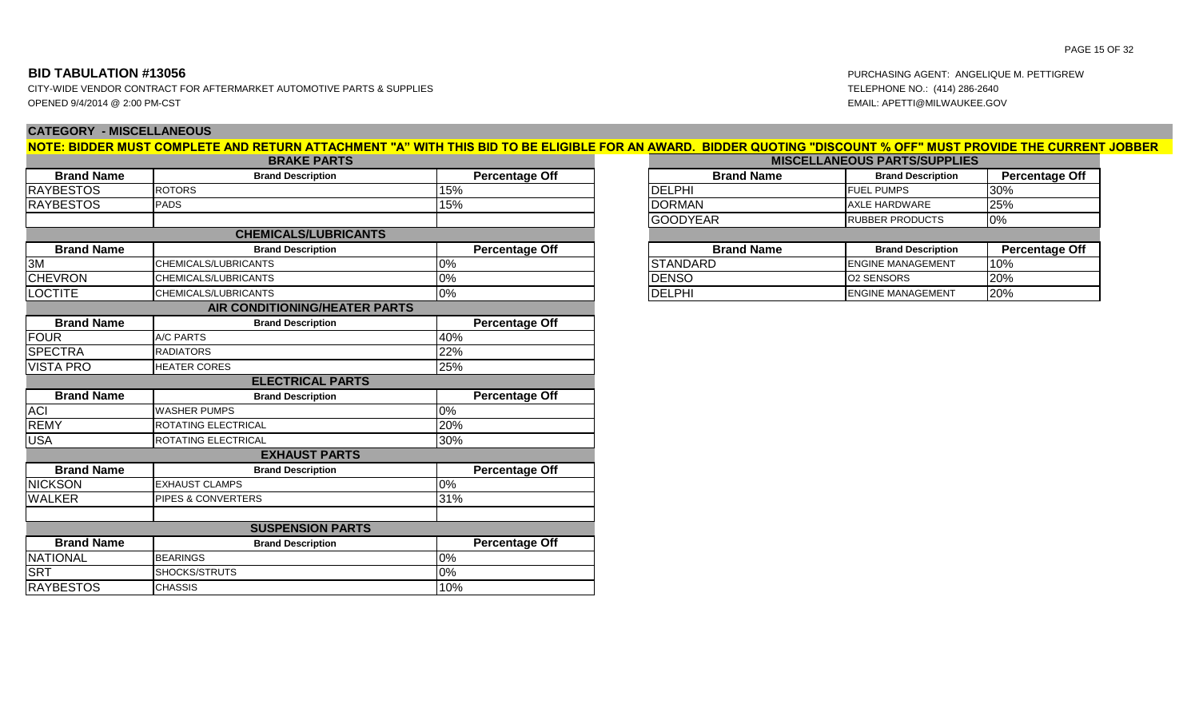CITY-WIDE VENDOR CONTRACT FOR AFTERMARKET AUTOMOTIVE PARTS & SUPPLIES TELEPHONE NO.: (414) 286-2640 OPENED 9/4/2014 @ 2:00 PM-CST EMAIL: APETTI@MILWAUKEE.GOV

# **CATEGORY - MISCELLANEOUS**

|                   | <b>BRAKE PARIS</b>            |                       |                   | <b>MISCELLANEOUS PARTS/SUPPL</b> |
|-------------------|-------------------------------|-----------------------|-------------------|----------------------------------|
| <b>Brand Name</b> | <b>Brand Description</b>      | <b>Percentage Off</b> | <b>Brand Name</b> | <b>Brand Description</b>         |
| <b>RAYBESTOS</b>  | <b>ROTORS</b>                 | 15%                   | <b>DELPHI</b>     | <b>FUEL PUMPS</b>                |
| <b>RAYBESTOS</b>  | <b>PADS</b>                   | 15%                   | <b>DORMAN</b>     | <b>AXLE HARDWARE</b>             |
|                   |                               |                       | <b>GOODYEAR</b>   | <b>RUBBER PRODUCTS</b>           |
|                   | <b>CHEMICALS/LUBRICANTS</b>   |                       |                   |                                  |
| <b>Brand Name</b> | <b>Brand Description</b>      | <b>Percentage Off</b> | <b>Brand Name</b> | <b>Brand Description</b>         |
| 3M                | CHEMICALS/LUBRICANTS          | $0\%$                 | <b>STANDARD</b>   | <b>ENGINE MANAGEMENT</b>         |
| <b>CHEVRON</b>    | CHEMICALS/LUBRICANTS          | $0\%$                 | <b>DENSO</b>      | <b>O2 SENSORS</b>                |
| <b>LOCTITE</b>    | CHEMICALS/LUBRICANTS          | $ 0\%$                | <b>DELPHI</b>     | <b>ENGINE MANAGEMENT</b>         |
|                   | AIR CONDITIONING/HEATER PARTS |                       |                   |                                  |
| <b>Brand Name</b> | <b>Brand Description</b>      | <b>Percentage Off</b> |                   |                                  |
| <b>FOUR</b>       | A/C PARTS                     | 40%                   |                   |                                  |
| <b>SPECTRA</b>    | <b>RADIATORS</b>              | 22%                   |                   |                                  |
| <b>VISTA PRO</b>  | <b>HEATER CORES</b>           | 25%                   |                   |                                  |
|                   | <b>ELECTRICAL PARTS</b>       |                       |                   |                                  |
| <b>Brand Name</b> | <b>Brand Description</b>      | <b>Percentage Off</b> |                   |                                  |
| <b>ACI</b>        | <b>WASHER PUMPS</b>           | 0%                    |                   |                                  |
| <b>REMY</b>       | ROTATING ELECTRICAL           | 20%                   |                   |                                  |
| <b>USA</b>        | ROTATING ELECTRICAL           | 30%                   |                   |                                  |
|                   | <b>EXHAUST PARTS</b>          |                       |                   |                                  |
| <b>Brand Name</b> | <b>Brand Description</b>      | <b>Percentage Off</b> |                   |                                  |
| <b>NICKSON</b>    | <b>EXHAUST CLAMPS</b>         | $0\%$                 |                   |                                  |
| <b>WALKER</b>     | <b>PIPES &amp; CONVERTERS</b> | 31%                   |                   |                                  |
|                   |                               |                       |                   |                                  |
|                   | <b>SUSPENSION PARTS</b>       |                       |                   |                                  |
| <b>Brand Name</b> | <b>Brand Description</b>      | <b>Percentage Off</b> |                   |                                  |
| <b>NATIONAL</b>   | <b>BEARINGS</b>               | 0%                    |                   |                                  |
| <b>SRT</b>        | SHOCKS/STRUTS                 | $0\%$                 |                   |                                  |
| <b>RAYBESTOS</b>  | <b>CHASSIS</b>                | 10%                   |                   |                                  |

| NOTE: BIDDER MUST COMPLETE AND RETURN ATTACHMENT "A" WITH THIS BID TO BE ELIGIBLE FOR AN AWARD.  BIDDER QUOTING "DISCOUNT % OFF" MUST PROVIDE THE CURRENT JOBBER |  |  |
|------------------------------------------------------------------------------------------------------------------------------------------------------------------|--|--|
|                                                                                                                                                                  |  |  |
|                                                                                                                                                                  |  |  |

| <b>BRAKE PARTS</b> |                       | <b>MISCELLANEOUS PARTS/SUPPLIES</b> |                          |                       |
|--------------------|-----------------------|-------------------------------------|--------------------------|-----------------------|
| ınd Description    | <b>Percentage Off</b> | <b>Brand Name</b>                   | <b>Brand Description</b> | <b>Percentage Off</b> |
|                    | 15%                   | <b>IDELPHI</b>                      | <b>IFUEL PUMPS</b>       | 30%                   |
|                    | 15%                   | <b>DORMAN</b>                       | <b>JAXLE HARDWARE</b>    | <b>25%</b>            |
|                    |                       | <b>IGOODYEAR</b>                    | <b>IRUBBER PRODUCTS</b>  | 0%                    |

| Percentage Off | <b>Brand Name</b> | <b>Brand Description</b>   | <b>Percentage Off</b> |
|----------------|-------------------|----------------------------|-----------------------|
|                | ISTANDARD         | <b>I</b> ENGINE MANAGEMENT | 10%                   |
|                | <b>IDENSO</b>     | IO2 SENSORS                | 20%                   |
|                | <b>DELPHI</b>     | <b>I</b> ENGINE MANAGEMENT | 20%                   |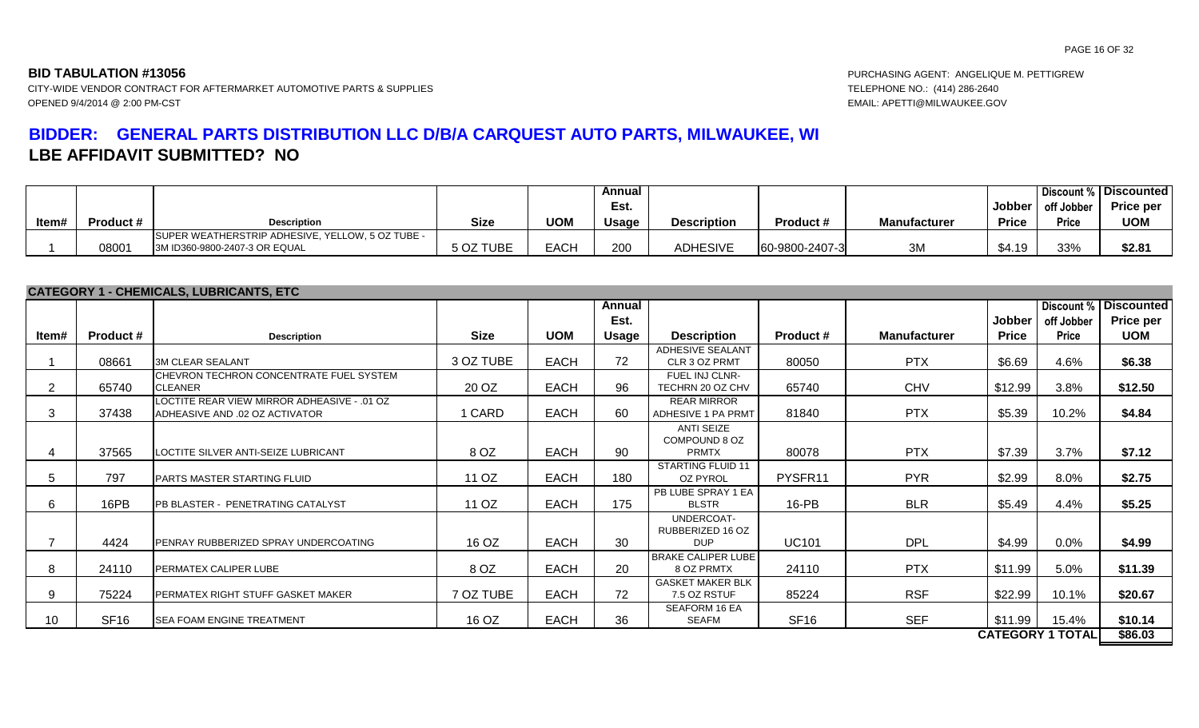**BID TABULATION #13056** PURCHASING AGENT: ANGELIQUE M. PETTIGREW

# **BIDDER: GENERAL PARTS DISTRIBUTION LLC D/B/A CARQUEST AUTO PARTS, MILWAUKEE, WI LBE AFFIDAVIT SUBMITTED? NO**

|       |                  |                                                   |             |            | Annual       |                    |                  |                     |          |              | Discount % Discounted |
|-------|------------------|---------------------------------------------------|-------------|------------|--------------|--------------------|------------------|---------------------|----------|--------------|-----------------------|
|       |                  |                                                   |             |            | Est.         |                    |                  |                     | Jobber l | off Jobber   | <b>Price per</b>      |
| Item# | <b>Product #</b> | <b>Description</b>                                | <b>Size</b> | <b>UOM</b> | <b>Usage</b> | <b>Description</b> | <b>Product #</b> | <b>Manufacturer</b> | Price    | <b>Price</b> | <b>UOM</b>            |
|       |                  | ISUPER WEATHERSTRIP ADHESIVE, YELLOW, 5 OZ TUBE - |             |            |              |                    |                  |                     |          |              |                       |
|       | 08001            | 3M ID360-9800-2407-3 OR EQUAL                     | 5 OZ TUBE   | EACH       | 200          | <b>ADHESIVE</b>    | 60-9800-2407-3   | 3M                  | \$4.19   | 33%          | \$2.81                |

|                 |                  | <b>CATEGORY 1 - CHEMICALS, LUBRICANTS, ETC</b>                                |             |             |        |                                                    |                  |                     |              |                         |                              |
|-----------------|------------------|-------------------------------------------------------------------------------|-------------|-------------|--------|----------------------------------------------------|------------------|---------------------|--------------|-------------------------|------------------------------|
|                 |                  |                                                                               |             |             | Annual |                                                    |                  |                     |              |                         | <b>Discount % Discounted</b> |
|                 |                  |                                                                               |             |             | Est.   |                                                    |                  |                     | Jobber       | off Jobber              | <b>Price per</b>             |
| Item#           | <b>Product #</b> | <b>Description</b>                                                            | <b>Size</b> | <b>UOM</b>  | Usage  | <b>Description</b>                                 | Product #        | <b>Manufacturer</b> | <b>Price</b> | Price                   | <b>UOM</b>                   |
|                 | 08661            | <b>3M CLEAR SEALANT</b>                                                       | 3 OZ TUBE   | <b>EACH</b> | 72     | <b>ADHESIVE SEALANT</b><br>CLR 3 OZ PRMT           | 80050            | <b>PTX</b>          | \$6.69       | 4.6%                    | \$6.38                       |
| $\overline{2}$  | 65740            | CHEVRON TECHRON CONCENTRATE FUEL SYSTEM<br><b>CLEANER</b>                     | 20 OZ       | <b>EACH</b> | 96     | FUEL INJ CLNR-<br>TECHRN 20 OZ CHV                 | 65740            | <b>CHV</b>          | \$12.99      | 3.8%                    | \$12.50                      |
| 3               | 37438            | LOCTITE REAR VIEW MIRROR ADHEASIVE - .01 OZ<br>ADHEASIVE AND .02 OZ ACTIVATOR | 1 CARD      | <b>EACH</b> | 60     | <b>REAR MIRROR</b><br>ADHESIVE 1 PA PRMT           | 81840            | <b>PTX</b>          | \$5.39       | 10.2%                   | \$4.84                       |
|                 | 37565            | LOCTITE SILVER ANTI-SEIZE LUBRICANT                                           | 8 OZ        | <b>EACH</b> | 90     | <b>ANTI SEIZE</b><br>COMPOUND 8 OZ<br><b>PRMTX</b> | 80078            | <b>PTX</b>          | \$7.39       | 3.7%                    | \$7.12                       |
| 5               | 797              | <b>IPARTS MASTER STARTING FLUID</b>                                           | 11 OZ       | <b>EACH</b> | 180    | <b>STARTING FLUID 11</b><br><b>OZ PYROL</b>        | PYSFR11          | <b>PYR</b>          | \$2.99       | 8.0%                    | \$2.75                       |
| 6               | 16PB             | PB BLASTER - PENETRATING CATALYST                                             | 11 OZ       | <b>EACH</b> | 175    | PB LUBE SPRAY 1 EA<br><b>BLSTR</b>                 | $16-PB$          | <b>BLR</b>          | \$5.49       | 4.4%                    | \$5.25                       |
|                 | 4424             | PENRAY RUBBERIZED SPRAY UNDERCOATING                                          | 16 OZ       | <b>EACH</b> | 30     | UNDERCOAT-<br>RUBBERIZED 16 OZ<br><b>DUP</b>       | <b>UC101</b>     | <b>DPL</b>          | \$4.99       | 0.0%                    | \$4.99                       |
| 8               | 24110            | PERMATEX CALIPER LUBE                                                         | 8 OZ        | <b>EACH</b> | 20     | <b>BRAKE CALIPER LUBE</b><br>8 OZ PRMTX            | 24110            | <b>PTX</b>          | \$11.99      | 5.0%                    | \$11.39                      |
| 9               | 75224            | PERMATEX RIGHT STUFF GASKET MAKER                                             | 7 OZ TUBE   | <b>EACH</b> | 72     | <b>GASKET MAKER BLK</b><br>7.5 OZ RSTUF            | 85224            | <b>RSF</b>          | \$22.99      | 10.1%                   | \$20.67                      |
| 10 <sup>°</sup> | <b>SF16</b>      | <b>ISEA FOAM ENGINE TREATMENT</b>                                             | 16 OZ       | <b>EACH</b> | 36     | <b>SEAFORM 16 EA</b><br><b>SEAFM</b>               | SF <sub>16</sub> | <b>SEF</b>          | \$11.99      | 15.4%                   | \$10.14                      |
|                 |                  |                                                                               |             |             |        |                                                    |                  |                     |              | <b>CATEGORY 1 TOTAL</b> | \$86.03                      |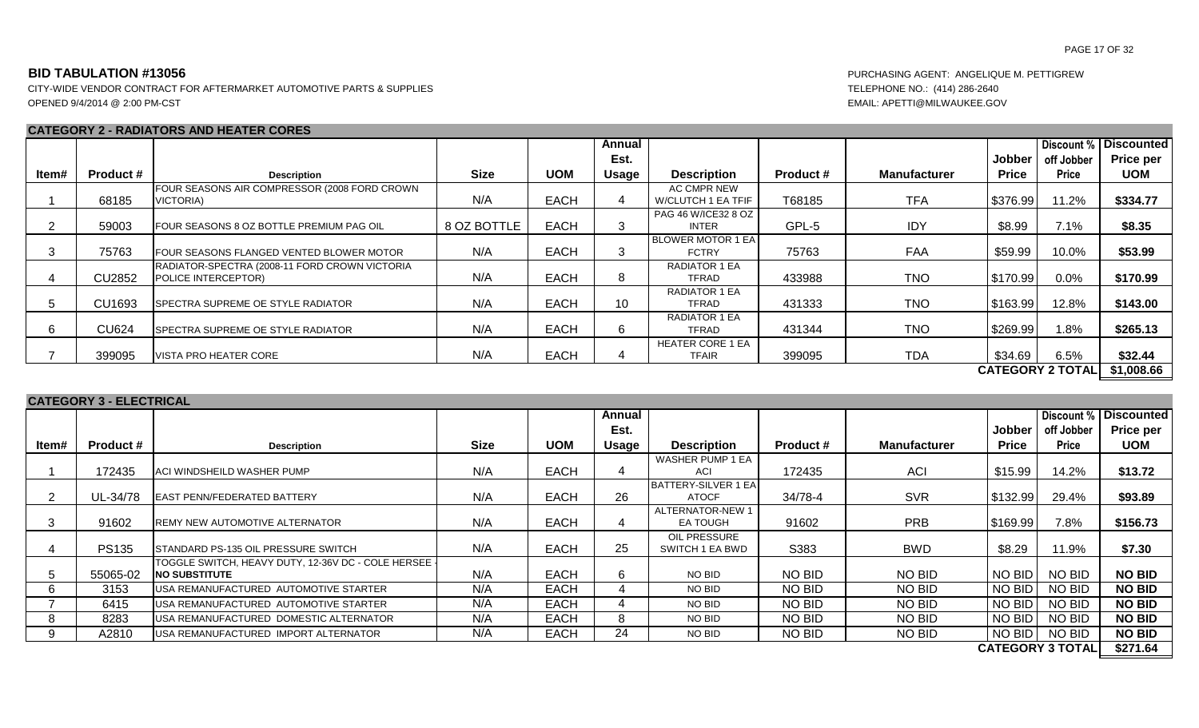CITY-WIDE VENDOR CONTRACT FOR AFTERMARKET AUTOMOTIVE PARTS & SUPPLIES TELEPHONE NO.: (414) 286-2640 OPENED 9/4/2014 @ 2:00 PM-CST EMAIL: APETTI@MILWAUKEE.GOV

### **CATEGORY 2 - RADIATORS AND HEATER CORES**

|       |                  |                                               |             |             | Annual       |                          |                  |                     |              | Discount %              | <b>Discounted</b> |
|-------|------------------|-----------------------------------------------|-------------|-------------|--------------|--------------------------|------------------|---------------------|--------------|-------------------------|-------------------|
|       |                  |                                               |             |             | Est.         |                          |                  |                     | Jobber       | off Jobber              | <b>Price per</b>  |
| ltem# | <b>Product #</b> | <b>Description</b>                            | <b>Size</b> | <b>UOM</b>  | <b>Usage</b> | <b>Description</b>       | <b>Product #</b> | <b>Manufacturer</b> | <b>Price</b> | <b>Price</b>            | <b>UOM</b>        |
|       |                  | FOUR SEASONS AIR COMPRESSOR (2008 FORD CROWN  |             |             |              | AC CMPR NEW              |                  |                     |              |                         |                   |
|       | 68185            | VICTORIA)                                     | N/A         | <b>EACH</b> |              | W/CLUTCH 1 EA TFIF       | T68185           | <b>TFA</b>          | \$376.99     | 11.2%                   | \$334.77          |
|       |                  |                                               |             |             |              | PAG 46 W/ICE32 8 OZ      |                  |                     |              |                         |                   |
|       | 59003            | FOUR SEASONS 8 OZ BOTTLE PREMIUM PAG OIL      | 8 OZ BOTTLE | <b>EACH</b> |              | <b>INTER</b>             | GPL-5            | IDY                 | \$8.99       | 7.1%                    | \$8.35            |
|       |                  |                                               |             |             |              | <b>BLOWER MOTOR 1 EA</b> |                  |                     |              |                         |                   |
| 3     | 75763            | FOUR SEASONS FLANGED VENTED BLOWER MOTOR      | N/A         | <b>EACH</b> |              | <b>FCTRY</b>             | 75763            | <b>FAA</b>          | \$59.99      | 10.0%                   | \$53.99           |
|       |                  | RADIATOR-SPECTRA (2008-11 FORD CROWN VICTORIA |             |             |              | <b>RADIATOR 1 EA</b>     |                  |                     |              |                         |                   |
|       | <b>CU2852</b>    | POLICE INTERCEPTOR)                           | N/A         | <b>EACH</b> | 8            | TFRAD                    | 433988           | <b>TNO</b>          | \$170.99     | $0.0\%$                 | \$170.99          |
|       |                  |                                               |             |             |              | <b>RADIATOR 1 EA</b>     |                  |                     |              |                         |                   |
| 5     | CU1693           | <b>SPECTRA SUPREME OE STYLE RADIATOR</b>      | N/A         | <b>EACH</b> | 10           | TFRAD                    | 431333           | <b>TNO</b>          | \$163.99     | 12.8%                   | \$143.00          |
|       |                  |                                               |             |             |              | <b>RADIATOR 1 EA</b>     |                  |                     |              |                         |                   |
| 6     | <b>CU624</b>     | SPECTRA SUPREME OE STYLE RADIATOR             | N/A         | <b>EACH</b> | 6.           | TFRAD                    | 431344           | <b>TNO</b>          | \$269.99     | $1.8\%$                 | \$265.13          |
|       |                  |                                               |             |             |              | <b>HEATER CORE 1 EA</b>  |                  |                     |              |                         |                   |
|       | 399095           | VISTA PRO HEATER CORE                         | N/A         | <b>EACH</b> |              | <b>TFAIR</b>             | 399095           | <b>TDA</b>          | \$34.69      | 6.5%                    | \$32.44           |
|       |                  |                                               |             |             |              |                          |                  |                     |              | <b>CATEGORY 2 TOTAL</b> | \$1,008.66        |

### **CATEGORY 3 - ELECTRICAL**

|       |                  |                                                      |             |             | Annual |                            |                  |                     |              | Discount %              | <b>Discounted</b> |
|-------|------------------|------------------------------------------------------|-------------|-------------|--------|----------------------------|------------------|---------------------|--------------|-------------------------|-------------------|
|       |                  |                                                      |             |             | Est.   |                            |                  |                     | Jobber       | off Jobber              | <b>Price per</b>  |
| ltem# | <b>Product #</b> | <b>Description</b>                                   | <b>Size</b> | <b>UOM</b>  | Usage  | <b>Description</b>         | <b>Product #</b> | <b>Manufacturer</b> | <b>Price</b> | <b>Price</b>            | <b>UOM</b>        |
|       |                  |                                                      |             |             |        | WASHER PUMP 1 EA           |                  |                     |              |                         |                   |
|       | 172435           | ACI WINDSHEILD WASHER PUMP                           | N/A         | <b>EACH</b> |        | ACI                        | 172435           | <b>ACI</b>          | \$15.99      | 14.2%                   | \$13.72           |
|       |                  |                                                      |             |             |        | <b>BATTERY-SILVER 1 EA</b> |                  |                     |              |                         |                   |
|       | UL-34/78         | <b>EAST PENN/FEDERATED BATTERY</b>                   | N/A         | <b>EACH</b> | 26     | <b>ATOCF</b>               | 34/78-4          | <b>SVR</b>          | \$132.99     | 29.4%                   | \$93.89           |
|       |                  |                                                      |             |             |        | ALTERNATOR-NEW 1           |                  |                     |              |                         |                   |
| 3     | 91602            | <b>REMY NEW AUTOMOTIVE ALTERNATOR</b>                | N/A         | <b>EACH</b> | 4      | <b>EA TOUGH</b>            | 91602            | <b>PRB</b>          | \$169.99     | 7.8%                    | \$156.73          |
|       |                  |                                                      |             |             |        | OIL PRESSURE               |                  |                     |              |                         |                   |
| 4     | <b>PS135</b>     | STANDARD PS-135 OIL PRESSURE SWITCH                  | N/A         | <b>EACH</b> | 25     | SWITCH 1 EA BWD            | S383             | <b>BWD</b>          | \$8.29       | 11.9%                   | \$7.30            |
|       |                  | TOGGLE SWITCH, HEAVY DUTY, 12-36V DC - COLE HERSEE - |             |             |        |                            |                  |                     |              |                         |                   |
| 5     | 55065-02         | <b>NO SUBSTITUTE</b>                                 | N/A         | <b>EACH</b> | 6.     | NO BID                     | NO BID           | NO BID              | NO BID       | <b>NO BID</b>           | <b>NO BID</b>     |
| 6     | 3153             | USA REMANUFACTURED AUTOMOTIVE STARTER                | N/A         | <b>EACH</b> |        | NO BID                     | NO BID           | NO BID              | NO BID       | <b>NO BID</b>           | <b>NO BID</b>     |
|       | 6415             | USA REMANUFACTURED AUTOMOTIVE STARTER                | N/A         | <b>EACH</b> |        | NO BID                     | NO BID           | NO BID              | NO BID       | <b>NO BID</b>           | <b>NO BID</b>     |
| 8     | 8283             | USA REMANUFACTURED DOMESTIC ALTERNATOR               | N/A         | <b>EACH</b> | 85.    | NO BID                     | NO BID           | NO BID              | NO BID       | <b>NO BID</b>           | <b>NO BID</b>     |
| 9     | A2810            | USA REMANUFACTURED IMPORT ALTERNATOR                 | N/A         | <b>EACH</b> | 24     | NO BID                     | NO BID           | NO BID              | NO BID       | <b>NO BID</b>           | <b>NO BID</b>     |
|       |                  |                                                      |             |             |        |                            |                  |                     |              | <b>CATEGORY 3 TOTAL</b> | \$271.64          |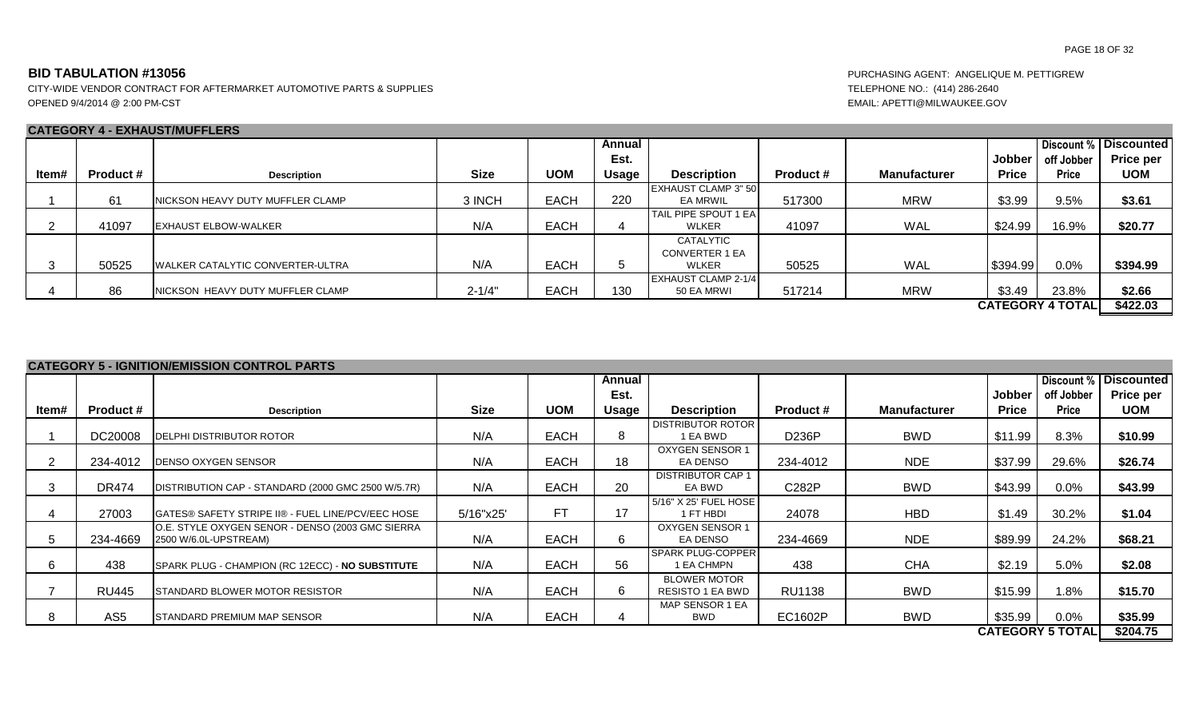CITY-WIDE VENDOR CONTRACT FOR AFTERMARKET AUTOMOTIVE PARTS & SUPPLIES TELEPHONE NO.: (414) 286-2640 OPENED 9/4/2014 @ 2:00 PM-CST EMAIL: APETTI@MILWAUKEE.GOV

# **CATEGORY 4 - EXHAUST/MUFFLERS**

|       |                  | <u>UAILUUINI TEANAUUINIUI LEINU</u>      |             |             |              |                              |                  |                     |              |                         |                              |
|-------|------------------|------------------------------------------|-------------|-------------|--------------|------------------------------|------------------|---------------------|--------------|-------------------------|------------------------------|
|       |                  |                                          |             |             | Annual       |                              |                  |                     |              |                         | <b>Discount % Discounted</b> |
|       |                  |                                          |             |             | Est.         |                              |                  |                     | Jobber       | off Jobber              | <b>Price per</b>             |
| ltem# | <b>Product #</b> | <b>Description</b>                       | <b>Size</b> | <b>UOM</b>  | <b>Usage</b> | <b>Description</b>           | <b>Product #</b> | <b>Manufacturer</b> | <b>Price</b> | <b>Price</b>            | <b>UOM</b>                   |
|       |                  |                                          |             |             |              | <b>IEXHAUST CLAMP 3" 50</b>  |                  |                     |              |                         |                              |
|       | 61               | NICKSON HEAVY DUTY MUFFLER CLAMP         | 3 INCH      | <b>EACH</b> | 220          | <b>EA MRWIL</b>              | 517300           | <b>MRW</b>          | \$3.99       | 9.5%                    | \$3.61                       |
|       |                  |                                          |             |             |              | <b>TAIL PIPE SPOUT 1 EAI</b> |                  |                     |              |                         |                              |
|       | 41097            | <b>IEXHAUST ELBOW-WALKER</b>             | N/A         | <b>EACH</b> | 4            | <b>WLKER</b>                 | 41097            | <b>WAL</b>          | \$24.99      | 16.9%                   | \$20.77                      |
|       |                  |                                          |             |             |              | CATALYTIC                    |                  |                     |              |                         |                              |
|       |                  |                                          |             |             |              | <b>CONVERTER 1 EA</b>        |                  |                     |              |                         |                              |
|       | 50525            | <b>IWALKER CATALYTIC CONVERTER-ULTRA</b> | N/A         | <b>EACH</b> |              | <b>WLKER</b>                 | 50525            | <b>WAL</b>          | \$394.99     | 0.0%                    | \$394.99                     |
|       |                  |                                          |             |             |              | <b>LEXHAUST CLAMP 2-1/4</b>  |                  |                     |              |                         |                              |
|       | 86               | NICKSON HEAVY DUTY MUFFLER CLAMP         | $2 - 1/4"$  | <b>EACH</b> | 130          | 50 EA MRWI                   | 517214           | <b>MRW</b>          | \$3.49       | 23.8%                   | \$2.66                       |
|       |                  |                                          |             |             |              |                              |                  |                     |              | <b>CATEGORY 4 TOTAL</b> | \$422.03                     |

| <b>CATEGORY 5 - IGNITION/EMISSION CONTROL PARTS</b> |  |
|-----------------------------------------------------|--|

|       |                  |                                                                           |             |             | Annual       |                                         |                  |                     |              | Discount %              | <b>Discounted</b> |
|-------|------------------|---------------------------------------------------------------------------|-------------|-------------|--------------|-----------------------------------------|------------------|---------------------|--------------|-------------------------|-------------------|
|       |                  |                                                                           |             |             | Est.         |                                         |                  |                     | Jobber       | off Jobber              | Price per         |
| ltem# | <b>Product #</b> | <b>Description</b>                                                        | <b>Size</b> | <b>UOM</b>  | <b>Usage</b> | <b>Description</b>                      | <b>Product #</b> | <b>Manufacturer</b> | <b>Price</b> | <b>Price</b>            | <b>UOM</b>        |
|       |                  |                                                                           |             |             |              |                                         |                  |                     |              |                         |                   |
|       | DC20008          | DELPHI DISTRIBUTOR ROTOR                                                  | N/A         | <b>EACH</b> | 8            | <b>DISTRIBUTOR ROTOR</b><br>1 EA BWD    | D236P            | <b>BWD</b>          | \$11.99      | 8.3%                    | \$10.99           |
|       |                  |                                                                           |             |             |              | <b>OXYGEN SENSOR 1</b>                  |                  |                     |              |                         |                   |
|       | 234-4012         | <b>DENSO OXYGEN SENSOR</b>                                                | N/A         | <b>EACH</b> | 18           | EA DENSO                                | 234-4012         | <b>NDE</b>          | \$37.99      | 29.6%                   | \$26.74           |
|       | <b>DR474</b>     | DISTRIBUTION CAP - STANDARD (2000 GMC 2500 W/5.7R)                        | N/A         | <b>EACH</b> | 20           | <b>DISTRIBUTOR CAP 1</b><br>EA BWD      | C282P            | <b>BWD</b>          | \$43.99      | 0.0%                    | \$43.99           |
|       |                  |                                                                           |             |             |              | 5/16" X 25' FUEL HOSE                   |                  |                     |              |                         |                   |
|       | 27003            | GATES® SAFETY STRIPE II® - FUEL LINE/PCV/EEC HOSE                         | 5/16"x25"   | FT.         | 17           | 1 FT HBDI                               | 24078            | <b>HBD</b>          | \$1.49       | 30.2%                   | \$1.04            |
|       | 234-4669         | O.E. STYLE OXYGEN SENOR - DENSO (2003 GMC SIERRA<br>2500 W/6.0L-UPSTREAM) | N/A         | <b>EACH</b> |              | OXYGEN SENSOR 1<br>EA DENSO             | 234-4669         | <b>NDE</b>          | \$89.99      | 24.2%                   | \$68.21           |
|       | 438              | SPARK PLUG - CHAMPION (RC 12ECC) - NO SUBSTITUTE                          | N/A         | <b>EACH</b> | 56           | <b>SPARK PLUG-COPPER</b><br>1 EA CHMPN  | 438              | <b>CHA</b>          | \$2.19       | 5.0%                    | \$2.08            |
|       | <b>RU445</b>     | STANDARD BLOWER MOTOR RESISTOR                                            | N/A         | <b>EACH</b> | 6            | <b>BLOWER MOTOR</b><br>RESISTO 1 EA BWD | <b>RU1138</b>    | <b>BWD</b>          | \$15.99      | $1.8\%$                 | \$15.70           |
|       | AS <sub>5</sub>  | STANDARD PREMIUM MAP SENSOR                                               | N/A         | <b>EACH</b> |              | MAP SENSOR 1 EA<br>BWD                  | EC1602P          | BWD                 | \$35.99      | $0.0\%$                 | \$35.99           |
|       |                  |                                                                           |             |             |              |                                         |                  |                     |              | <b>CATEGORY 5 TOTAL</b> | \$204.75          |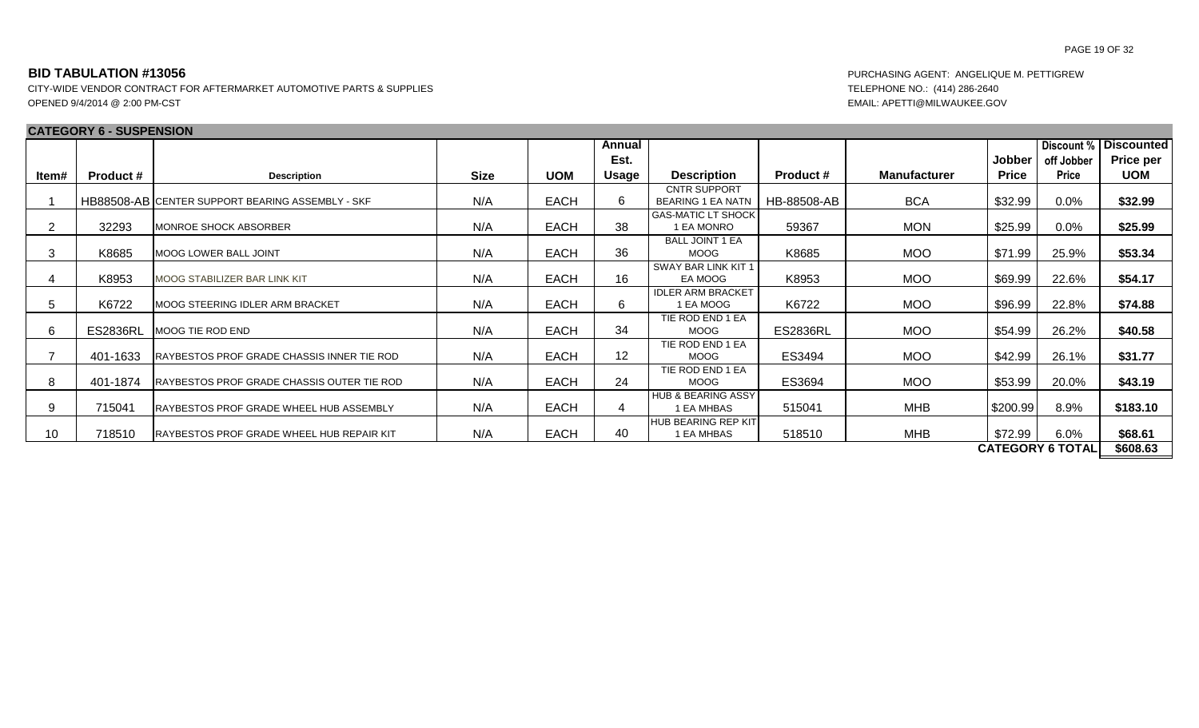# **BID TABULATION #13056** PURCHASING AGENT: ANGELIQUE M. PETTIGREW

|       | <b>CATEGORY 6 - SUSPENSION</b> |                                                    |             |             |        |                                                 |                  |                     |               |                         |                   |
|-------|--------------------------------|----------------------------------------------------|-------------|-------------|--------|-------------------------------------------------|------------------|---------------------|---------------|-------------------------|-------------------|
|       |                                |                                                    |             |             | Annual |                                                 |                  |                     |               | Discount %              | <b>Discounted</b> |
|       |                                |                                                    |             |             | Est.   |                                                 |                  |                     | <b>Jobber</b> | off Jobber              | Price per         |
| ltem# | <b>Product #</b>               | <b>Description</b>                                 | <b>Size</b> | <b>UOM</b>  | Usage  | <b>Description</b>                              | <b>Product #</b> | <b>Manufacturer</b> | <b>Price</b>  | <b>Price</b>            | <b>UOM</b>        |
|       |                                | HB88508-AB CENTER SUPPORT BEARING ASSEMBLY - SKF   | N/A         | <b>EACH</b> | 6.     | <b>CNTR SUPPORT</b><br><b>BEARING 1 EA NATN</b> | HB-88508-AB      | <b>BCA</b>          | \$32.99       | 0.0%                    | \$32.99           |
| 2     | 32293                          | <b>IMONROE SHOCK ABSORBER</b>                      | N/A         | <b>EACH</b> | 38     | <b>GAS-MATIC LT SHOCK</b><br>1 EA MONRO         | 59367            | <b>MON</b>          | \$25.99       | 0.0%                    | \$25.99           |
| 3     | K8685                          | MOOG LOWER BALL JOINT                              | N/A         | <b>EACH</b> | 36     | <b>BALL JOINT 1 EA</b><br><b>MOOG</b>           | K8685            | <b>MOO</b>          | \$71.99       | 25.9%                   | \$53.34           |
| 4     | K8953                          | <b>MOOG STABILIZER BAR LINK KIT</b>                | N/A         | <b>EACH</b> | 16     | SWAY BAR LINK KIT 1<br>EA MOOG                  | K8953            | <b>MOO</b>          | \$69.99       | 22.6%                   | \$54.17           |
| 5     | K6722                          | <b>IMOOG STEERING IDLER ARM BRACKET</b>            | N/A         | <b>EACH</b> | 6      | <b>IDLER ARM BRACKET</b><br>1 EA MOOG           | K6722            | <b>MOO</b>          | \$96.99       | 22.8%                   | \$74.88           |
| 6     | <b>ES2836RL</b>                | MOOG TIE ROD END                                   | N/A         | <b>EACH</b> | 34     | TIE ROD END 1 EA<br><b>MOOG</b>                 | <b>ES2836RL</b>  | <b>MOO</b>          | \$54.99       | 26.2%                   | \$40.58           |
|       | 401-1633                       | <b>IRAYBESTOS PROF GRADE CHASSIS INNER TIE ROD</b> | N/A         | <b>EACH</b> | 12     | TIE ROD END 1 EA<br><b>MOOG</b>                 | ES3494           | <b>MOO</b>          | \$42.99       | 26.1%                   | \$31.77           |
| 8     | 401-1874                       | RAYBESTOS PROF GRADE CHASSIS OUTER TIE ROD         | N/A         | <b>EACH</b> | 24     | TIE ROD END 1 EA<br><b>MOOG</b>                 | ES3694           | <b>MOO</b>          | \$53.99       | 20.0%                   | \$43.19           |
| 9     | 715041                         | <b>IRAYBESTOS PROF GRADE WHEEL HUB ASSEMBLY</b>    | N/A         | <b>EACH</b> | 4      | <b>HUB &amp; BEARING ASSY</b><br>1 EA MHBAS     | 515041           | MHB                 | \$200.99      | 8.9%                    | \$183.10          |
| 10    | 718510                         | <b>IRAYBESTOS PROF GRADE WHEEL HUB REPAIR KIT</b>  | N/A         | <b>EACH</b> | 40     | <b>HUB BEARING REP KIT</b><br>I EA MHBAS        | 518510           | MHB                 | \$72.99       | 6.0%                    | \$68.61           |
|       |                                |                                                    |             |             |        |                                                 |                  |                     |               | <b>CATEGORY 6 TOTAL</b> | \$608.63          |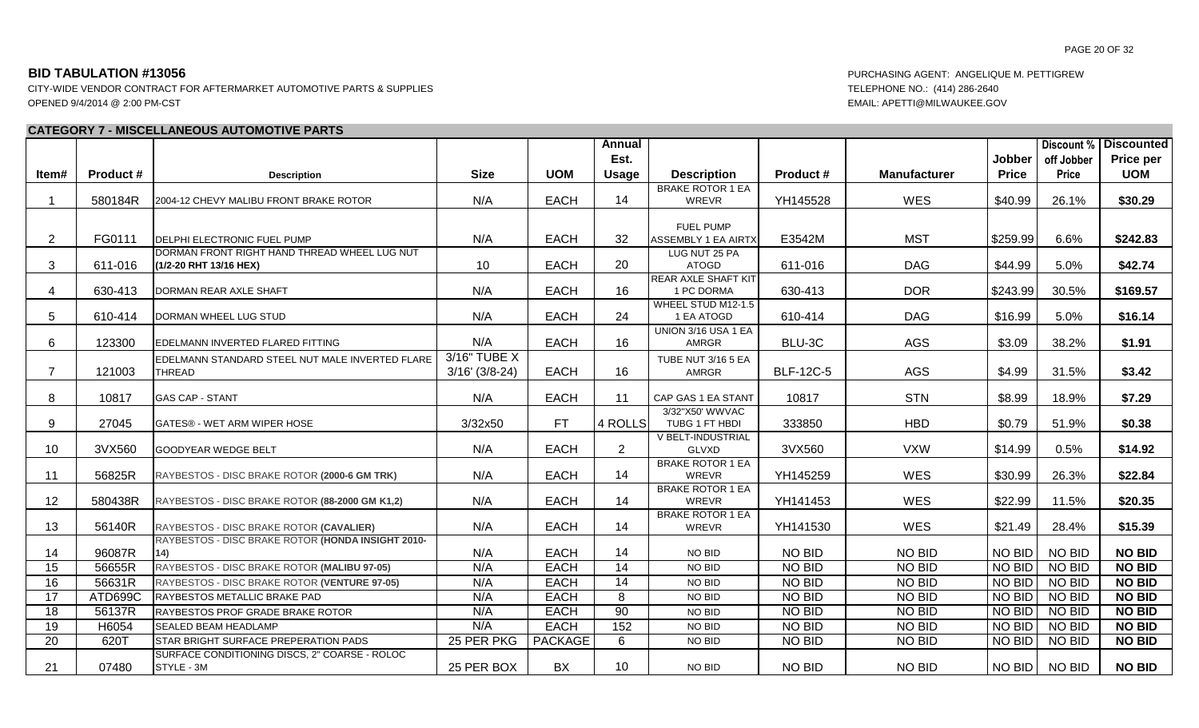CITY-WIDE VENDOR CONTRACT FOR AFTERMARKET AUTOMOTIVE PARTS & SUPPLIES TELEPHONE NO.: (414) 286-2640 OPENED 9/4/2014 @ 2:00 PM-CST EMAIL: APETTI@MILWAUKEE.GOV

### **CATEGORY 7 - MISCELLANEOUS AUTOMOTIVE PARTS**

| Est.                                                                                                                                                                        |               |               | <b>Discount % Discounted</b> |
|-----------------------------------------------------------------------------------------------------------------------------------------------------------------------------|---------------|---------------|------------------------------|
|                                                                                                                                                                             | <b>Jobber</b> | off Jobber    | <b>Price per</b>             |
| <b>Size</b><br><b>UOM</b><br>Item#<br><b>Product #</b><br><b>Usage</b><br><b>Description</b><br>Product #<br><b>Manufacturer</b><br><b>Description</b>                      | <b>Price</b>  | <b>Price</b>  | <b>UOM</b>                   |
| <b>BRAKE ROTOR 1 EA</b>                                                                                                                                                     |               |               |                              |
| N/A<br><b>EACH</b><br>YH145528<br><b>WES</b><br>580184R<br>14<br>$\overline{\mathbf{1}}$<br>2004-12 CHEVY MALIBU FRONT BRAKE ROTOR<br>WREVR                                 | \$40.99       | 26.1%         | \$30.29                      |
|                                                                                                                                                                             |               |               |                              |
| FUEL PUMP                                                                                                                                                                   |               |               |                              |
| <b>EACH</b><br>FG0111<br><b>MST</b><br>2<br>DELPHI ELECTRONIC FUEL PUMP<br>N/A<br>32<br><b>ASSEMBLY 1 EA AIRTX</b><br>E3542M                                                | \$259.99      | 6.6%          | \$242.83                     |
| DORMAN FRONT RIGHT HAND THREAD WHEEL LUG NUT<br>LUG NUT 25 PA<br><b>EACH</b><br>611-016<br><b>DAG</b><br>3<br>611-016<br>10<br>20<br><b>ATOGD</b><br>(1/2-20 RHT 13/16 HEX) | \$44.99       | 5.0%          | \$42.74                      |
| <b>REAR AXLE SHAFT KIT</b>                                                                                                                                                  |               |               |                              |
| <b>EACH</b><br><b>DOR</b><br>N/A<br>16<br>630-413<br>630-413<br>4<br>1 PC DORMA<br>DORMAN REAR AXLE SHAFT                                                                   | \$243.99      | 30.5%         | \$169.57                     |
| WHEEL STUD M12-1.5                                                                                                                                                          |               |               |                              |
| N/A<br><b>EACH</b><br>5<br>24<br><b>DAG</b><br>610-414<br>610-414<br>DORMAN WHEEL LUG STUD<br>1 EA ATOGD                                                                    | \$16.99       | 5.0%          | \$16.14                      |
| UNION 3/16 USA 1 EA                                                                                                                                                         |               |               |                              |
| N/A<br><b>EACH</b><br>AGS<br>6<br>123300<br>16<br>BLU-3C<br>EDELMANN INVERTED FLARED FITTING<br><b>AMRGR</b>                                                                | \$3.09        | 38.2%         | \$1.91                       |
| 3/16" TUBE X<br>EDELMANN STANDARD STEEL NUT MALE INVERTED FLARE<br>TUBE NUT 3/16 5 EA                                                                                       |               |               |                              |
| <b>EACH</b><br><b>AGS</b><br>$\overline{7}$<br>$3/16'$ (3/8-24)<br>16<br><b>BLF-12C-5</b><br>121003<br><b>THREAD</b><br><b>AMRGR</b>                                        | \$4.99        | 31.5%         | \$3.42                       |
|                                                                                                                                                                             |               |               |                              |
| <b>EACH</b><br><b>STN</b><br>8<br>10817<br>N/A<br>11<br>CAP GAS 1 EA STANT<br>10817<br><b>GAS CAP - STANT</b>                                                               | \$8.99        | 18.9%         | \$7.29                       |
| 3/32"X50' WWVAC<br>3/32x50<br><b>HBD</b><br>9<br>27045<br>FT.<br>4 ROLLS<br>333850<br>GATES® - WET ARM WIPER HOSE<br>TUBG 1 FT HBDI                                         | \$0.79        | 51.9%         | \$0.38                       |
| V BELT-INDUSTRIAL                                                                                                                                                           |               |               |                              |
| <b>EACH</b><br>$\overline{2}$<br>10<br>3VX560<br>N/A<br>3VX560<br><b>VXW</b><br><b>GOODYEAR WEDGE BELT</b><br><b>GLVXD</b>                                                  | \$14.99       | 0.5%          | \$14.92                      |
| <b>BRAKE ROTOR 1 EA</b>                                                                                                                                                     |               |               |                              |
| <b>EACH</b><br>14<br>56825R<br>N/A<br>YH145259<br><b>WES</b><br>11<br>WREVR<br>RAYBESTOS - DISC BRAKE ROTOR (2000-6 GM TRK)                                                 | \$30.99       | 26.3%         | \$22.84                      |
| <b>BRAKE ROTOR 1 EA</b>                                                                                                                                                     |               |               |                              |
| 12<br>N/A<br><b>EACH</b><br>WES<br>580438R<br>RAYBESTOS - DISC BRAKE ROTOR (88-2000 GM K1,2)<br>14<br>WREVR<br>YH141453                                                     | \$22.99       | 11.5%         | \$20.35                      |
| <b>BRAKE ROTOR 1 EA</b><br>N/A<br><b>EACH</b><br>14<br>WES<br>56140R<br>RAYBESTOS - DISC BRAKE ROTOR (CAVALIER)<br>WREVR                                                    |               |               |                              |
| 13<br>YH141530<br>RAYBESTOS - DISC BRAKE ROTOR (HONDA INSIGHT 2010-                                                                                                         | \$21.49       | 28.4%         | \$15.39                      |
| 96087R<br><b>EACH</b><br>14<br><b>NO BID</b><br><b>NO BID</b><br>14<br>N/A<br>NO BID<br>(14)                                                                                | NO BID        | NO BID        | <b>NO BID</b>                |
| N/A<br><b>EACH</b><br>14<br>NO BID<br>NO BID<br>15<br>56655R<br>RAYBESTOS - DISC BRAKE ROTOR (MALIBU 97-05)<br>NO BID                                                       | NO BID        | NO BID        | <b>NO BID</b>                |
| <b>EACH</b><br><b>NO BID</b><br>16<br>56631R<br>N/A<br>14<br>NO BID<br>RAYBESTOS - DISC BRAKE ROTOR (VENTURE 97-05)<br>NO BID                                               | NO BID        | NO BID        | <b>NO BID</b>                |
| <b>EACH</b><br>$\overline{17}$<br>ATD699C<br>N/A<br>8<br>NO BID<br>NO BID<br>RAYBESTOS METALLIC BRAKE PAD<br>NO BID                                                         | NO BID        | NO BID        | <b>NO BID</b>                |
| <b>EACH</b><br>$\overline{18}$<br>56137R<br>90<br>NO BID<br>NO BID<br>N/A<br>NO BID<br>RAYBESTOS PROF GRADE BRAKE ROTOR                                                     | NO BID        | NO BID        | <b>NO BID</b>                |
| <b>EACH</b><br>152<br>NO BID<br>19<br>N/A<br>NO BID<br>H6054<br><b>SEALED BEAM HEADLAMP</b><br>NO BID                                                                       | NO BID        | <b>NO BID</b> | <b>NO BID</b>                |
| $\overline{20}$<br>620T<br>25 PER PKG<br><b>PACKAGE</b><br>6<br>NO BID<br>NO BID<br>STAR BRIGHT SURFACE PREPERATION PADS<br>NO BID                                          | NO BID        | <b>NO BID</b> | <b>NO BID</b>                |
| SURFACE CONDITIONING DISCS, 2" COARSE - ROLOC                                                                                                                               |               |               |                              |
| 21<br>07480<br><b>BX</b><br><b>NO BID</b><br><b>NO BID</b><br>25 PER BOX<br>10 <sup>°</sup><br>STYLE - 3M<br>NO BID                                                         | NO BID        | <b>NO BID</b> | <b>NO BID</b>                |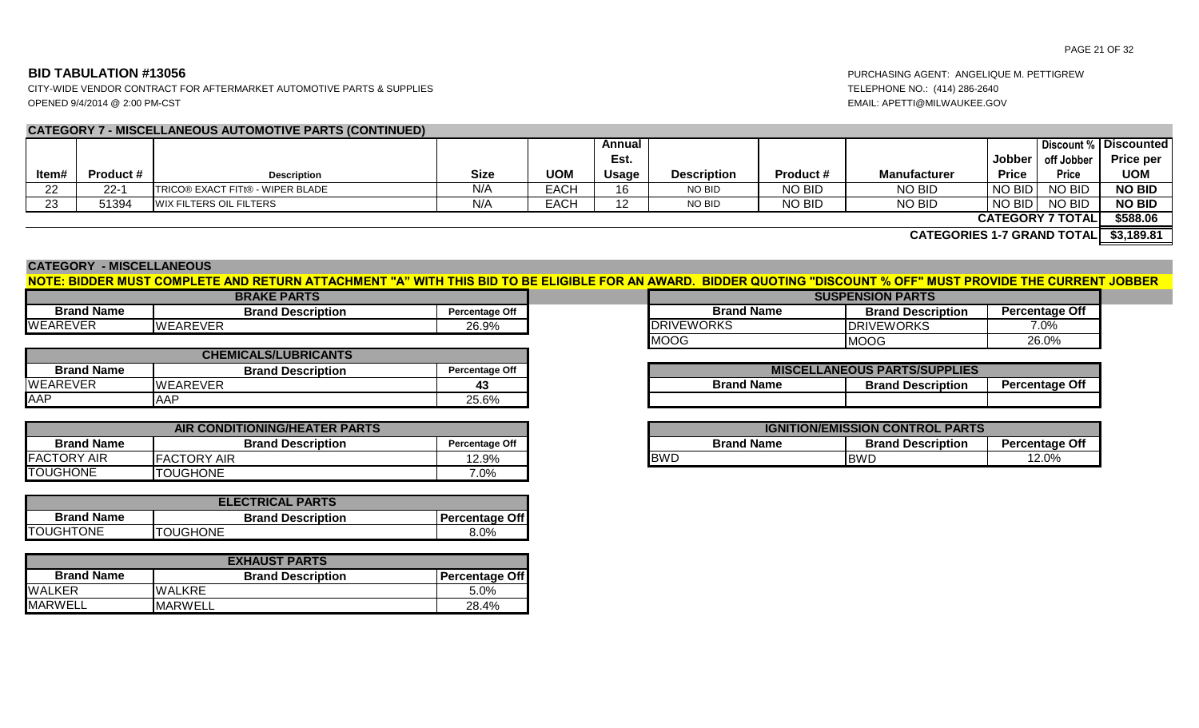CITY-WIDE VENDOR CONTRACT FOR AFTERMARKET AUTOMOTIVE PARTS & SUPPLIES TELEPHONE NO.: (414) 286-2640 OPENED 9/4/2014 @ 2:00 PM-CST EMAIL: APETTI@MILWAUKEE.GOV

# **CATEGORY 7 - MISCELLANEOUS AUTOMOTIVE PARTS (CONTINUED)**

|       |           |                                          |             |             | Annual       |                    |               |                                        |              |                         | <b>Discount % Discounted</b> |
|-------|-----------|------------------------------------------|-------------|-------------|--------------|--------------------|---------------|----------------------------------------|--------------|-------------------------|------------------------------|
|       |           |                                          |             |             | Est.         |                    |               |                                        | Jobber I     | off Jobber              | <b>Price per</b>             |
| ltem# | Product # | <b>Description</b>                       | <b>Size</b> | <b>UOM</b>  | <b>Usage</b> | <b>Description</b> | Product #     | <b>Manufacturer</b>                    | <b>Price</b> | <b>Price</b>            | <b>UOM</b>                   |
| 22    | $22 - 1$  | <b>ITRICO® EXACT FITt® - WIPER BLADE</b> | N/A         | <b>EACH</b> | 16           | NO BID             | <b>NO BID</b> | NO BID                                 | NO BID       | <b>NO BID</b>           | <b>NO BID</b>                |
| 23    | 51394     | <b>WIX FILTERS OIL FILTERS</b>           | N/A         | EACH        | 12           | NO BID             | <b>NO BID</b> | NO BID                                 | NO BID       | NO BID                  | <b>NO BID</b>                |
|       |           |                                          |             |             |              |                    |               |                                        |              | <b>CATEGORY 7 TOTAL</b> | \$588.06                     |
|       |           |                                          |             |             |              |                    |               | CATEGODIES 1-7 GRAND TOTALL \$3 180 81 |              |                         |                              |

**\$3,189.81 CATEGORIES 1-7 GRAND TOTAL**

### **CATEGORY - MISCELLANEOUS**

# **NOTE: BIDDER MUST COMPLETE AND RETURN ATTACHMENT "A" WITH THIS BID TO BE ELIGIBLE FOR AN AWARD. BIDDER QUOTING "DISCOUNT % OFF" MUST PROVIDE THE CURRENT JOBBER**

|                   | <b>BRAKE PARTS</b>       |                       | <b>SUSPENSION PARTS</b> |                   |
|-------------------|--------------------------|-----------------------|-------------------------|-------------------|
| <b>Brand Name</b> | <b>Brand Description</b> | <b>Percentage Off</b> | <b>Brand Name</b>       | <b>Brand Desc</b> |
| <b>WEAREVER</b>   | <b>WEAREVER</b>          | 26.9%                 | <b>DRIVEWORKS</b>       | <b>DRIVEWORKS</b> |

|                   |                             |                       | .                 | .                                  |
|-------------------|-----------------------------|-----------------------|-------------------|------------------------------------|
|                   | <b>CHEMICALS/LUBRICANTS</b> |                       |                   |                                    |
| <b>Brand Name</b> | <b>Brand Description</b>    | <b>Percentage Off</b> |                   | <b>MISCELLANEOUS PARTS/SUPPLIE</b> |
| <b>WEAREVER</b>   | <b>I</b> WEAREVER           |                       | <b>Brand Name</b> | <b>Brand Description</b>           |
| <b>AAP</b>        | ΔΔΡ<br><sub>nn</sub>        | 25.6%                 |                   |                                    |

|                               | AIR CONDITIONING/HEATER PARTS |                       | <b>IGNITION/EMISSION</b> |                   |            |
|-------------------------------|-------------------------------|-----------------------|--------------------------|-------------------|------------|
| <b>Brand Name</b>             | <b>Brand Description</b>      | <b>Percentage Off</b> |                          | <b>Brand Name</b> | Bı         |
| <b>IFACTORY</b><br><b>AIR</b> | <b>IFACTORY AIR</b>           | 12.9%                 | <b>IBWD</b>              |                   | <b>BWD</b> |
| <b>TOUGHONE</b>               | <b>ITOUGHONE</b>              | 7.0%                  |                          |                   |            |

| <b>ELECTRICAL PARTS</b> |                          |                       |  |  |  |  |  |
|-------------------------|--------------------------|-----------------------|--|--|--|--|--|
| <b>Brand Name</b>       | <b>Brand Description</b> | <b>Percentage Off</b> |  |  |  |  |  |
| <b>TOUGHTONE</b>        | <b>TOUGHONE</b>          | $8.0\%$               |  |  |  |  |  |

| <b>EXHAUST PARTS</b> |                          |                       |  |  |  |  |  |  |  |  |
|----------------------|--------------------------|-----------------------|--|--|--|--|--|--|--|--|
| <b>Brand Name</b>    | <b>Brand Description</b> | <b>Percentage Off</b> |  |  |  |  |  |  |  |  |
| <b>WALKER</b>        | <b>WALKRE</b>            | 5.0%                  |  |  |  |  |  |  |  |  |
| <b>MARWELL</b>       | <b>MARWELL</b>           | 28.4%                 |  |  |  |  |  |  |  |  |

| <b>RAKE PARTS</b>        |                       | <b>SUSPENSION PARTS</b> |                          |                       |  |  |  |  |
|--------------------------|-----------------------|-------------------------|--------------------------|-----------------------|--|--|--|--|
| <b>Brand Description</b> | <b>Percentage Off</b> | <b>Brand Name</b>       | <b>Brand Description</b> | <b>Percentage Off</b> |  |  |  |  |
|                          | 26.9%                 | <b>DRIVEWORKS</b>       | <b>IDRIVEWORKS</b>       | 7.0%                  |  |  |  |  |
|                          |                       | <b>MOOG</b>             | MOOG                     | 26.0%                 |  |  |  |  |

| <b>MISCELLANEOUS PARTS/SUPPLIES</b>                                    |  |  |  |  |  |  |  |  |  |  |  |
|------------------------------------------------------------------------|--|--|--|--|--|--|--|--|--|--|--|
| <b>Brand Name</b><br><b>Percentage Off</b><br><b>Brand Description</b> |  |  |  |  |  |  |  |  |  |  |  |
|                                                                        |  |  |  |  |  |  |  |  |  |  |  |

| <b>IONING/HEATER PARTS</b> |                |            |                   | <b>IGNITION/EMISSION CONTROL PARTS</b> |                       |
|----------------------------|----------------|------------|-------------------|----------------------------------------|-----------------------|
| <b>Brand Description</b>   | Percentage Off |            | <b>Brand Name</b> | <b>Brand Description</b>               | <b>Percentage Off</b> |
|                            | 2.9%           | <b>BWD</b> |                   | <b>IBWD</b>                            | 12.0%                 |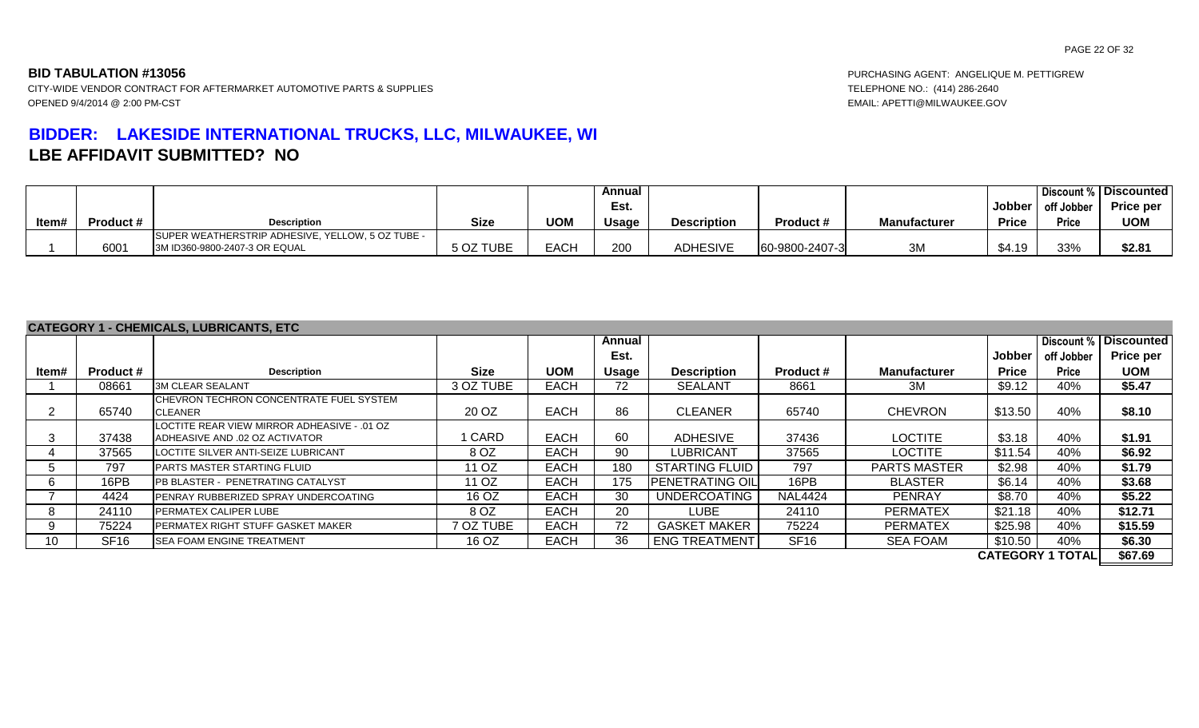# **BIDDER: LAKESIDE INTERNATIONAL TRUCKS, LLC, MILWAUKEE, WI LBE AFFIDAVIT SUBMITTED? NO**

**BID TABULATION #13056** PURCHASING AGENT: ANGELIQUE M. PETTIGREW

|       |                  |                                                  |             |             | Annual          |                    |                  |                     |              |            | Discount %   Discounted |
|-------|------------------|--------------------------------------------------|-------------|-------------|-----------------|--------------------|------------------|---------------------|--------------|------------|-------------------------|
|       |                  |                                                  |             |             | Est.            |                    |                  |                     | Jobber       | off Jobber | <b>Price per</b>        |
| Item# | <b>Product #</b> | <b>Description</b>                               | <b>Size</b> | <b>UOM</b>  | <b>Usage</b>    | <b>Description</b> | <b>Product #</b> | <b>Manufacturer</b> | <b>Price</b> | Price      | <b>UOM</b>              |
|       |                  | SUPER WEATHERSTRIP ADHESIVE, YELLOW, 5 OZ TUBE - |             |             |                 |                    |                  |                     |              |            |                         |
|       | 6001             | 3M ID360-9800-2407-3 OR EQUAL                    | 5 OZ TUBE   | <b>EACH</b> | 20 <sub>C</sub> | <b>ADHESIVE</b>    | 60-9800-2407-3   | 3M                  | \$4.19       | 33%        | \$2.81                  |

### **CATEGORY 1 - CHEMICALS, LUBRICANTS, ETC**

|       |                  | <u>UAILUUNI I-UILMIUALU, LUDINUAITIU, LIU</u>                                 |             |             |        |                        |                  |                     |              |                         |                         |
|-------|------------------|-------------------------------------------------------------------------------|-------------|-------------|--------|------------------------|------------------|---------------------|--------------|-------------------------|-------------------------|
|       |                  |                                                                               |             |             | Annual |                        |                  |                     |              |                         | Discount %   Discounted |
|       |                  |                                                                               |             |             | Est.   |                        |                  |                     | Jobber       | off Jobber              | <b>Price per</b>        |
| Item# | <b>Product #</b> | <b>Description</b>                                                            | <b>Size</b> | <b>UOM</b>  | Usage  | <b>Description</b>     | <b>Product #</b> | <b>Manufacturer</b> | <b>Price</b> | <b>Price</b>            | <b>UOM</b>              |
|       | 08661            | <b>3M CLEAR SEALANT</b>                                                       | 3 OZ TUBE   | <b>EACH</b> | 72     | <b>SEALANT</b>         | 8661             | 3M                  | \$9.12       | 40%                     | \$5.47                  |
|       | 65740            | CHEVRON TECHRON CONCENTRATE FUEL SYSTEM<br>CLEANER                            | 20 OZ       | <b>EACH</b> | 86     | <b>CLEANER</b>         | 65740            | <b>CHEVRON</b>      | \$13.50      | 40%                     | \$8.10                  |
|       | 37438            | LOCTITE REAR VIEW MIRROR ADHEASIVE - .01 OZ<br>ADHEASIVE AND .02 OZ ACTIVATOR | I CARD      | <b>EACH</b> | 60     | ADHESIVE               | 37436            | <b>LOCTITE</b>      | \$3.18       | 40%                     | \$1.91                  |
|       | 37565            | LOCTITE SILVER ANTI-SEIZE LUBRICANT                                           | 8 OZ        | <b>EACH</b> | 90     | LUBRICANT              | 37565            | <b>LOCTITE</b>      | \$11.54      | 40%                     | \$6.92                  |
|       | 797              | PARTS MASTER STARTING FLUID                                                   | 11 OZ       | EACH        | 180    | I STARTING FLUID I     | 797              | <b>PARTS MASTER</b> | \$2.98       | 40%                     | \$1.79                  |
|       | 16PB             | PB BLASTER - PENETRATING CATALYST                                             | 11 OZ       | <b>EACH</b> | 175    | <b>PENETRATING OIL</b> | 16PB             | <b>BLASTER</b>      | \$6.14       | 40%                     | \$3.68                  |
|       | 4424             | PENRAY RUBBERIZED SPRAY UNDERCOATING                                          | 16 OZ       | <b>EACH</b> | 30     | <b>UNDERCOATING</b>    | <b>NAL4424</b>   | <b>PENRAY</b>       | \$8.70       | 40%                     | \$5.22                  |
|       | 24110            | PERMATEX CALIPER LUBE                                                         | 8 OZ        | <b>EACH</b> | 20     | <b>LUBE</b>            | 24110            | <b>PERMATEX</b>     | \$21.18      | 40%                     | \$12.71                 |
|       | 75224            | PERMATEX RIGHT STUFF GASKET MAKER                                             | 7 OZ TUBE   | <b>EACH</b> | 72     | <b>GASKET MAKER</b>    | 75224            | <b>PERMATEX</b>     | \$25.98      | 40%                     | \$15.59                 |
| 10    | <b>SF16</b>      | <b>ISEA FOAM ENGINE TREATMENT</b>                                             | 16 OZ       | EACH        | 36     | <b>ENG TREATMENT</b>   | SF <sub>16</sub> | <b>SEA FOAM</b>     | \$10.50      | 40%                     | \$6.30                  |
|       |                  |                                                                               |             |             |        |                        |                  |                     |              | <b>CATEGORY 1 TOTAL</b> | \$67.69                 |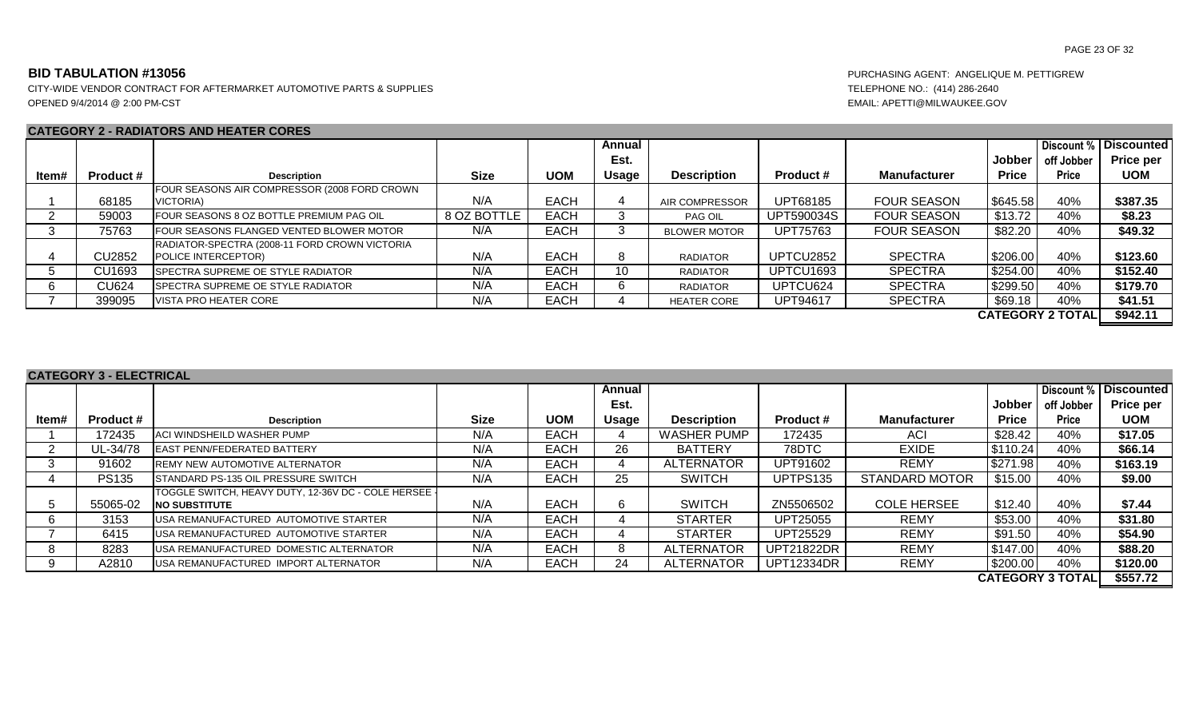CITY-WIDE VENDOR CONTRACT FOR AFTERMARKET AUTOMOTIVE PARTS & SUPPLIES TELEPHONE NO.: (414) 286-2640 OPENED 9/4/2014 @ 2:00 PM-CST EMAIL: APETTI@MILWAUKEE.GOV

# **CATEGORY 2 - RADIATORS AND HEATER CORES**

|       |                  |                                               |             |             | Annual       |                       |                  |                     |              |                         | Discount %   Discounted |
|-------|------------------|-----------------------------------------------|-------------|-------------|--------------|-----------------------|------------------|---------------------|--------------|-------------------------|-------------------------|
|       |                  |                                               |             |             | Est.         |                       |                  |                     | Jobber       | off Jobber              | Price per               |
| ltem# | <b>Product #</b> | <b>Description</b>                            | Size        | <b>UOM</b>  | <b>Usage</b> | <b>Description</b>    | <b>Product #</b> | <b>Manufacturer</b> | <b>Price</b> | <b>Price</b>            | <b>UOM</b>              |
|       |                  | FOUR SEASONS AIR COMPRESSOR (2008 FORD CROWN  |             |             |              |                       |                  |                     |              |                         |                         |
|       | 68185            | VICTORIA)                                     | N/A         | <b>EACH</b> |              | <b>AIR COMPRESSOR</b> | UPT68185         | <b>FOUR SEASON</b>  | \$645.58     | 40%                     | \$387.35                |
|       | 59003            | FOUR SEASONS 8 OZ BOTTLE PREMIUM PAG OIL      | 8 OZ BOTTLE | <b>EACH</b> |              | PAG OIL               | UPT590034S       | <b>FOUR SEASON</b>  | \$13.72      | 40%                     | \$8.23                  |
|       | 75763            | FOUR SEASONS FLANGED VENTED BLOWER MOTOR      | N/A         | <b>EACH</b> |              | <b>BLOWER MOTOR</b>   | UPT75763         | <b>FOUR SEASON</b>  | \$82.20      | 40%                     | \$49.32                 |
|       |                  | RADIATOR-SPECTRA (2008-11 FORD CROWN VICTORIA |             |             |              |                       |                  |                     |              |                         |                         |
|       | CU2852           | POLICE INTERCEPTOR)                           | N/A         | <b>EACH</b> |              | <b>RADIATOR</b>       | UPTCU2852        | <b>SPECTRA</b>      | \$206.00     | 40%                     | \$123.60                |
|       | CU1693           | <b>ISPECTRA SUPREME OE STYLE RADIATOR</b>     | N/A         | <b>EACH</b> | 10           | <b>RADIATOR</b>       | UPTCU1693        | <b>SPECTRA</b>      | \$254.00     | 40%                     | \$152.40                |
|       | <b>CU624</b>     | <b>ISPECTRA SUPREME OE STYLE RADIATOR</b>     | N/A         | <b>EACH</b> |              | <b>RADIATOR</b>       | UPTCU624         | <b>SPECTRA</b>      | \$299.50     | 40%                     | \$179.70                |
|       | 399095           | <b>IVISTA PRO HEATER CORE</b>                 | N/A         | <b>EACH</b> |              | <b>HEATER CORE</b>    | <b>UPT94617</b>  | <b>SPECTRA</b>      | \$69.18      | 40%                     | \$41.51                 |
|       |                  |                                               |             |             |              |                       |                  |                     |              | <b>CATEGORY 2 TOTAL</b> | \$942.11                |

|       | <b>CATEGORY 3 - ELECTRICAL</b> |                                                                               |      |             |        |                    |                   |                       |               |                       |                                       |
|-------|--------------------------------|-------------------------------------------------------------------------------|------|-------------|--------|--------------------|-------------------|-----------------------|---------------|-----------------------|---------------------------------------|
|       |                                |                                                                               |      |             | Annual |                    |                   |                       |               |                       | Discount %   Discounted               |
|       |                                |                                                                               |      |             | Est.   |                    |                   |                       | <b>Jobber</b> | off Jobber            | <b>Price per</b>                      |
| ltem# | <b>Product #</b>               | <b>Description</b>                                                            | Size | <b>UOM</b>  | Usage  | <b>Description</b> | <b>Product #</b>  | <b>Manufacturer</b>   | <b>Price</b>  | <b>Price</b>          | <b>UOM</b>                            |
|       | 172435                         | <b>ACI WINDSHEILD WASHER PUMP</b>                                             | N/A  | <b>EACH</b> |        | <b>WASHER PUMP</b> | 172435            | ACI                   | \$28.42       | 40%                   | \$17.05                               |
|       | UL-34/78                       | <b>LEAST PENN/FEDERATED BATTERY</b>                                           | N/A  | <b>EACH</b> | 26     | <b>BATTERY</b>     | 78DTC             | <b>EXIDE</b>          | \$110.24      | 40%                   | \$66.14                               |
|       | 91602                          | <b>IREMY NEW AUTOMOTIVE ALTERNATOR</b>                                        | N/A  | <b>EACH</b> |        | <b>ALTERNATOR</b>  | UPT91602          | <b>REMY</b>           | \$271.98      | 40%                   | \$163.19                              |
|       | <b>PS135</b>                   | <b>ISTANDARD PS-135 OIL PRESSURE SWITCH</b>                                   | N/A  | <b>EACH</b> | 25     | <b>SWITCH</b>      | UPTPS135          | <b>STANDARD MOTOR</b> | \$15.00       | 40%                   | \$9.00                                |
|       | 55065-02                       | TOGGLE SWITCH, HEAVY DUTY, 12-36V DC - COLE HERSEE  <br><b>INO SUBSTITUTE</b> | N/A  | <b>EACH</b> | 6.     | <b>SWITCH</b>      | ZN5506502         | <b>COLE HERSEE</b>    | \$12.40       | 40%                   | \$7.44                                |
| -6    | 3153                           | <b>IUSA REMANUFACTURED AUTOMOTIVE STARTER</b>                                 | N/A  | EACH        |        | <b>STARTER</b>     | UPT25055          | <b>REMY</b>           | \$53.00       | 40%                   | \$31.80                               |
|       | 6415                           | <b>IUSA REMANUFACTURED AUTOMOTIVE STARTER</b>                                 | N/A  | <b>EACH</b> |        | <b>STARTER</b>     | UPT25529          | <b>REMY</b>           | \$91.50       | 40%                   | \$54.90                               |
| 8     | 8283                           | <b>IUSA REMANUFACTURED DOMESTIC ALTERNATOR</b>                                | N/A  | <b>EACH</b> | 8.     | <b>ALTERNATOR</b>  | <b>UPT21822DR</b> | <b>REMY</b>           | \$147.00      | 40%                   | \$88.20                               |
| 9     | A2810                          | <b>IUSA REMANUFACTURED IMPORT ALTERNATOR</b>                                  | N/A  | <b>EACH</b> | 24     | <b>ALTERNATOR</b>  | <b>UPT12334DR</b> | <b>REMY</b>           | \$200.00      | 40%                   | \$120.00                              |
|       |                                |                                                                               |      |             |        |                    |                   |                       |               | <b>CATEOODVATOTAL</b> | $A$ $F$ $F$ $\rightarrow$ $A$ $\land$ |

**\$557.72 CATEGORY 3 TOTAL**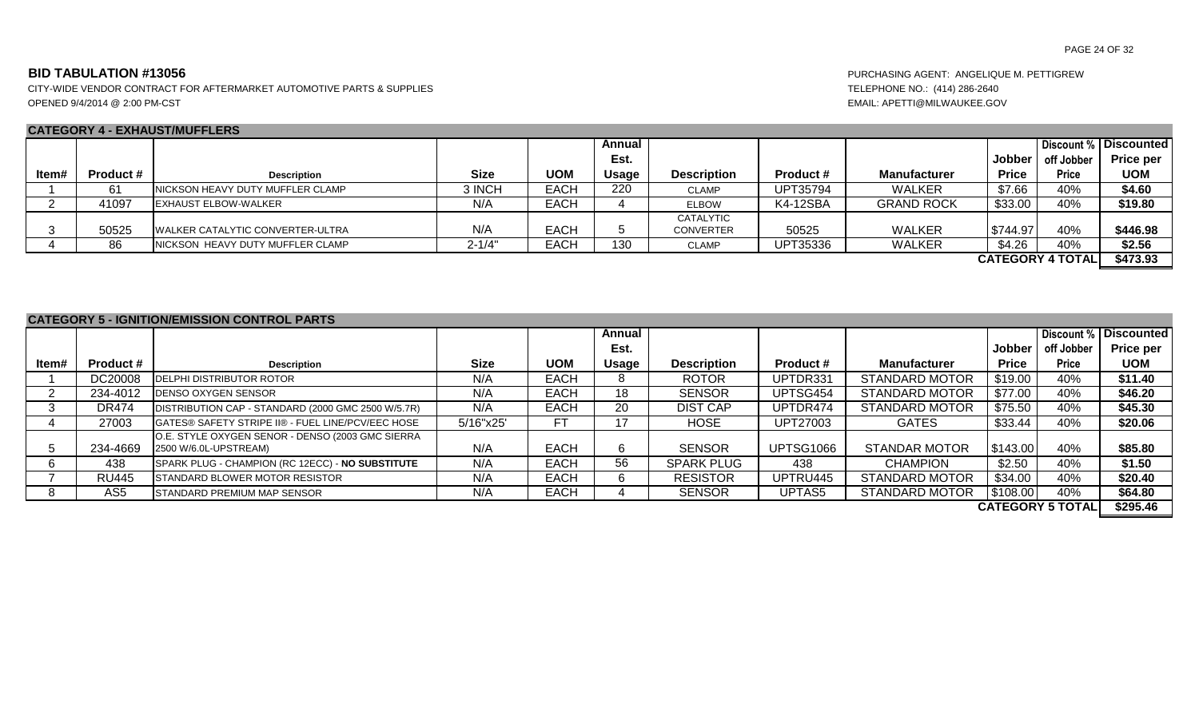CITY-WIDE VENDOR CONTRACT FOR AFTERMARKET AUTOMOTIVE PARTS & SUPPLIES TELEPHONE NO.: (414) 286-2640 OPENED 9/4/2014 @ 2:00 PM-CST EMAIL: APETTI@MILWAUKEE.GOV

# **CATEGORY 4 - EXHAUST/MUFFLERS**

| $\sim$ , $\sim$ $\sim$ |                  | ______________________                   |             |             |        |                    |                  |                     |              |                         |                         |
|------------------------|------------------|------------------------------------------|-------------|-------------|--------|--------------------|------------------|---------------------|--------------|-------------------------|-------------------------|
|                        |                  |                                          |             |             | Annual |                    |                  |                     |              |                         | Discount %   Discounted |
|                        |                  |                                          |             |             | Est.   |                    |                  |                     | Jobber       | off Jobber              | Price per               |
| ltem#                  | <b>Product #</b> | <b>Description</b>                       | <b>Size</b> | <b>UOM</b>  | Usage  | <b>Description</b> | <b>Product #</b> | <b>Manufacturer</b> | <b>Price</b> | <b>Price</b>            | <b>UOM</b>              |
|                        |                  | INICKSON HEAVY DUTY MUFFLER CLAMP        | 3 INCH      | <b>EACH</b> | 220    | <b>CLAMP</b>       | UPT35794         | <b>WALKER</b>       | \$7.66       | 40%                     | \$4.60                  |
|                        | 41097            | <b>IEXHAUST ELBOW-WALKER</b>             | N/A         | <b>EACH</b> |        | <b>ELBOW</b>       | K4-12SBA         | <b>GRAND ROCK</b>   | \$33.00      | 40%                     | \$19.80                 |
|                        |                  |                                          |             |             |        | CATALYTIC          |                  |                     |              |                         |                         |
|                        | 50525            | <b>IWALKER CATALYTIC CONVERTER-ULTRA</b> | N/A         | <b>EACH</b> |        | <b>CONVERTER</b>   | 50525            | <b>WALKER</b>       | \$744.97     | 40%                     | \$446.98                |
|                        | 86               | INICKSON HEAVY DUTY MUFFLER CLAMP        | $2 - 1/4"$  | <b>EACH</b> | 130    | <b>CLAMP</b>       | UPT35336         | <b>WALKER</b>       | \$4.26       | 40%                     | \$2.56                  |
|                        |                  |                                          |             |             |        |                    |                  |                     |              | <b>CATEGORY 4 TOTAL</b> | \$473.93                |

| <b>CATEGORY 5 - IGNITION/EMISSION CONTROL PARTS</b> |                  |                                                                           |             |             |              |                    |                  |                       |              |                         |                         |
|-----------------------------------------------------|------------------|---------------------------------------------------------------------------|-------------|-------------|--------------|--------------------|------------------|-----------------------|--------------|-------------------------|-------------------------|
|                                                     |                  |                                                                           |             |             | Annual       |                    |                  |                       |              |                         | Discount %   Discounted |
|                                                     |                  |                                                                           |             |             | Est.         |                    |                  |                       | Jobber       | off Jobber              | Price per               |
| ltem#                                               | <b>Product #</b> | <b>Description</b>                                                        | <b>Size</b> | <b>UOM</b>  | <b>Usage</b> | <b>Description</b> | Product#         | <b>Manufacturer</b>   | <b>Price</b> | Price                   | <b>UOM</b>              |
|                                                     | DC20008          | <b>DELPHI DISTRIBUTOR ROTOR</b>                                           | N/A         | <b>EACH</b> | 8.           | <b>ROTOR</b>       | UPTDR331         | <b>STANDARD MOTOR</b> | \$19.00      | 40%                     | \$11.40                 |
|                                                     | 234-4012         | <b>IDENSO OXYGEN SENSOR</b>                                               | N/A         | <b>EACH</b> | 18           | <b>SENSOR</b>      | UPTSG454         | <b>STANDARD MOTOR</b> | \$77.00      | 40%                     | \$46.20                 |
|                                                     | <b>DR474</b>     | DISTRIBUTION CAP - STANDARD (2000 GMC 2500 W/5.7R)                        | N/A         | <b>EACH</b> | 20           | <b>DIST CAP</b>    | UPTDR474         | <b>STANDARD MOTOR</b> | \$75.50      | 40%                     | \$45.30                 |
|                                                     | 27003            | <b>IGATES® SAFETY STRIPE II® - FUEL LINE/PCV/EEC HOSE</b>                 | 5/16"x25'   | FТ          |              | HOSE               | UPT27003         | <b>GATES</b>          | \$33.44      | 40%                     | \$20.06                 |
| 5                                                   | 234-4669         | O.E. STYLE OXYGEN SENOR - DENSO (2003 GMC SIERRA<br>2500 W/6.0L-UPSTREAM) | N/A         | <b>EACH</b> | 6            | <b>SENSOR</b>      | <b>UPTSG1066</b> | <b>STANDAR MOTOR</b>  | \$143.00     | 40%                     | \$85.80                 |
|                                                     | 438              | SPARK PLUG - CHAMPION (RC 12ECC) - NO SUBSTITUTE                          | N/A         | <b>EACH</b> | 56           | <b>SPARK PLUG</b>  | 438              | <b>CHAMPION</b>       | \$2.50       | 40%                     | \$1.50                  |
|                                                     | <b>RU445</b>     | <b>STANDARD BLOWER MOTOR RESISTOR</b>                                     | N/A         | <b>EACH</b> | 6.           | <b>RESISTOR</b>    | UPTRU445         | <b>STANDARD MOTOR</b> | \$34.00      | 40%                     | \$20.40                 |
| 8                                                   | AS5              | <b>STANDARD PREMIUM MAP SENSOR</b>                                        | N/A         | <b>EACH</b> |              | <b>SENSOR</b>      | UPTAS5           | <b>STANDARD MOTOR</b> | \$108.00     | 40%                     | \$64.80                 |
|                                                     |                  |                                                                           |             |             |              |                    |                  |                       |              | <b>CATEGORY 5 TOTAL</b> | \$295.46                |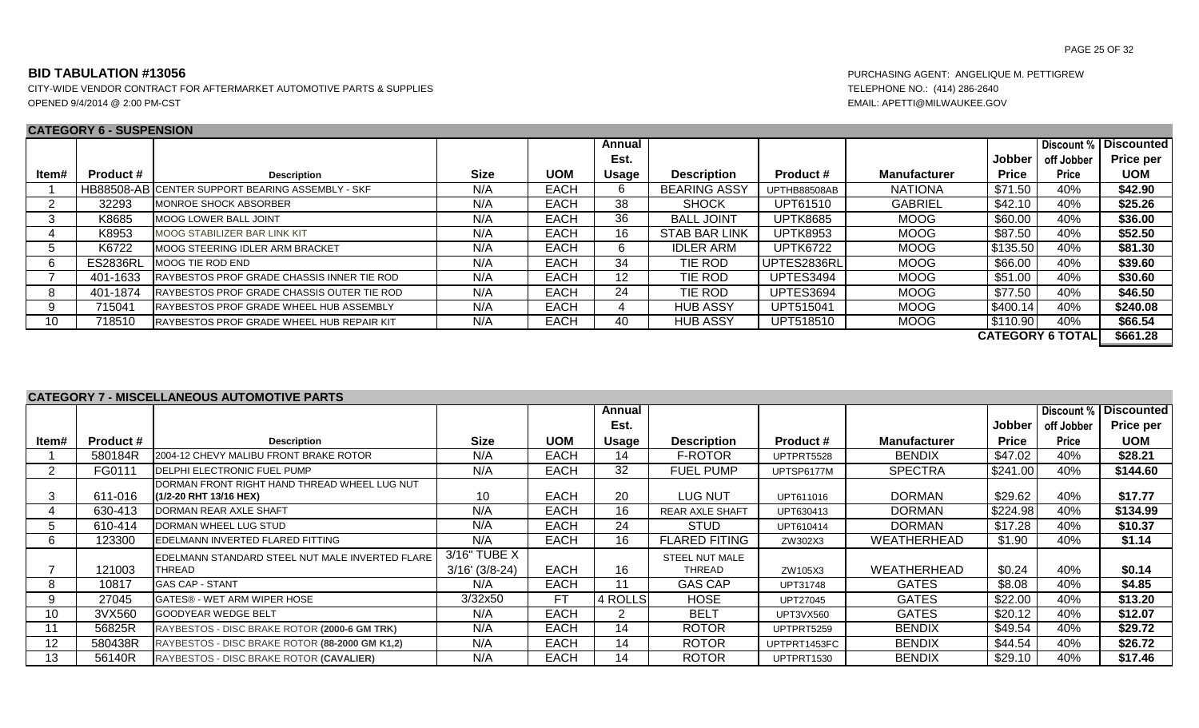### **CATEGORY 6 - SUSPENSION**

|       | <u>UAILUUINI VUUDILIIUIUI</u> |                                                    |             |             |        |                      |                  |                     |              |                         |                   |
|-------|-------------------------------|----------------------------------------------------|-------------|-------------|--------|----------------------|------------------|---------------------|--------------|-------------------------|-------------------|
|       |                               |                                                    |             |             | Annual |                      |                  |                     |              | Discount %              | <b>Discounted</b> |
|       |                               |                                                    |             |             | Est.   |                      |                  |                     | Jobber       | off Jobber              | <b>Price per</b>  |
| Item# | <b>Product #</b>              | <b>Description</b>                                 | <b>Size</b> | <b>UOM</b>  | Usage  | <b>Description</b>   | <b>Product #</b> | <b>Manufacturer</b> | <b>Price</b> | <b>Price</b>            | <b>UOM</b>        |
|       |                               | HB88508-AB CENTER SUPPORT BEARING ASSEMBLY - SKF   | N/A         | EACH        |        | <b>BEARING ASSY</b>  | UPTHB88508AB     | <b>NATIONA</b>      | \$71.50      | 40%                     | \$42.90           |
|       | 32293                         | MONROE SHOCK ABSORBER                              | N/A         | <b>EACH</b> | 38     | <b>SHOCK</b>         | UPT61510         | <b>GABRIEL</b>      | \$42.10      | 40%                     | \$25.26           |
|       | K8685                         | <b>MOOG LOWER BALL JOINT</b>                       | N/A         | <b>EACH</b> | 36     | <b>BALL JOINT</b>    | <b>UPTK8685</b>  | MOOG                | \$60.00      | 40%                     | \$36.00           |
|       | K8953                         | MOOG STABILIZER BAR LINK KIT                       | N/A         | <b>EACH</b> | 16     | <b>STAB BAR LINK</b> | <b>UPTK8953</b>  | <b>MOOG</b>         | \$87.50      | 40%                     | \$52.50           |
|       | K6722                         | MOOG STEERING IDLER ARM BRACKET                    | N/A         | <b>EACH</b> |        | IDLER ARM            | <b>UPTK6722</b>  | <b>MOOG</b>         | \$135.50     | 40%                     | \$81.30           |
|       | <b>ES2836RL</b>               | MOOG TIE ROD END                                   | N/A         | <b>EACH</b> | 34     | TIE ROD              | UPTES2836RL      | MOOG                | \$66.00      | 40%                     | \$39.60           |
|       | 401-1633                      | <b>IRAYBESTOS PROF GRADE CHASSIS INNER TIE ROD</b> | N/A         | <b>EACH</b> | 12     | TIE ROD              | UPTES3494        | MOOG                | \$51.00      | 40%                     | \$30.60           |
| ੇ ਨ   | 401-1874                      | RAYBESTOS PROF GRADE CHASSIS OUTER TIE ROD         | N/A         | EACH        | 24     | TIE ROD              | UPTES3694        | <b>MOOG</b>         | \$77.50      | 40%                     | \$46.50           |
|       | 715041                        | RAYBESTOS PROF GRADE WHEEL HUB ASSEMBLY            | N/A         | EACH        |        | <b>HUB ASSY</b>      | UPT515041        | MOOG                | \$400.14     | 40%                     | \$240.08          |
| 10    | 718510                        | RAYBESTOS PROF GRADE WHEEL HUB REPAIR KIT          | N/A         | <b>EACH</b> | 40     | <b>HUB ASSY</b>      | UPT518510        | MOOG                | \$110.90     | 40%                     | \$66.54           |
|       |                               |                                                    |             |             |        |                      |                  |                     |              | <b>CATEGORY 6 TOTAL</b> | \$661.28          |

### **CATEGORY 7 - MISCELLANEOUS AUTOMOTIVE PARTS**

|                   |                  |                                                          |                  |             | Annual  |                        |                  |                     |               | Discount %   | <b>Discounted</b> |
|-------------------|------------------|----------------------------------------------------------|------------------|-------------|---------|------------------------|------------------|---------------------|---------------|--------------|-------------------|
|                   |                  |                                                          |                  |             | Est.    |                        |                  |                     | <b>Jobber</b> | off Jobber   | <b>Price per</b>  |
|                   |                  |                                                          |                  |             |         |                        |                  |                     |               |              |                   |
| ltem#             | <b>Product #</b> | <b>Description</b>                                       | <b>Size</b>      | <b>UOM</b>  | Usage   | <b>Description</b>     | <b>Product #</b> | <b>Manufacturer</b> | <b>Price</b>  | <b>Price</b> | <b>UOM</b>        |
|                   | 580184R          | 2004-12 CHEVY MALIBU FRONT BRAKE ROTOR                   | N/A              | <b>EACH</b> | 14      | F-ROTOR                | UPTPRT5528       | <b>BENDIX</b>       | \$47.02       | 40%          | \$28.21           |
|                   | FG0111           | <b>IDELPHI ELECTRONIC FUEL PUMP</b>                      | N/A              | <b>EACH</b> | 32      | <b>FUEL PUMP</b>       | UPTSP6177M       | <b>SPECTRA</b>      | \$241.00      | 40%          | \$144.60          |
|                   |                  | DORMAN FRONT RIGHT HAND THREAD WHEEL LUG NUT             |                  |             |         |                        |                  |                     |               |              |                   |
| 3                 | 611-016          | (1/2-20 RHT 13/16 HEX)                                   | 10               | <b>EACH</b> | 20      | LUG NUT                | UPT611016        | <b>DORMAN</b>       | \$29.62       | 40%          | \$17.77           |
| 4                 | 630-413          | DORMAN REAR AXLE SHAFT                                   | N/A              | <b>EACH</b> | 16      | <b>REAR AXLE SHAFT</b> | UPT630413        | <b>DORMAN</b>       | \$224.98      | 40%          | \$134.99          |
| 5.                | 610-414          | DORMAN WHEEL LUG STUD                                    | N/A              | <b>EACH</b> | 24      | <b>STUD</b>            | UPT610414        | <b>DORMAN</b>       | \$17.28       | 40%          | \$10.37           |
| 6                 | 123300           | EDELMANN INVERTED FLARED FITTING                         | N/A              | <b>EACH</b> | 16      | <b>FLARED FITING</b>   | ZW302X3          | WEATHERHEAD         | \$1.90        | 40%          | \$1.14            |
|                   |                  | <b>I</b> EDELMANN STANDARD STEEL NUT MALE INVERTED FLARE | 3/16" TUBE X     |             |         | STEEL NUT MALE         |                  |                     |               |              |                   |
|                   | 121003           | THREAD                                                   | $3/16'$ (3/8-24) | <b>EACH</b> | 16      | THREAD                 | ZW105X3          | WEATHERHEAD         | \$0.24        | 40%          | \$0.14            |
| 8                 | 10817            | <b>IGAS CAP - STANT</b>                                  | N/A              | <b>EACH</b> |         | <b>GAS CAP</b>         | UPT31748         | <b>GATES</b>        | \$8.08        | 40%          | \$4.85            |
| 9                 | 27045            | <b>IGATES® - WET ARM WIPER HOSE</b>                      | 3/32x50          | <b>FT</b>   | 4 ROLLS | <b>HOSE</b>            | UPT27045         | <b>GATES</b>        | \$22.00       | 40%          | \$13.20           |
| 10                | 3VX560           | <b>GOODYEAR WEDGE BELT</b>                               | N/A              | <b>EACH</b> |         | <b>BELT</b>            | UPT3VX560        | <b>GATES</b>        | \$20.12       | 40%          | \$12.07           |
|                   | 56825R           | RAYBESTOS - DISC BRAKE ROTOR (2000-6 GM TRK)             | N/A              | <b>EACH</b> | 14      | <b>ROTOR</b>           | UPTPRT5259       | <b>BENDIX</b>       | \$49.54       | 40%          | \$29.72           |
| $12 \overline{ }$ | 580438R          | RAYBESTOS - DISC BRAKE ROTOR (88-2000 GM K1,2)           | N/A              | <b>EACH</b> | 14      | <b>ROTOR</b>           | UPTPRT1453FC     | <b>BENDIX</b>       | \$44.54       | 40%          | \$26.72           |
| 13                | 56140R           | RAYBESTOS - DISC BRAKE ROTOR (CAVALIER)                  | N/A              | <b>EACH</b> | 14      | <b>ROTOR</b>           | UPTPRT1530       | <b>BENDIX</b>       | \$29.10       | 40%          | \$17.46           |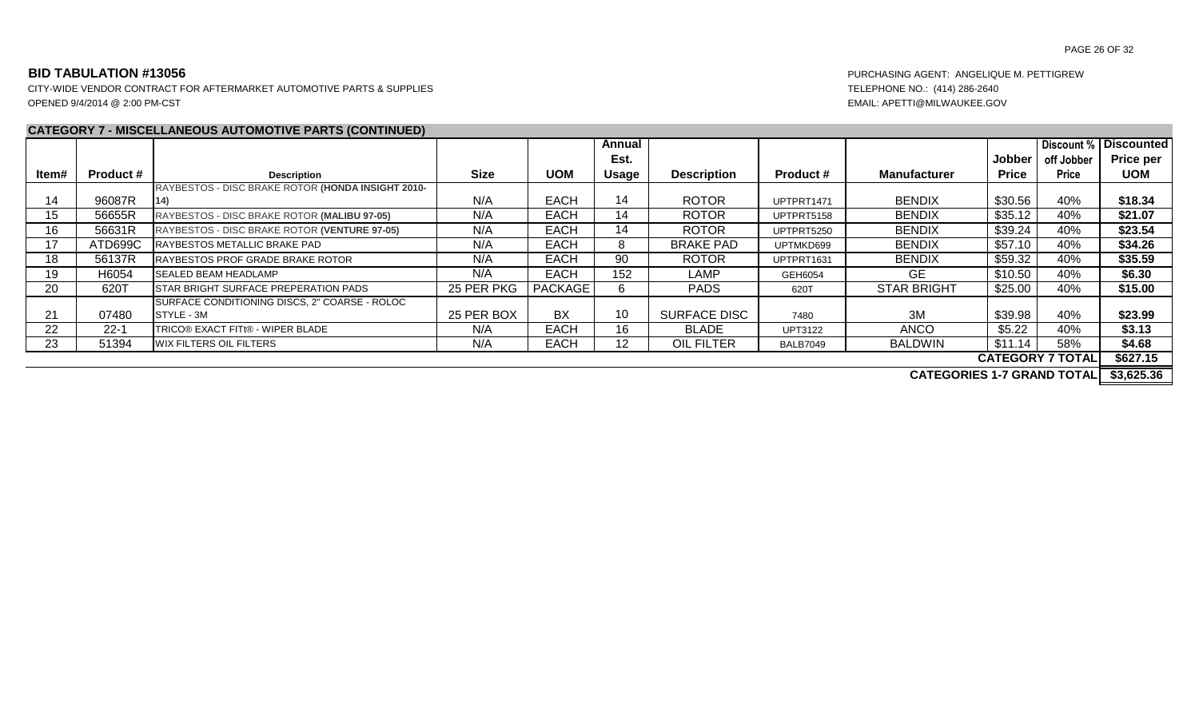CITY-WIDE VENDOR CONTRACT FOR AFTERMARKET AUTOMOTIVE PARTS & SUPPLIES TELEPHONE NO.: (414) 286-2640 OPENED 9/4/2014 @ 2:00 PM-CST EMAIL: APETTI@MILWAUKEE.GOV

# **CATEGORY 7 - MISCELLANEOUS AUTOMOTIVE PARTS (CONTINUED)**

|       |                  | <u>CATLOONT 7 - MISCLELANEOUS AUTOMOTIVE FANTS (CONTINUED)</u> |             |                |                 |                     |                  |                                   |               |                         |                         |
|-------|------------------|----------------------------------------------------------------|-------------|----------------|-----------------|---------------------|------------------|-----------------------------------|---------------|-------------------------|-------------------------|
|       |                  |                                                                |             |                | Annual          |                     |                  |                                   |               | Discount %              | <b>Discounted</b>       |
|       |                  |                                                                |             |                | Est.            |                     |                  |                                   | <b>Jobber</b> | off Jobber              | <b>Price per</b>        |
| Item# | <b>Product #</b> | <b>Description</b>                                             | <b>Size</b> | <b>UOM</b>     | <b>Usage</b>    | <b>Description</b>  | <b>Product #</b> | <b>Manufacturer</b>               | <b>Price</b>  | <b>Price</b>            | <b>UOM</b>              |
|       |                  | RAYBESTOS - DISC BRAKE ROTOR (HONDA INSIGHT 2010-              |             |                |                 |                     |                  |                                   |               |                         |                         |
| 14    | 96087R           |                                                                | N/A         | <b>EACH</b>    | 14              | <b>ROTOR</b>        | UPTPRT1471       | <b>BENDIX</b>                     | \$30.56       | 40%                     | \$18.34                 |
| 15    | 56655R           | RAYBESTOS - DISC BRAKE ROTOR (MALIBU 97-05)                    | N/A         | <b>EACH</b>    | 14              | <b>ROTOR</b>        | UPTPRT5158       | <b>BENDIX</b>                     | \$35.12       | 40%                     | \$21.07                 |
| 16    | 56631R           | RAYBESTOS - DISC BRAKE ROTOR (VENTURE 97-05)                   | N/A         | <b>EACH</b>    | 14              | <b>ROTOR</b>        | UPTPRT5250       | <b>BENDIX</b>                     | \$39.24       | 40%                     | \$23.54                 |
| 17    | ATD699C          | RAYBESTOS METALLIC BRAKE PAD                                   | N/A         | <b>EACH</b>    |                 | <b>BRAKE PAD</b>    | UPTMKD699        | <b>BENDIX</b>                     | \$57.10       | 40%                     | \$34.26                 |
| 18    | 56137R           | <b>IRAYBESTOS PROF GRADE BRAKE ROTOR</b>                       | N/A         | <b>EACH</b>    | 90              | <b>ROTOR</b>        | UPTPRT1631       | <b>BENDIX</b>                     | \$59.32       | 40%                     | \$35.59                 |
| 19    | H6054            | <b>SEALED BEAM HEADLAMP</b>                                    | N/A         | <b>EACH</b>    | 152             | LAMP                | GEH6054          | GE.                               | \$10.50       | 40%                     | \$6.30                  |
| 20    | 620T             | <b>STAR BRIGHT SURFACE PREPERATION PADS</b>                    | 25 PER PKG  | <b>PACKAGE</b> |                 | <b>PADS</b>         | 620T             | <b>STAR BRIGHT</b>                | \$25.00       | 40%                     | \$15.00                 |
|       |                  | SURFACE CONDITIONING DISCS, 2" COARSE - ROLOC                  |             |                |                 |                     |                  |                                   |               |                         |                         |
| 21    | 07480            | <b>ISTYLE - 3M</b>                                             | 25 PER BOX  | BX             | 10              | <b>SURFACE DISC</b> | 7480             | 3M                                | \$39.98       | 40%                     | \$23.99                 |
| 22    | $22 - 1$         | TRICO® EXACT FITt® - WIPER BLADE                               | N/A         | <b>EACH</b>    | 16              | <b>BLADE</b>        | <b>UPT3122</b>   | <b>ANCO</b>                       | \$5.22        | 40%                     | \$3.13                  |
| 23    | 51394            | <b>IWIX FILTERS OIL FILTERS</b>                                | N/A         | <b>EACH</b>    | 12 <sup>2</sup> | <b>OIL FILTER</b>   | <b>BALB7049</b>  | <b>BALDWIN</b>                    | \$11.14       | 58%                     | \$4.68                  |
|       |                  |                                                                |             |                |                 |                     |                  |                                   |               | <b>CATEGORY 7 TOTAL</b> | \$627.15                |
|       |                  |                                                                |             |                |                 |                     |                  | A 1 TEA A BLEA 1 7 A BLUID TAT 11 |               |                         | $A$ $A$ $A$ $B$ $A$ $A$ |

**CATEGORIES 1-7 GRAND TOTAL \$3,625.36**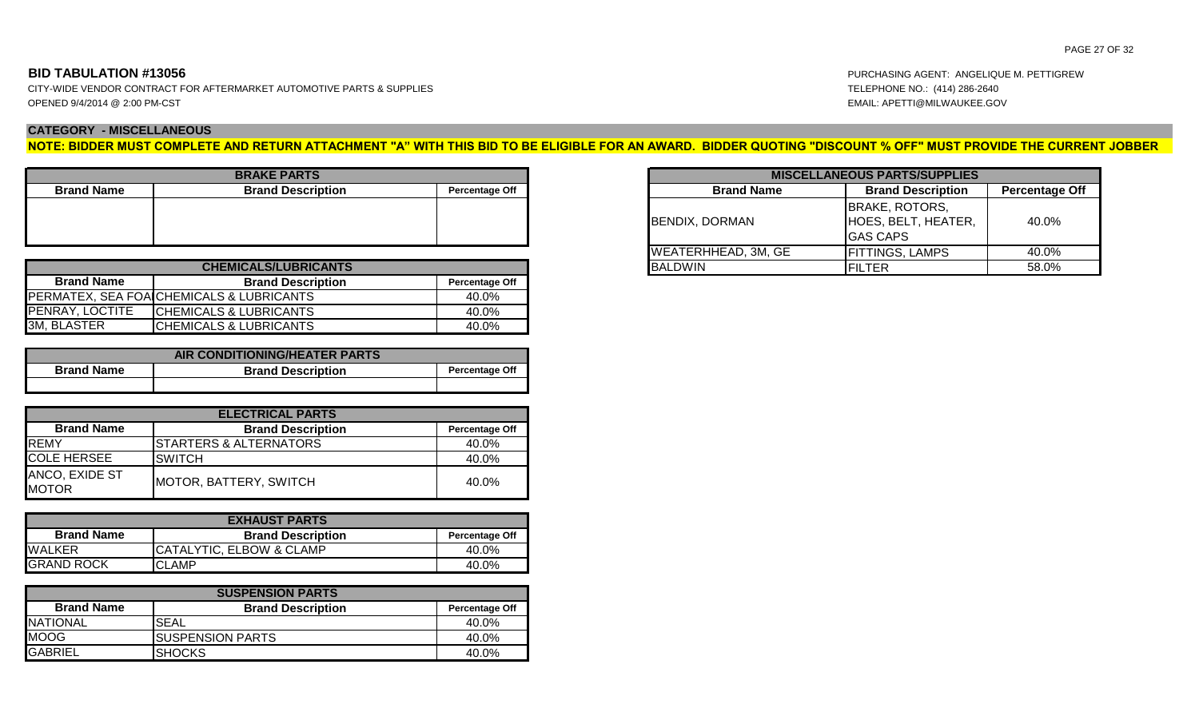### **CATEGORY - MISCELLANEOUS**

**NOTE: BIDDER MUST COMPLETE AND RETURN ATTACHMENT "A" WITH THIS BID TO BE ELIGIBLE FOR AN AWARD. BIDDER QUOTING "DISCOUNT % OFF" MUST PROVIDE THE CURRENT JOBBER** 

| <b>BRAKE PARTS</b> |                          |                       |  |  |  |  |  |  |  |  |
|--------------------|--------------------------|-----------------------|--|--|--|--|--|--|--|--|
| <b>Brand Name</b>  | <b>Brand Description</b> | <b>Percentage Off</b> |  |  |  |  |  |  |  |  |
|                    |                          |                       |  |  |  |  |  |  |  |  |
|                    |                          |                       |  |  |  |  |  |  |  |  |
|                    |                          |                       |  |  |  |  |  |  |  |  |
|                    |                          |                       |  |  |  |  |  |  |  |  |

| <b>CHEMICALS/LUBRICANTS</b> |                                          |       |  |  |  |  |  |  |  |  |
|-----------------------------|------------------------------------------|-------|--|--|--|--|--|--|--|--|
| <b>Brand Name</b>           | <b>Percentage Off</b>                    |       |  |  |  |  |  |  |  |  |
|                             | PERMATEX, SEA FOA CHEMICALS & LUBRICANTS | 40.0% |  |  |  |  |  |  |  |  |
| PENRAY, LOCTITE             | <b>CHEMICALS &amp; LUBRICANTS</b>        | 40.0% |  |  |  |  |  |  |  |  |
| 3M, BLASTER                 | <b>ICHEMICALS &amp; LUBRICANTS</b>       | 40.0% |  |  |  |  |  |  |  |  |

| <b>AIR CONDITIONING/HEATER PARTS</b> |                          |  |  |  |  |  |  |  |  |  |
|--------------------------------------|--------------------------|--|--|--|--|--|--|--|--|--|
| <b>Brand Name</b>                    | <b>Brand Description</b> |  |  |  |  |  |  |  |  |  |
|                                      |                          |  |  |  |  |  |  |  |  |  |

| <b>ELECTRICAL PARTS</b>        |                                 |                       |  |  |  |  |  |  |  |
|--------------------------------|---------------------------------|-----------------------|--|--|--|--|--|--|--|
| <b>Brand Name</b>              | <b>Brand Description</b>        | <b>Percentage Off</b> |  |  |  |  |  |  |  |
| <b>REMY</b>                    | <b>I</b> STARTERS & ALTERNATORS | 40.0%                 |  |  |  |  |  |  |  |
| <b>COLE HERSEE</b>             | ISWITCH                         | 40.0%                 |  |  |  |  |  |  |  |
| ANCO, EXIDE ST<br><b>MOTOR</b> | MOTOR, BATTERY, SWITCH          | 40.0%                 |  |  |  |  |  |  |  |

| <b>EXHAUST PARTS</b> |                          |       |  |  |  |  |  |  |
|----------------------|--------------------------|-------|--|--|--|--|--|--|
| <b>Brand Name</b>    | <b>Percentage Off</b>    |       |  |  |  |  |  |  |
| <b>WALKER</b>        | CATALYTIC, ELBOW & CLAMP | 40.0% |  |  |  |  |  |  |
| <b>GRAND ROCK</b>    | <b>CLAMP</b>             | 40.0% |  |  |  |  |  |  |

| <b>SUSPENSION PARTS</b> |                          |       |  |  |  |  |  |  |
|-------------------------|--------------------------|-------|--|--|--|--|--|--|
| <b>Brand Name</b>       | <b>Percentage Off</b>    |       |  |  |  |  |  |  |
| <b>NATIONAL</b>         | 'SEAL                    | 40.0% |  |  |  |  |  |  |
| <b>MOOG</b>             | <b>ISUSPENSION PARTS</b> | 40.0% |  |  |  |  |  |  |
| <b>GABRIEL</b>          | <b>I</b> SHOCKS          | 40.0% |  |  |  |  |  |  |

| <b>RAKE PARTS</b>        |                       |                            | <b>MISCELLANEOUS PARTS/SUPPLIES</b><br><b>Brand Name</b><br><b>Percentage Off</b><br><b>Brand Description</b> |  |  |  |
|--------------------------|-----------------------|----------------------------|---------------------------------------------------------------------------------------------------------------|--|--|--|
| <b>Brand Description</b> | <b>Percentage Off</b> |                            |                                                                                                               |  |  |  |
|                          |                       | BENDIX, DORMAN             | <b>BRAKE, ROTORS,</b><br>HOES, BELT, HEATER,<br>IGAS CAPS                                                     |  |  |  |
|                          |                       | <b>WEATERHHEAD, 3M, GE</b> | FITTINGS, LAMPS                                                                                               |  |  |  |
| <b>CALS/LUBRICANTS</b>   |                       | <b>BALDWIN</b>             | FILTER                                                                                                        |  |  |  |

**BID TABULATION #13056** PURCHASING AGENT: ANGELIQUE M. PETTIGREW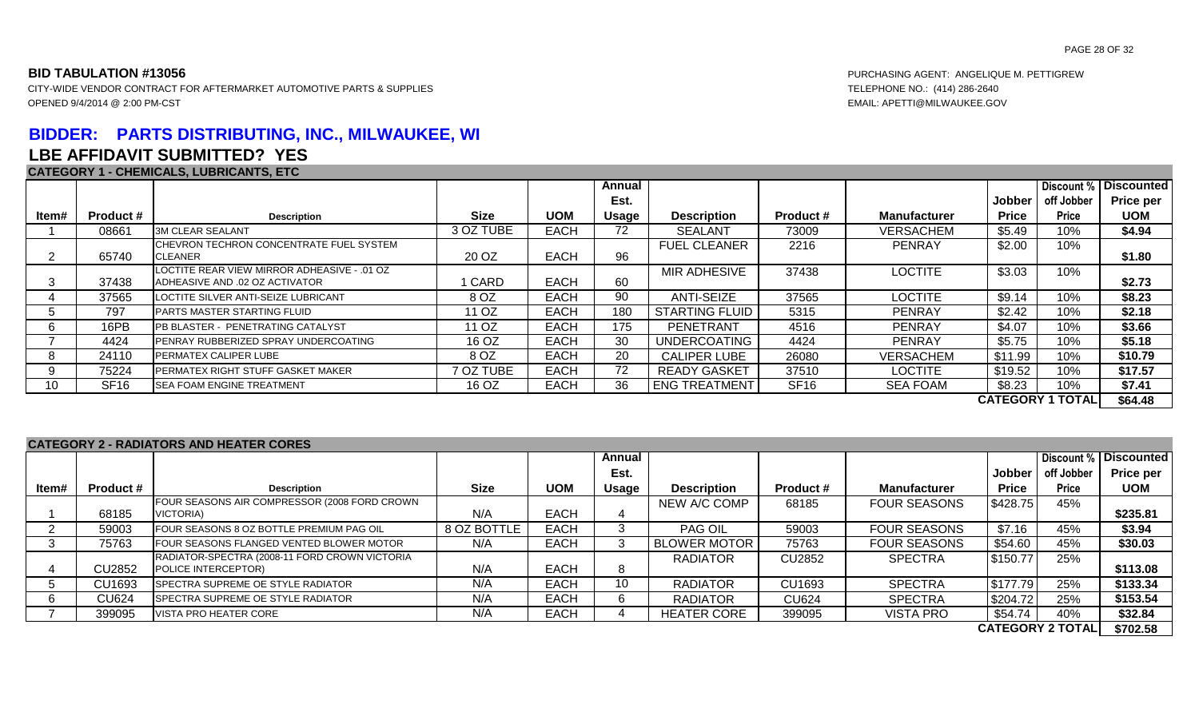CITY-WIDE VENDOR CONTRACT FOR AFTERMARKET AUTOMOTIVE PARTS & SUPPLIES TELEPHONE NO.: (414) 286-2640 OPENED 9/4/2014 @ 2:00 PM-CST EMAIL: APETTI@MILWAUKEE.GOV

# **BIDDER: PARTS DISTRIBUTING, INC., MILWAUKEE, WI LBE AFFIDAVIT SUBMITTED? YES**

### **CATEGORY 1 - CHEMICALS, LUBRICANTS, ETC**

|             | <u>UAILUUNI I-UILMIUALU, LUDINUAITIU, LIU</u> |                                                                               |             |             |        |                      |                  |                     |              |              |                   |
|-------------|-----------------------------------------------|-------------------------------------------------------------------------------|-------------|-------------|--------|----------------------|------------------|---------------------|--------------|--------------|-------------------|
|             |                                               |                                                                               |             |             | Annual |                      |                  |                     |              | Discount %   | <b>Discounted</b> |
|             |                                               |                                                                               |             |             | Est.   |                      |                  |                     | Jobber       | off Jobber   | <b>Price per</b>  |
| ltem#       | <b>Product #</b>                              | <b>Description</b>                                                            | <b>Size</b> | <b>UOM</b>  | Usage  | <b>Description</b>   | <b>Product #</b> | <b>Manufacturer</b> | <b>Price</b> | <b>Price</b> | <b>UOM</b>        |
|             | 08661                                         | <b>3M CLEAR SEALANT</b>                                                       | 3 OZ TUBE   | <b>EACH</b> | 72     | <b>SEALANT</b>       | 73009            | <b>VERSACHEM</b>    | \$5.49       | 10%          | \$4.94            |
|             | 65740                                         | CHEVRON TECHRON CONCENTRATE FUEL SYSTEM<br>CLEANER                            | 20 OZ       | <b>EACH</b> | 96     | <b>FUEL CLEANER</b>  | 2216             | <b>PENRAY</b>       | \$2.00       | 10%          | \$1.80            |
| 3           | 37438                                         | LOCTITE REAR VIEW MIRROR ADHEASIVE - .01 OZ<br>ADHEASIVE AND .02 OZ ACTIVATOR | 1 CARD      | <b>EACH</b> | 60     | <b>MIR ADHESIVE</b>  | 37438            | <b>LOCTITE</b>      | \$3.03       | 10%          | \$2.73            |
|             | 37565                                         | LOCTITE SILVER ANTI-SEIZE LUBRICANT                                           | 8 OZ        | <b>EACH</b> | 90     | <b>ANTI-SEIZE</b>    | 37565            | LOCTITE             | \$9.14       | 10%          | \$8.23            |
| $\mathbf b$ | 797                                           | <b>PARTS MASTER STARTING FLUID</b>                                            | 11 OZ       | <b>EACH</b> | 180    | STARTING FLUID       | 5315             | <b>PENRAY</b>       | \$2.42       | 10%          | \$2.18            |
| 6           | 16PB                                          | PB BLASTER - PENETRATING CATALYST                                             | 11 OZ       | <b>EACH</b> | 175    | PENETRANT            | 4516             | <b>PENRAY</b>       | \$4.07       | 10%          | \$3.66            |
|             | 4424                                          | PENRAY RUBBERIZED SPRAY UNDERCOATING                                          | 16 OZ       | <b>EACH</b> | 30     | UNDERCOATING         | 4424             | <b>PENRAY</b>       | \$5.75       | 10%          | \$5.18            |
| 8           | 24110                                         | PERMATEX CALIPER LUBE                                                         | 8 OZ        | <b>EACH</b> | 20     | <b>CALIPER LUBE</b>  | 26080            | VERSACHEM           | \$11.99      | 10%          | \$10.79           |
| 9           | 75224                                         | PERMATEX RIGHT STUFF GASKET MAKER                                             | 7 OZ TUBE   | <b>EACH</b> | 72     | READY GASKET         | 37510            | <b>LOCTITE</b>      | \$19.52      | 10%          | \$17.57           |
| 10          | SF <sub>16</sub>                              | SEA FOAM ENGINE TREATMENT                                                     | 16 OZ       | <b>EACH</b> | 36     | <b>ENG TREATMENT</b> | <b>SF16</b>      | <b>SEA FOAM</b>     | \$8.23       | 10%          | \$7.41            |
|             | <b>CATEGORY 1 TOTAL</b><br>\$64.48            |                                                                               |             |             |        |                      |                  |                     |              |              |                   |

### **CATEGORY 2 - RADIATORS AND HEATER CORES**

|             |                  |                                               |             |             | Annual |                     |                  |                     |              |                         | <b>Discount % Discounted</b> |
|-------------|------------------|-----------------------------------------------|-------------|-------------|--------|---------------------|------------------|---------------------|--------------|-------------------------|------------------------------|
|             |                  |                                               |             |             | Est.   |                     |                  |                     | Jobber       | off Jobber              | Price per                    |
| ltem#       | <b>Product #</b> | <b>Description</b>                            | <b>Size</b> | <b>UOM</b>  | Usage  | <b>Description</b>  | <b>Product #</b> | <b>Manufacturer</b> | <b>Price</b> | <b>Price</b>            | <b>UOM</b>                   |
|             |                  | FOUR SEASONS AIR COMPRESSOR (2008 FORD CROWN  |             |             |        | NEW A/C COMP        | 68185            | <b>FOUR SEASONS</b> | \$428.75     | 45%                     |                              |
|             | 68185            | VICTORIA)                                     | N/A         | <b>EACH</b> |        |                     |                  |                     |              |                         | \$235.81                     |
|             | 59003            | FOUR SEASONS 8 OZ BOTTLE PREMIUM PAG OIL      | 8 OZ BOTTLE | <b>EACH</b> |        | PAG OIL             | 59003            | <b>FOUR SEASONS</b> | \$7.16       | 45%                     | \$3.94                       |
|             | 75763            | FOUR SEASONS FLANGED VENTED BLOWER MOTOR      | N/A         | <b>EACH</b> |        | <b>BLOWER MOTOR</b> | 75763            | <b>FOUR SEASONS</b> | \$54.60      | 45%                     | \$30.03                      |
|             |                  | RADIATOR-SPECTRA (2008-11 FORD CROWN VICTORIA |             |             |        | RADIATOR            | CU2852           | <b>SPECTRA</b>      | \$150.77     | 25%                     |                              |
|             | CU2852           | POLICE INTERCEPTOR)                           | N/A         | <b>EACH</b> |        |                     |                  |                     |              |                         | \$113.08                     |
| $\mathbf b$ | CU1693           | <b>I</b> SPECTRA SUPREME OE STYLE RADIATOR    | N/A         | <b>EACH</b> | 10     | <b>RADIATOR</b>     | CU1693           | <b>SPECTRA</b>      | \$177.79     | 25%                     | \$133.34                     |
| -6          | <b>CU624</b>     | SPECTRA SUPREME OE STYLE RADIATOR             | N/A         | <b>EACH</b> |        | RADIATOR            | <b>CU624</b>     | <b>SPECTRA</b>      | \$204.72     | 25%                     | \$153.54                     |
|             | 399095           | VISTA PRO HEATER CORE                         | N/A         | <b>EACH</b> |        | <b>HEATER CORE</b>  | 399095           | <b>VISTA PRO</b>    | \$54.74      | 40%                     | \$32.84                      |
|             |                  |                                               |             |             |        |                     |                  |                     |              | <b>CATEGORY 2 TOTAL</b> | \$702.58                     |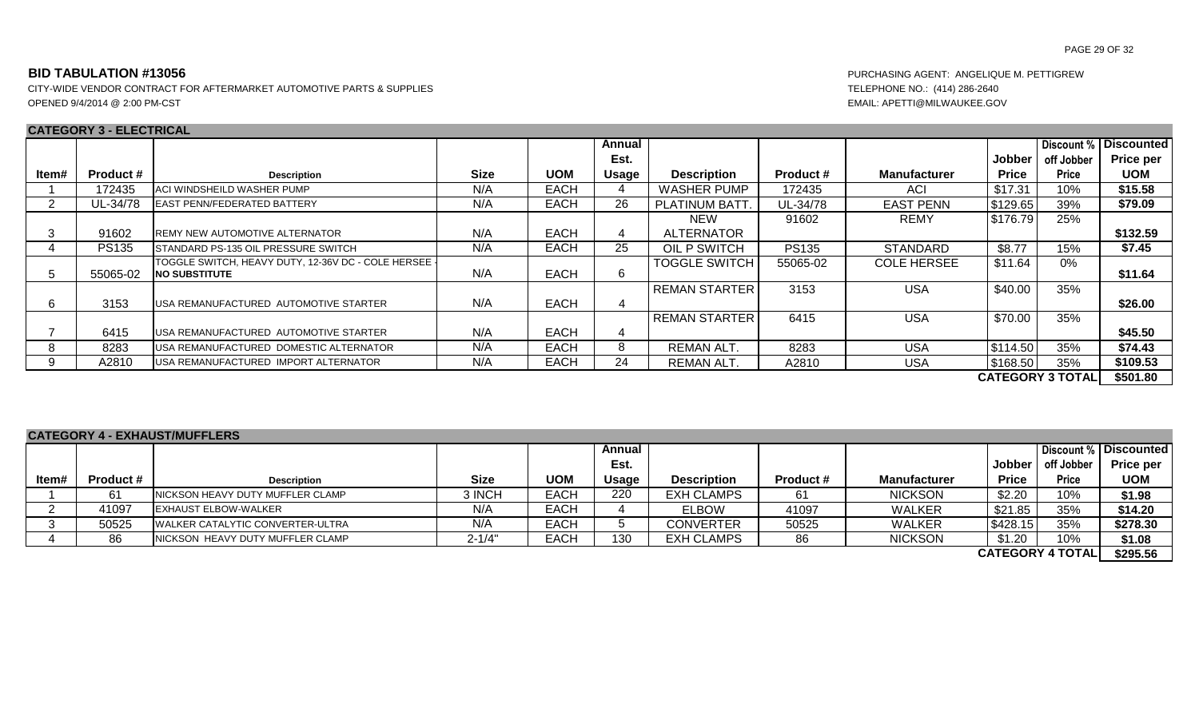CITY-WIDE VENDOR CONTRACT FOR AFTERMARKET AUTOMOTIVE PARTS & SUPPLIES TELEPHONE NO.: (414) 286-2640 OPENED 9/4/2014 @ 2:00 PM-CST **EMAIL: APETTI@MILWAUKEE.GOV** 

### **CATEGORY 3 - ELECTRICAL**

### PAGE 29 OF 32

|                         | UAILUUNI U LLLUINUAL |                                                                               |             |             |        |                      |                  |                     |              |              |                         |
|-------------------------|----------------------|-------------------------------------------------------------------------------|-------------|-------------|--------|----------------------|------------------|---------------------|--------------|--------------|-------------------------|
|                         |                      |                                                                               |             |             | Annual |                      |                  |                     |              |              | Discount %   Discounted |
|                         |                      |                                                                               |             |             | Est.   |                      |                  |                     | Jobber       | off Jobber   | <b>Price per</b>        |
| ltem#                   | <b>Product #</b>     | <b>Description</b>                                                            | <b>Size</b> | <b>UOM</b>  | Usage  | <b>Description</b>   | <b>Product #</b> | <b>Manufacturer</b> | <b>Price</b> | <b>Price</b> | <b>UOM</b>              |
|                         | 172435               | ACI WINDSHEILD WASHER PUMP                                                    | N/A         | <b>EACH</b> |        | <b>WASHER PUMP</b>   | 172435           | ACI                 | \$17.31      | 10%          | \$15.58                 |
|                         | UL-34/78             | <b>LEAST PENN/FEDERATED BATTERY</b>                                           | N/A         | <b>EACH</b> | 26     | PLATINUM BATT.       | UL-34/78         | <b>EAST PENN</b>    | \$129.65     | 39%          | \$79.09                 |
|                         |                      |                                                                               |             |             |        | NEW                  | 91602            | <b>REMY</b>         | \$176.79     | 25%          |                         |
| 3                       | 91602                | <b>IREMY NEW AUTOMOTIVE ALTERNATOR</b>                                        | N/A         | <b>EACH</b> | 4      | <b>ALTERNATOR</b>    |                  |                     |              |              | \$132.59                |
|                         | <b>PS135</b>         | STANDARD PS-135 OIL PRESSURE SWITCH                                           | N/A         | <b>EACH</b> | 25     | OIL P SWITCH         | <b>PS135</b>     | <b>STANDARD</b>     | \$8.77       | 15%          | \$7.45                  |
| 5                       | 55065-02             | TOGGLE SWITCH, HEAVY DUTY, 12-36V DC - COLE HERSEE  <br><b>INO SUBSTITUTE</b> | N/A         | <b>EACH</b> | 6      | <b>TOGGLE SWITCH</b> | 55065-02         | <b>COLE HERSEE</b>  | \$11.64      | $0\%$        | \$11.64                 |
| 6                       | 3153                 | USA REMANUFACTURED AUTOMOTIVE STARTER                                         | N/A         | <b>EACH</b> |        | <b>REMAN STARTER</b> | 3153             | <b>USA</b>          | \$40.00      | 35%          | \$26.00                 |
|                         |                      |                                                                               |             |             |        | <b>REMAN STARTER</b> | 6415             | <b>USA</b>          | \$70.00      | 35%          |                         |
|                         | 6415                 | USA REMANUFACTURED AUTOMOTIVE STARTER                                         | N/A         | <b>EACH</b> | 4      |                      |                  |                     |              |              | \$45.50                 |
| 8                       | 8283                 | USA REMANUFACTURED DOMESTIC ALTERNATOR                                        | N/A         | <b>EACH</b> | 8      | <b>REMAN ALT.</b>    | 8283             | <b>USA</b>          | \$114.50     | 35%          | \$74.43                 |
| 9                       | A2810                | USA REMANUFACTURED IMPORT ALTERNATOR                                          | N/A         | <b>EACH</b> | 24     | <b>REMAN ALT.</b>    | A2810            | <b>USA</b>          | \$168.50     | 35%          | \$109.53                |
| <b>CATEGORY 3 TOTAL</b> |                      |                                                                               |             |             |        |                      |                  |                     |              | \$501.80     |                         |

### **CATEGORY 4 - EXHAUST/MUFFLERS**

|       |           | <u>UAILUUNI TEANMUUIIIUI LENU</u>         |             |             |        |                    |                  |                     |              |                        |                       |
|-------|-----------|-------------------------------------------|-------------|-------------|--------|--------------------|------------------|---------------------|--------------|------------------------|-----------------------|
|       |           |                                           |             |             | Annual |                    |                  |                     |              |                        | Discount % Discounted |
|       |           |                                           |             |             | Est.   |                    |                  |                     | Jobber       | off Jobber             | <b>Price per</b>      |
| ltem# | Product # | <b>Description</b>                        | <b>Size</b> | <b>UOM</b>  | Usage  | <b>Description</b> | <b>Product #</b> | <b>Manufacturer</b> | <b>Price</b> | Price                  | <b>UOM</b>            |
|       | 61        | <b>INICKSON HEAVY DUTY MUFFLER CLAMP</b>  | 3 INCH      | <b>EACH</b> | 220    | <b>EXH CLAMPS</b>  | 61               | <b>NICKSON</b>      | \$2.20       | 10%                    | \$1.98                |
|       | 41097     | <b>IEXHAUST ELBOW-WALKER</b>              | N/A         | EACH        |        | <b>ELBOW</b>       | 41097            | <b>WALKER</b>       | \$21.85      | 35%                    | \$14.20               |
|       | 50525     | <b>I</b> WALKER CATALYTIC CONVERTER-ULTRA | N/A         | EACH        |        | <b>CONVERTER</b>   | 50525            | <b>WALKER</b>       | 1\$428.15    | 35%                    | \$278.30              |
|       | 86        | INICKSON HEAVY DUTY MUFFLER CLAMP         | $2 - 1/4"$  | <b>EACH</b> | 130    | <b>EXH CLAMPS</b>  | 86               | <b>NICKSON</b>      | \$1.20       | 10%                    | \$1.08                |
|       |           |                                           |             |             |        |                    |                  |                     |              | <b>CATEOODV ATOTAL</b> | A A A F F A           |

**\$295.56 CATEGORY 4 TOTAL**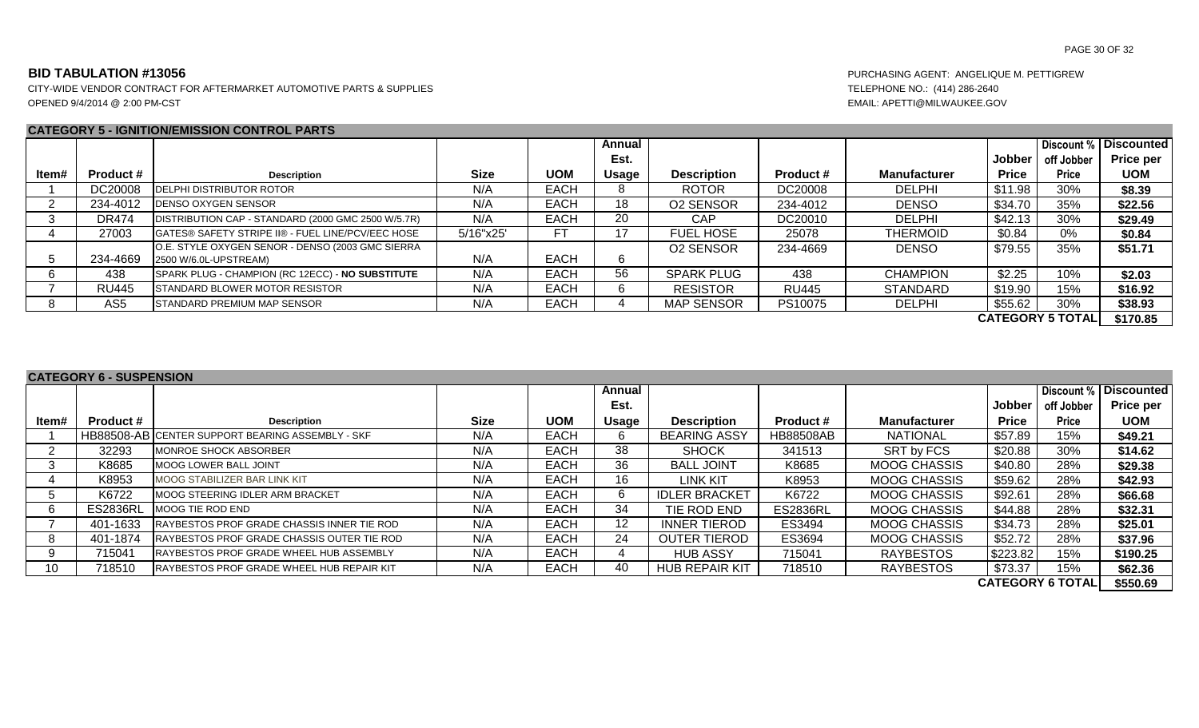CITY-WIDE VENDOR CONTRACT FOR AFTERMARKET AUTOMOTIVE PARTS & SUPPLIES TELEPHONE NO.: (414) 286-2640 OPENED 9/4/2014 @ 2:00 PM-CST EMAIL: APETTI@MILWAUKEE.GOV

### **CATEGORY 5 - IGNITION/EMISSION CONTROL PARTS**

|       |                  |                                                                           |             |             | Annual |                    |                  |                     |               |                         | <b>Discount % Discounted</b> |
|-------|------------------|---------------------------------------------------------------------------|-------------|-------------|--------|--------------------|------------------|---------------------|---------------|-------------------------|------------------------------|
|       |                  |                                                                           |             |             | Est.   |                    |                  |                     | <b>Jobber</b> | off Jobber              | <b>Price per</b>             |
| Item# | <b>Product #</b> | <b>Description</b>                                                        | <b>Size</b> | <b>UOM</b>  | Usage  | <b>Description</b> | <b>Product #</b> | <b>Manufacturer</b> | <b>Price</b>  | <b>Price</b>            | <b>UOM</b>                   |
|       | DC20008          | <b>DELPHI DISTRIBUTOR ROTOR</b>                                           | N/A         | <b>EACH</b> | 8.     | <b>ROTOR</b>       | DC20008          | <b>DELPHI</b>       | \$11.98       | 30%                     | \$8.39                       |
|       | 234-4012         | <b>IDENSO OXYGEN SENSOR</b>                                               | N/A         | <b>EACH</b> | 18     | <b>O2 SENSOR</b>   | 234-4012         | <b>DENSO</b>        | \$34.70       | 35%                     | \$22.56                      |
|       | <b>DR474</b>     | DISTRIBUTION CAP - STANDARD (2000 GMC 2500 W/5.7R)                        | N/A         | <b>EACH</b> | 20     | <b>CAP</b>         | DC20010          | <b>DELPHI</b>       | \$42.13       | 30%                     | \$29.49                      |
|       | 27003            | GATES® SAFETY STRIPE II® - FUEL LINE/PCV/EEC HOSE                         | 5/16"x25'   | FТ          |        | <b>FUEL HOSE</b>   | 25078            | <b>THERMOID</b>     | \$0.84        | 0%                      | \$0.84                       |
|       | 234-4669         | O.E. STYLE OXYGEN SENOR - DENSO (2003 GMC SIERRA<br>2500 W/6.0L-UPSTREAM) | N/A         | <b>EACH</b> | 6      | <b>O2 SENSOR</b>   | 234-4669         | <b>DENSO</b>        | \$79.55       | 35%                     | \$51.71                      |
|       | 438              | SPARK PLUG - CHAMPION (RC 12ECC) - NO SUBSTITUTE                          | N/A         | <b>EACH</b> | 56     | <b>SPARK PLUG</b>  | 438              | <b>CHAMPION</b>     | \$2.25        | 10%                     | \$2.03                       |
|       | <b>RU445</b>     | <b>STANDARD BLOWER MOTOR RESISTOR</b>                                     | N/A         | <b>EACH</b> | 6      | <b>RESISTOR</b>    | <b>RU445</b>     | <b>STANDARD</b>     | \$19.90       | 15%                     | \$16.92                      |
|       | AS <sub>5</sub>  | <b>STANDARD PREMIUM MAP SENSOR</b>                                        | N/A         | <b>EACH</b> |        | <b>MAP SENSOR</b>  | PS10075          | <b>DELPHI</b>       | \$55.62       | 30%                     | \$38.93                      |
|       |                  |                                                                           |             |             |        |                    |                  |                     |               | <b>CATEGORY 5 TOTAL</b> | \$170.85                     |

**CATEGORY 6 - SUSPENSION**

|             |                  |                                                   |             |             | Annual       |                      |                  |                     |               |                         | <b>Discount % Discounted</b> |
|-------------|------------------|---------------------------------------------------|-------------|-------------|--------------|----------------------|------------------|---------------------|---------------|-------------------------|------------------------------|
|             |                  |                                                   |             |             | Est.         |                      |                  |                     | <b>Jobber</b> | off Jobber              | Price per                    |
| Item#       | <b>Product #</b> | <b>Description</b>                                | <b>Size</b> | <b>UOM</b>  | <b>Usage</b> | <b>Description</b>   | <b>Product #</b> | <b>Manufacturer</b> | <b>Price</b>  | <b>Price</b>            | <b>UOM</b>                   |
|             |                  | HB88508-AB CENTER SUPPORT BEARING ASSEMBLY - SKF  | N/A         | <b>EACH</b> |              | <b>BEARING ASSY</b>  | <b>HB88508AB</b> | <b>NATIONAL</b>     | \$57.89       | 15%                     | \$49.21                      |
|             | 32293            | <b>MONROE SHOCK ABSORBER</b>                      | N/A         | <b>EACH</b> | 38           | <b>SHOCK</b>         | 341513           | SRT by FCS          | \$20.88       | 30%                     | \$14.62                      |
|             | K8685            | <b>IMOOG LOWER BALL JOINT</b>                     | N/A         | EACH        | 36           | <b>BALL JOINT</b>    | K8685            | <b>MOOG CHASSIS</b> | \$40.80       | 28%                     | \$29.38                      |
|             | K8953            | MOOG STABILIZER BAR LINK KIT                      | N/A         | <b>EACH</b> | 16           | LINK KIT             | K8953            | <b>MOOG CHASSIS</b> | \$59.62       | 28%                     | \$42.93                      |
| $5^{\circ}$ | K6722            | <b>IMOOG STEERING IDLER ARM BRACKET</b>           | N/A         | <b>EACH</b> |              | <b>IDLER BRACKET</b> | K6722            | <b>MOOG CHASSIS</b> | \$92.61       | 28%                     | \$66.68                      |
| 6           | <b>ES2836RL</b>  | MOOG TIE ROD END                                  | N/A         | <b>EACH</b> | 34           | TIE ROD END          | <b>ES2836RL</b>  | <b>MOOG CHASSIS</b> | \$44.88       | 28%                     | \$32.31                      |
|             | 401-1633         | <b>RAYBESTOS PROF GRADE CHASSIS INNER TIE ROD</b> | N/A         | <b>EACH</b> | 12           | <b>INNER TIEROD</b>  | ES3494           | MOOG CHASSIS        | \$34.73       | 28%                     | \$25.01                      |
| 8           | 401-1874         | <b>RAYBESTOS PROF GRADE CHASSIS OUTER TIE ROD</b> | N/A         | <b>EACH</b> | 24           | <b>OUTER TIEROD</b>  | ES3694           | <b>MOOG CHASSIS</b> | \$52.72       | 28%                     | \$37.96                      |
| 9           | 715041           | <b>IRAYBESTOS PROF GRADE WHEEL HUB ASSEMBLY</b>   | N/A         | <b>EACH</b> |              | <b>HUB ASSY</b>      | 715041           | <b>RAYBESTOS</b>    | \$223.82      | 15%                     | \$190.25                     |
| 10          | 718510           | <b>RAYBESTOS PROF GRADE WHEEL HUB REPAIR KIT</b>  | N/A         | <b>EACH</b> | 40           | HUB REPAIR KIT       | 718510           | <b>RAYBESTOS</b>    | \$73.37       | 15%                     | \$62.36                      |
|             |                  |                                                   |             |             |              |                      |                  |                     |               | <b>CATEGORY 6 TOTAL</b> | \$550.69                     |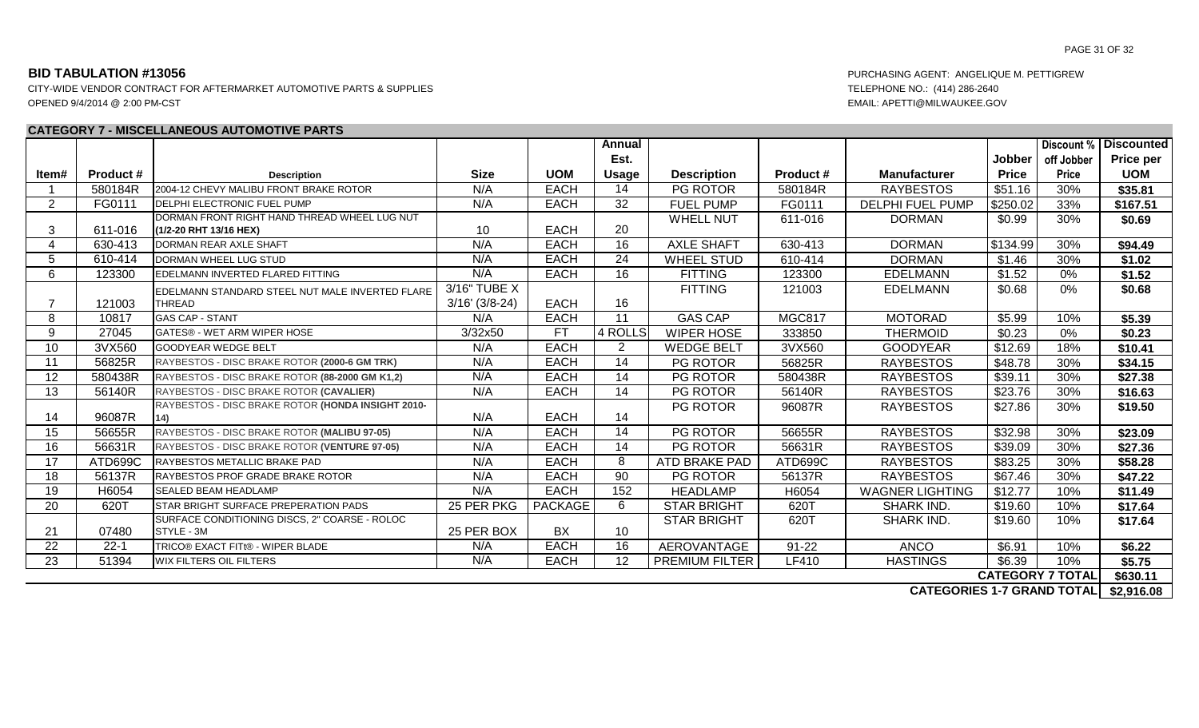CITY-WIDE VENDOR CONTRACT FOR AFTERMARKET AUTOMOTIVE PARTS & SUPPLIES TELEPHONE NO.: (414) 286-2640 OPENED 9/4/2014 @ 2:00 PM-CST EMAIL: APETTI@MILWAUKEE.GOV

### **CATEGORY 7 - MISCELLANEOUS AUTOMOTIVE PARTS**

|                 |                  |                                                   |                  |                | Annual          |                       |                  |                         |              |                         | <b>Discount % Discounted</b> |
|-----------------|------------------|---------------------------------------------------|------------------|----------------|-----------------|-----------------------|------------------|-------------------------|--------------|-------------------------|------------------------------|
|                 |                  |                                                   |                  |                | Est.            |                       |                  |                         | Jobber       | off Jobber              | Price per                    |
| ltem#           | <b>Product #</b> | <b>Description</b>                                | <b>Size</b>      | <b>UOM</b>     | Usage           | <b>Description</b>    | <b>Product #</b> | <b>Manufacturer</b>     | <b>Price</b> | <b>Price</b>            | <b>UOM</b>                   |
|                 | 580184R          | 2004-12 CHEVY MALIBU FRONT BRAKE ROTOR            | N/A              | <b>EACH</b>    | 14              | PG ROTOR              | 580184R          | <b>RAYBESTOS</b>        | \$51.16      | 30%                     | \$35.81                      |
| $\overline{2}$  | FG0111           | DELPHI ELECTRONIC FUEL PUMP                       | N/A              | <b>EACH</b>    | $\overline{32}$ | <b>FUEL PUMP</b>      | FG0111           | <b>DELPHI FUEL PUMP</b> | \$250.02     | 33%                     | \$167.51                     |
|                 |                  | DORMAN FRONT RIGHT HAND THREAD WHEEL LUG NUT      |                  |                |                 | <b>WHELL NUT</b>      | 611-016          | <b>DORMAN</b>           | \$0.99       | 30%                     | \$0.69                       |
| 3               | 611-016          | (1/2-20 RHT 13/16 HEX)                            | 10               | <b>EACH</b>    | 20              |                       |                  |                         |              |                         |                              |
| $\overline{4}$  | 630-413          | DORMAN REAR AXLE SHAFT                            | N/A              | <b>EACH</b>    | 16              | <b>AXLE SHAFT</b>     | 630-413          | <b>DORMAN</b>           | \$134.99     | 30%                     | \$94.49                      |
| 5               | 610-414          | DORMAN WHEEL LUG STUD                             | N/A              | <b>EACH</b>    | 24              | <b>WHEEL STUD</b>     | 610-414          | <b>DORMAN</b>           | \$1.46       | 30%                     | \$1.02                       |
| 6               | 123300           | EDELMANN INVERTED FLARED FITTING                  | N/A              | <b>EACH</b>    | 16              | <b>FITTING</b>        | 123300           | <b>EDELMANN</b>         | \$1.52       | $0\%$                   | \$1.52                       |
|                 |                  | EDELMANN STANDARD STEEL NUT MALE INVERTED FLARE   | 3/16" TUBE X     |                |                 | <b>FITTING</b>        | 121003           | <b>EDELMANN</b>         | \$0.68       | 0%                      | \$0.68                       |
|                 | 121003           | <b>THREAD</b>                                     | $3/16'$ (3/8-24) | <b>EACH</b>    | 16              |                       |                  |                         |              |                         |                              |
| 8               | 10817            | <b>GAS CAP - STANT</b>                            | N/A              | <b>EACH</b>    | 11              | <b>GAS CAP</b>        | <b>MGC817</b>    | <b>MOTORAD</b>          | \$5.99       | 10%                     | \$5.39                       |
| 9               | 27045            | GATES® - WET ARM WIPER HOSE                       | 3/32x50          | <b>FT</b>      | 4 ROLLS         | <b>WIPER HOSE</b>     | 333850           | <b>THERMOID</b>         | \$0.23       | 0%                      | \$0.23                       |
| 10              | 3VX560           | <b>GOODYEAR WEDGE BELT</b>                        | N/A              | <b>EACH</b>    | $\overline{2}$  | <b>WEDGE BELT</b>     | 3VX560           | <b>GOODYEAR</b>         | \$12.69      | 18%                     | \$10.41                      |
| 11              | 56825R           | RAYBESTOS - DISC BRAKE ROTOR (2000-6 GM TRK)      | N/A              | <b>EACH</b>    | $\overline{14}$ | <b>PG ROTOR</b>       | 56825R           | <b>RAYBESTOS</b>        | \$48.78      | 30%                     | \$34.15                      |
| 12              | 580438R          | RAYBESTOS - DISC BRAKE ROTOR (88-2000 GM K1,2)    | N/A              | <b>EACH</b>    | 14              | PG ROTOR              | 580438R          | <b>RAYBESTOS</b>        | \$39.11      | 30%                     | \$27.38                      |
| 13              | 56140R           | RAYBESTOS - DISC BRAKE ROTOR (CAVALIER)           | N/A              | <b>EACH</b>    | $\overline{14}$ | <b>PG ROTOR</b>       | 56140R           | <b>RAYBESTOS</b>        | \$23.76      | 30%                     | \$16.63                      |
|                 |                  | RAYBESTOS - DISC BRAKE ROTOR (HONDA INSIGHT 2010- |                  |                |                 | PG ROTOR              | 96087R           | <b>RAYBESTOS</b>        | \$27.86      | 30%                     | \$19.50                      |
| 14              | 96087R           | 14)                                               | N/A              | <b>EACH</b>    | 14              |                       |                  |                         |              |                         |                              |
| 15              | 56655R           | RAYBESTOS - DISC BRAKE ROTOR (MALIBU 97-05)       | N/A              | <b>EACH</b>    | $\overline{14}$ | <b>PG ROTOR</b>       | 56655R           | <b>RAYBESTOS</b>        | \$32.98      | 30%                     | \$23.09                      |
| 16              | 56631R           | RAYBESTOS - DISC BRAKE ROTOR (VENTURE 97-05)      | N/A              | <b>EACH</b>    | 14              | PG ROTOR              | 56631R           | <b>RAYBESTOS</b>        | \$39.09      | 30%                     | \$27.36                      |
| 17              | ATD699C          | RAYBESTOS METALLIC BRAKE PAD                      | N/A              | <b>EACH</b>    | 8               | ATD BRAKE PAD         | ATD699C          | <b>RAYBESTOS</b>        | \$83.25      | 30%                     | \$58.28                      |
| 18              | 56137R           | RAYBESTOS PROF GRADE BRAKE ROTOR                  | N/A              | <b>EACH</b>    | $\overline{90}$ | PG ROTOR              | 56137R           | <b>RAYBESTOS</b>        | \$67.46      | 30%                     | \$47.22                      |
| 19              | H6054            | <b>SEALED BEAM HEADLAMP</b>                       | N/A              | <b>EACH</b>    | 152             | <b>HEADLAMP</b>       | H6054            | <b>WAGNER LIGHTING</b>  | \$12.77      | 10%                     | \$11.49                      |
| 20              | 620T             | <b>STAR BRIGHT SURFACE PREPERATION PADS</b>       | 25 PER PKG       | <b>PACKAGE</b> | 6               | <b>STAR BRIGHT</b>    | 620T             | <b>SHARK IND.</b>       | \$19.60      | 10%                     | \$17.64                      |
|                 |                  | SURFACE CONDITIONING DISCS, 2" COARSE - ROLOC     |                  |                |                 | <b>STAR BRIGHT</b>    | 620T             | SHARK IND.              | \$19.60      | 10%                     | \$17.64                      |
| 21              | 07480            | STYLE - 3M                                        | 25 PER BOX       | BX             | 10              |                       |                  |                         |              |                         |                              |
| 22              | $22 - 1$         | TRICO® EXACT FITt® - WIPER BLADE                  | N/A              | <b>EACH</b>    | 16              | AEROVANTAGE           | $91 - 22$        | <b>ANCO</b>             | \$6.91       | 10%                     | \$6.22                       |
| $\overline{23}$ | 51394            | <b>WIX FILTERS OIL FILTERS</b>                    | N/A              | <b>EACH</b>    | $\overline{12}$ | <b>PREMIUM FILTER</b> | LF410            | <b>HASTINGS</b>         | \$6.39       | 10%                     | \$5.75                       |
|                 |                  |                                                   |                  |                |                 |                       |                  |                         |              | <b>CATEGORY 7 TOTAL</b> | \$630.11                     |

**\$2,916.08 CATEGORIES 1-7 GRAND TOTAL**